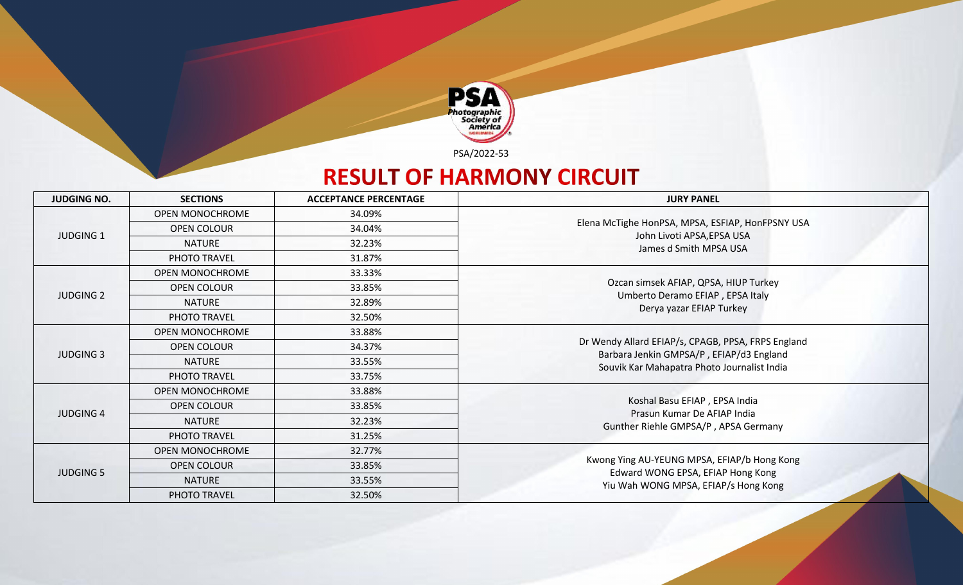

PSA/2022-53

## **RESULT OF HARMONY CIRCUIT**

| <b>JUDGING NO.</b> | <b>SECTIONS</b>        | <b>ACCEPTANCE PERCENTAGE</b> | <b>JURY PANEL</b>                                                                       |
|--------------------|------------------------|------------------------------|-----------------------------------------------------------------------------------------|
|                    | OPEN MONOCHROME        | 34.09%                       |                                                                                         |
| <b>JUDGING 1</b>   | <b>OPEN COLOUR</b>     | 34.04%                       | Elena McTighe HonPSA, MPSA, ESFIAP, HonFPSNY USA                                        |
|                    | <b>NATURE</b>          | 32.23%                       | John Livoti APSA, EPSA USA<br>James d Smith MPSA USA                                    |
|                    | PHOTO TRAVEL           | 31.87%                       |                                                                                         |
|                    | OPEN MONOCHROME        | 33.33%                       |                                                                                         |
| <b>JUDGING 2</b>   | OPEN COLOUR            | 33.85%                       | Ozcan simsek AFIAP, QPSA, HIUP Turkey<br>Umberto Deramo EFIAP, EPSA Italy               |
|                    | <b>NATURE</b>          | 32.89%                       | Derya yazar EFIAP Turkey                                                                |
|                    | PHOTO TRAVEL           | 32.50%                       |                                                                                         |
|                    | OPEN MONOCHROME        | 33.88%                       |                                                                                         |
| <b>JUDGING 3</b>   | <b>OPEN COLOUR</b>     | 34.37%                       | Dr Wendy Allard EFIAP/s, CPAGB, PPSA, FRPS England                                      |
|                    | <b>NATURE</b>          | 33.55%                       | Barbara Jenkin GMPSA/P, EFIAP/d3 England<br>Souvik Kar Mahapatra Photo Journalist India |
|                    | PHOTO TRAVEL           | 33.75%                       |                                                                                         |
|                    | OPEN MONOCHROME        | 33.88%                       |                                                                                         |
| <b>JUDGING 4</b>   | <b>OPEN COLOUR</b>     | 33.85%                       | Koshal Basu EFIAP, EPSA India<br>Prasun Kumar De AFIAP India                            |
|                    | <b>NATURE</b>          | 32.23%                       | Gunther Riehle GMPSA/P, APSA Germany                                                    |
|                    | PHOTO TRAVEL           | 31.25%                       |                                                                                         |
|                    | <b>OPEN MONOCHROME</b> | 32.77%                       |                                                                                         |
| <b>JUDGING 5</b>   | <b>OPEN COLOUR</b>     | 33.85%                       | Kwong Ying AU-YEUNG MPSA, EFIAP/b Hong Kong<br>Edward WONG EPSA, EFIAP Hong Kong        |
|                    | <b>NATURE</b>          | 33.55%                       | Yiu Wah WONG MPSA, EFIAP/s Hong Kong                                                    |
|                    | PHOTO TRAVEL           | 32.50%                       |                                                                                         |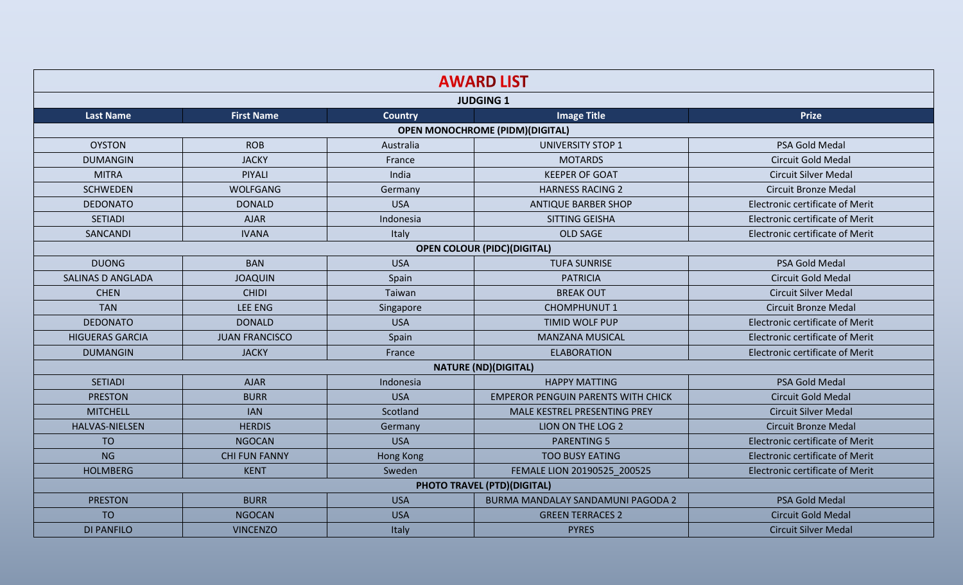|                          | <b>AWARD LIST</b>     |                                                                                                                                                                                                                                                                                                                                                                       |                                           |                                        |  |  |  |
|--------------------------|-----------------------|-----------------------------------------------------------------------------------------------------------------------------------------------------------------------------------------------------------------------------------------------------------------------------------------------------------------------------------------------------------------------|-------------------------------------------|----------------------------------------|--|--|--|
|                          |                       | <b>JUDGING 1</b><br><b>Image Title</b><br><b>Prize</b><br><b>Country</b><br><b>OPEN MONOCHROME (PIDM)(DIGITAL)</b><br><b>UNIVERSITY STOP 1</b><br>Australia<br>PSA Gold Medal<br><b>MOTARDS</b><br>Circuit Gold Medal<br>France<br>India<br><b>KEEPER OF GOAT</b><br><b>Circuit Silver Medal</b><br><b>Circuit Bronze Medal</b><br>Germany<br><b>HARNESS RACING 2</b> |                                           |                                        |  |  |  |
| <b>Last Name</b>         | <b>First Name</b>     |                                                                                                                                                                                                                                                                                                                                                                       |                                           |                                        |  |  |  |
|                          |                       |                                                                                                                                                                                                                                                                                                                                                                       |                                           |                                        |  |  |  |
| <b>OYSTON</b>            | <b>ROB</b>            |                                                                                                                                                                                                                                                                                                                                                                       |                                           |                                        |  |  |  |
| <b>DUMANGIN</b>          | <b>JACKY</b>          |                                                                                                                                                                                                                                                                                                                                                                       |                                           |                                        |  |  |  |
| <b>MITRA</b>             | <b>PIYALI</b>         |                                                                                                                                                                                                                                                                                                                                                                       |                                           |                                        |  |  |  |
| <b>SCHWEDEN</b>          | <b>WOLFGANG</b>       |                                                                                                                                                                                                                                                                                                                                                                       |                                           |                                        |  |  |  |
| <b>DEDONATO</b>          | <b>DONALD</b>         | <b>USA</b>                                                                                                                                                                                                                                                                                                                                                            | <b>ANTIQUE BARBER SHOP</b>                | <b>Electronic certificate of Merit</b> |  |  |  |
| <b>SETIADI</b>           | <b>AJAR</b>           | Indonesia                                                                                                                                                                                                                                                                                                                                                             | SITTING GEISHA                            | <b>Electronic certificate of Merit</b> |  |  |  |
| SANCANDI                 | <b>IVANA</b>          | Italy                                                                                                                                                                                                                                                                                                                                                                 | <b>OLD SAGE</b>                           | Electronic certificate of Merit        |  |  |  |
|                          |                       |                                                                                                                                                                                                                                                                                                                                                                       | <b>OPEN COLOUR (PIDC)(DIGITAL)</b>        |                                        |  |  |  |
| <b>DUONG</b>             | <b>BAN</b>            | <b>USA</b>                                                                                                                                                                                                                                                                                                                                                            | <b>TUFA SUNRISE</b>                       | PSA Gold Medal                         |  |  |  |
| <b>SALINAS D ANGLADA</b> | <b>JOAQUIN</b>        | Spain                                                                                                                                                                                                                                                                                                                                                                 | <b>PATRICIA</b>                           | Circuit Gold Medal                     |  |  |  |
| <b>CHEN</b>              | <b>CHIDI</b>          | Taiwan                                                                                                                                                                                                                                                                                                                                                                | <b>BREAK OUT</b>                          | <b>Circuit Silver Medal</b>            |  |  |  |
| <b>TAN</b>               | <b>LEE ENG</b>        | Singapore                                                                                                                                                                                                                                                                                                                                                             | <b>CHOMPHUNUT 1</b>                       | <b>Circuit Bronze Medal</b>            |  |  |  |
| <b>DEDONATO</b>          | <b>DONALD</b>         | <b>USA</b>                                                                                                                                                                                                                                                                                                                                                            | <b>TIMID WOLF PUP</b>                     | Electronic certificate of Merit        |  |  |  |
| <b>HIGUERAS GARCIA</b>   | <b>JUAN FRANCISCO</b> | Spain                                                                                                                                                                                                                                                                                                                                                                 | <b>MANZANA MUSICAL</b>                    | <b>Electronic certificate of Merit</b> |  |  |  |
| <b>DUMANGIN</b>          | <b>JACKY</b>          | France                                                                                                                                                                                                                                                                                                                                                                | <b>ELABORATION</b>                        | <b>Electronic certificate of Merit</b> |  |  |  |
|                          |                       |                                                                                                                                                                                                                                                                                                                                                                       | <b>NATURE (ND)(DIGITAL)</b>               |                                        |  |  |  |
| <b>SETIADI</b>           | <b>AJAR</b>           | Indonesia                                                                                                                                                                                                                                                                                                                                                             | <b>HAPPY MATTING</b>                      | PSA Gold Medal                         |  |  |  |
| <b>PRESTON</b>           | <b>BURR</b>           | <b>USA</b>                                                                                                                                                                                                                                                                                                                                                            | <b>EMPEROR PENGUIN PARENTS WITH CHICK</b> | <b>Circuit Gold Medal</b>              |  |  |  |
| <b>MITCHELL</b>          | <b>IAN</b>            | Scotland                                                                                                                                                                                                                                                                                                                                                              | MALE KESTREL PRESENTING PREY              | <b>Circuit Silver Medal</b>            |  |  |  |
| <b>HALVAS-NIELSEN</b>    | <b>HERDIS</b>         | Germany                                                                                                                                                                                                                                                                                                                                                               | LION ON THE LOG 2                         | <b>Circuit Bronze Medal</b>            |  |  |  |
| <b>TO</b>                | <b>NGOCAN</b>         | <b>USA</b>                                                                                                                                                                                                                                                                                                                                                            | <b>PARENTING 5</b>                        | <b>Electronic certificate of Merit</b> |  |  |  |
| <b>NG</b>                | <b>CHI FUN FANNY</b>  | <b>Hong Kong</b>                                                                                                                                                                                                                                                                                                                                                      | <b>TOO BUSY EATING</b>                    | <b>Electronic certificate of Merit</b> |  |  |  |
| <b>HOLMBERG</b>          | <b>KENT</b>           | Sweden                                                                                                                                                                                                                                                                                                                                                                | FEMALE LION 20190525_200525               | <b>Electronic certificate of Merit</b> |  |  |  |
|                          |                       |                                                                                                                                                                                                                                                                                                                                                                       | <b>PHOTO TRAVEL (PTD)(DIGITAL)</b>        |                                        |  |  |  |
| <b>PRESTON</b>           | <b>BURR</b>           | <b>USA</b>                                                                                                                                                                                                                                                                                                                                                            | BURMA MANDALAY SANDAMUNI PAGODA 2         | PSA Gold Medal                         |  |  |  |
| <b>TO</b>                | <b>NGOCAN</b>         | <b>USA</b>                                                                                                                                                                                                                                                                                                                                                            | <b>GREEN TERRACES 2</b>                   | <b>Circuit Gold Medal</b>              |  |  |  |
| <b>DI PANFILO</b>        | <b>VINCENZO</b>       | Italy                                                                                                                                                                                                                                                                                                                                                                 | <b>PYRES</b>                              | <b>Circuit Silver Medal</b>            |  |  |  |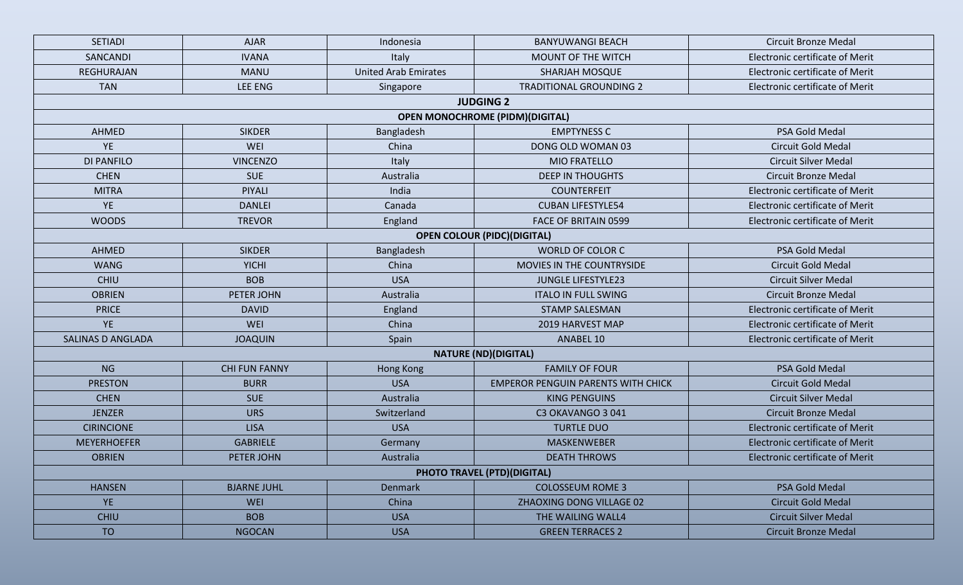| <b>SETIADI</b>                         | <b>AJAR</b>          | Indonesia                   | <b>BANYUWANGI BEACH</b>                   | <b>Circuit Bronze Medal</b>            |  |  |  |  |  |
|----------------------------------------|----------------------|-----------------------------|-------------------------------------------|----------------------------------------|--|--|--|--|--|
| SANCANDI                               | <b>IVANA</b>         | Italy                       | MOUNT OF THE WITCH                        | <b>Electronic certificate of Merit</b> |  |  |  |  |  |
| REGHURAJAN                             | <b>MANU</b>          | <b>United Arab Emirates</b> | <b>SHARJAH MOSQUE</b>                     | <b>Electronic certificate of Merit</b> |  |  |  |  |  |
| <b>TAN</b>                             | <b>LEE ENG</b>       | Singapore                   | <b>TRADITIONAL GROUNDING 2</b>            | <b>Electronic certificate of Merit</b> |  |  |  |  |  |
|                                        |                      |                             | <b>JUDGING 2</b>                          |                                        |  |  |  |  |  |
| <b>OPEN MONOCHROME (PIDM)(DIGITAL)</b> |                      |                             |                                           |                                        |  |  |  |  |  |
| AHMED                                  | <b>SIKDER</b>        | Bangladesh                  | <b>EMPTYNESS C</b>                        | PSA Gold Medal                         |  |  |  |  |  |
| <b>YE</b>                              | WEI                  | China                       | DONG OLD WOMAN 03                         | <b>Circuit Gold Medal</b>              |  |  |  |  |  |
| <b>DI PANFILO</b>                      | <b>VINCENZO</b>      | Italy                       | <b>MIO FRATELLO</b>                       | <b>Circuit Silver Medal</b>            |  |  |  |  |  |
| <b>CHEN</b>                            | <b>SUE</b>           | Australia                   | <b>DEEP IN THOUGHTS</b>                   | <b>Circuit Bronze Medal</b>            |  |  |  |  |  |
| <b>MITRA</b>                           | PIYALI               | India                       | <b>COUNTERFEIT</b>                        | <b>Electronic certificate of Merit</b> |  |  |  |  |  |
| YE                                     | <b>DANLEI</b>        | Canada                      | <b>CUBAN LIFESTYLE54</b>                  | <b>Electronic certificate of Merit</b> |  |  |  |  |  |
| <b>WOODS</b>                           | <b>TREVOR</b>        | England                     | FACE OF BRITAIN 0599                      | <b>Electronic certificate of Merit</b> |  |  |  |  |  |
|                                        |                      |                             | <b>OPEN COLOUR (PIDC)(DIGITAL)</b>        |                                        |  |  |  |  |  |
| AHMED                                  | <b>SIKDER</b>        | Bangladesh                  | WORLD OF COLOR C                          | PSA Gold Medal                         |  |  |  |  |  |
| <b>WANG</b>                            | <b>YICHI</b>         | China                       | MOVIES IN THE COUNTRYSIDE                 | <b>Circuit Gold Medal</b>              |  |  |  |  |  |
| <b>CHIU</b>                            | <b>BOB</b>           | <b>USA</b>                  | <b>JUNGLE LIFESTYLE23</b>                 | <b>Circuit Silver Medal</b>            |  |  |  |  |  |
| <b>OBRIEN</b>                          | PETER JOHN           | Australia                   | <b>ITALO IN FULL SWING</b>                | <b>Circuit Bronze Medal</b>            |  |  |  |  |  |
| <b>PRICE</b>                           | <b>DAVID</b>         | England                     | <b>STAMP SALESMAN</b>                     | <b>Electronic certificate of Merit</b> |  |  |  |  |  |
| <b>YE</b>                              | WEI                  | China                       | 2019 HARVEST MAP                          | <b>Electronic certificate of Merit</b> |  |  |  |  |  |
| <b>SALINAS D ANGLADA</b>               | <b>JOAQUIN</b>       | Spain                       | ANABEL 10                                 | <b>Electronic certificate of Merit</b> |  |  |  |  |  |
|                                        |                      |                             | <b>NATURE (ND)(DIGITAL)</b>               |                                        |  |  |  |  |  |
| <b>NG</b>                              | <b>CHI FUN FANNY</b> | <b>Hong Kong</b>            | <b>FAMILY OF FOUR</b>                     | PSA Gold Medal                         |  |  |  |  |  |
| <b>PRESTON</b>                         | <b>BURR</b>          | <b>USA</b>                  | <b>EMPEROR PENGUIN PARENTS WITH CHICK</b> | <b>Circuit Gold Medal</b>              |  |  |  |  |  |
| <b>CHEN</b>                            | <b>SUE</b>           | Australia                   | <b>KING PENGUINS</b>                      | <b>Circuit Silver Medal</b>            |  |  |  |  |  |
| <b>JENZER</b>                          | <b>URS</b>           | Switzerland                 | C3 OKAVANGO 3 041                         | <b>Circuit Bronze Medal</b>            |  |  |  |  |  |
| <b>CIRINCIONE</b>                      | <b>LISA</b>          | <b>USA</b>                  | <b>TURTLE DUO</b>                         | <b>Electronic certificate of Merit</b> |  |  |  |  |  |
| <b>MEYERHOEFER</b>                     | <b>GABRIELE</b>      | Germany                     | <b>MASKENWEBER</b>                        | <b>Electronic certificate of Merit</b> |  |  |  |  |  |
| <b>OBRIEN</b>                          | PETER JOHN           | Australia                   | <b>DEATH THROWS</b>                       | Electronic certificate of Merit        |  |  |  |  |  |
|                                        |                      |                             | <b>PHOTO TRAVEL (PTD)(DIGITAL)</b>        |                                        |  |  |  |  |  |
| <b>HANSEN</b>                          | <b>BJARNE JUHL</b>   | <b>Denmark</b>              | <b>COLOSSEUM ROME 3</b>                   | <b>PSA Gold Medal</b>                  |  |  |  |  |  |
| YE                                     | <b>WEI</b>           | China                       | ZHAOXING DONG VILLAGE 02                  | <b>Circuit Gold Medal</b>              |  |  |  |  |  |
| <b>CHIU</b>                            | <b>BOB</b>           | <b>USA</b>                  | THE WAILING WALL4                         | <b>Circuit Silver Medal</b>            |  |  |  |  |  |
| <b>TO</b>                              | <b>NGOCAN</b>        | <b>USA</b>                  | <b>GREEN TERRACES 2</b>                   | <b>Circuit Bronze Medal</b>            |  |  |  |  |  |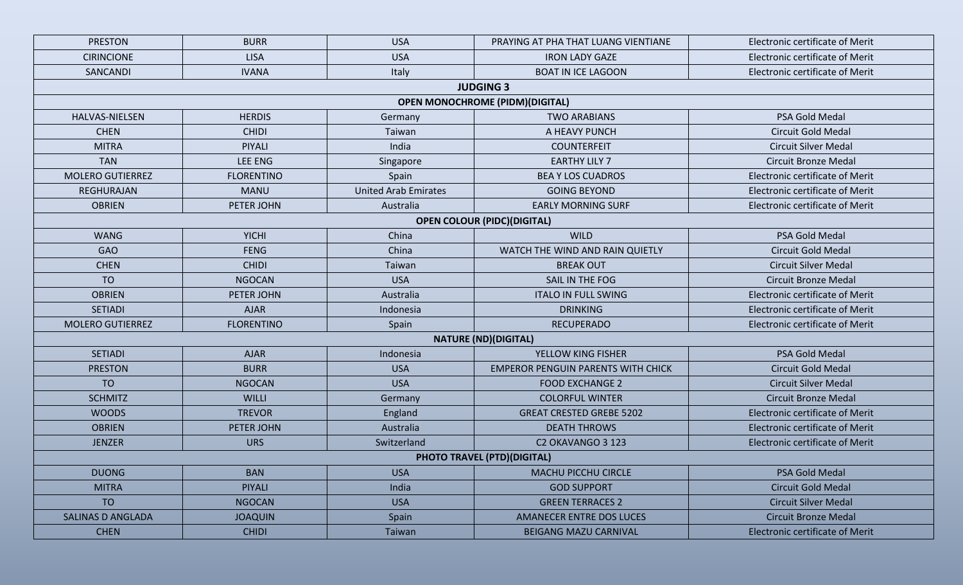| <b>PRESTON</b>           | <b>BURR</b>       | <b>USA</b>                  | PRAYING AT PHA THAT LUANG VIENTIANE       | <b>Electronic certificate of Merit</b> |
|--------------------------|-------------------|-----------------------------|-------------------------------------------|----------------------------------------|
| <b>CIRINCIONE</b>        | <b>LISA</b>       | <b>USA</b>                  | <b>IRON LADY GAZE</b>                     | <b>Electronic certificate of Merit</b> |
| SANCANDI                 | <b>IVANA</b>      | Italy                       | <b>BOAT IN ICE LAGOON</b>                 | <b>Electronic certificate of Merit</b> |
|                          |                   |                             | <b>JUDGING 3</b>                          |                                        |
|                          |                   |                             | <b>OPEN MONOCHROME (PIDM)(DIGITAL)</b>    |                                        |
| <b>HALVAS-NIELSEN</b>    | <b>HERDIS</b>     | Germany                     | <b>TWO ARABIANS</b>                       | PSA Gold Medal                         |
| <b>CHEN</b>              | <b>CHIDI</b>      | Taiwan                      | A HEAVY PUNCH                             | <b>Circuit Gold Medal</b>              |
| <b>MITRA</b>             | PIYALI            | India                       | <b>COUNTERFEIT</b>                        | <b>Circuit Silver Medal</b>            |
| <b>TAN</b>               | LEE ENG           | Singapore                   | <b>EARTHY LILY 7</b>                      | <b>Circuit Bronze Medal</b>            |
| <b>MOLERO GUTIERREZ</b>  | <b>FLORENTINO</b> | Spain                       | <b>BEA Y LOS CUADROS</b>                  | <b>Electronic certificate of Merit</b> |
| <b>REGHURAJAN</b>        | <b>MANU</b>       | <b>United Arab Emirates</b> | <b>GOING BEYOND</b>                       | <b>Electronic certificate of Merit</b> |
| <b>OBRIEN</b>            | PETER JOHN        | Australia                   | <b>EARLY MORNING SURF</b>                 | <b>Electronic certificate of Merit</b> |
|                          |                   |                             | <b>OPEN COLOUR (PIDC)(DIGITAL)</b>        |                                        |
| <b>WANG</b>              | <b>YICHI</b>      | China                       | <b>WILD</b>                               | PSA Gold Medal                         |
| <b>GAO</b>               | <b>FENG</b>       | China                       | WATCH THE WIND AND RAIN QUIETLY           | <b>Circuit Gold Medal</b>              |
| <b>CHEN</b>              | <b>CHIDI</b>      | Taiwan                      | <b>BREAK OUT</b>                          | <b>Circuit Silver Medal</b>            |
| <b>TO</b>                | <b>NGOCAN</b>     | <b>USA</b>                  | SAIL IN THE FOG                           | <b>Circuit Bronze Medal</b>            |
| <b>OBRIEN</b>            | PETER JOHN        | Australia                   | <b>ITALO IN FULL SWING</b>                | <b>Electronic certificate of Merit</b> |
| <b>SETIADI</b>           | <b>AJAR</b>       | Indonesia                   | <b>DRINKING</b>                           | <b>Electronic certificate of Merit</b> |
| <b>MOLERO GUTIERREZ</b>  | <b>FLORENTINO</b> | Spain                       | <b>RECUPERADO</b>                         | <b>Electronic certificate of Merit</b> |
|                          |                   |                             | <b>NATURE (ND)(DIGITAL)</b>               |                                        |
| <b>SETIADI</b>           | <b>AJAR</b>       | Indonesia                   | YELLOW KING FISHER                        | PSA Gold Medal                         |
| <b>PRESTON</b>           | <b>BURR</b>       | <b>USA</b>                  | <b>EMPEROR PENGUIN PARENTS WITH CHICK</b> | <b>Circuit Gold Medal</b>              |
| <b>TO</b>                | <b>NGOCAN</b>     | <b>USA</b>                  | <b>FOOD EXCHANGE 2</b>                    | <b>Circuit Silver Medal</b>            |
| <b>SCHMITZ</b>           | WILLI             | Germany                     | <b>COLORFUL WINTER</b>                    | <b>Circuit Bronze Medal</b>            |
| <b>WOODS</b>             | <b>TREVOR</b>     | England                     | <b>GREAT CRESTED GREBE 5202</b>           | <b>Electronic certificate of Merit</b> |
| <b>OBRIEN</b>            | PETER JOHN        | Australia                   | <b>DEATH THROWS</b>                       | <b>Electronic certificate of Merit</b> |
| <b>JENZER</b>            | <b>URS</b>        | Switzerland                 | C2 OKAVANGO 3 123                         | <b>Electronic certificate of Merit</b> |
|                          |                   |                             | <b>PHOTO TRAVEL (PTD)(DIGITAL)</b>        |                                        |
| <b>DUONG</b>             | <b>BAN</b>        | <b>USA</b>                  | <b>MACHU PICCHU CIRCLE</b>                | PSA Gold Medal                         |
| <b>MITRA</b>             | <b>PIYALI</b>     | India                       | <b>GOD SUPPORT</b>                        | <b>Circuit Gold Medal</b>              |
| <b>TO</b>                | <b>NGOCAN</b>     | <b>USA</b>                  | <b>GREEN TERRACES 2</b>                   | <b>Circuit Silver Medal</b>            |
| <b>SALINAS D ANGLADA</b> | <b>JOAQUIN</b>    | Spain                       | <b>AMANECER ENTRE DOS LUCES</b>           | <b>Circuit Bronze Medal</b>            |
| <b>CHEN</b>              | <b>CHIDI</b>      | Taiwan                      | <b>BEIGANG MAZU CARNIVAL</b>              | <b>Electronic certificate of Merit</b> |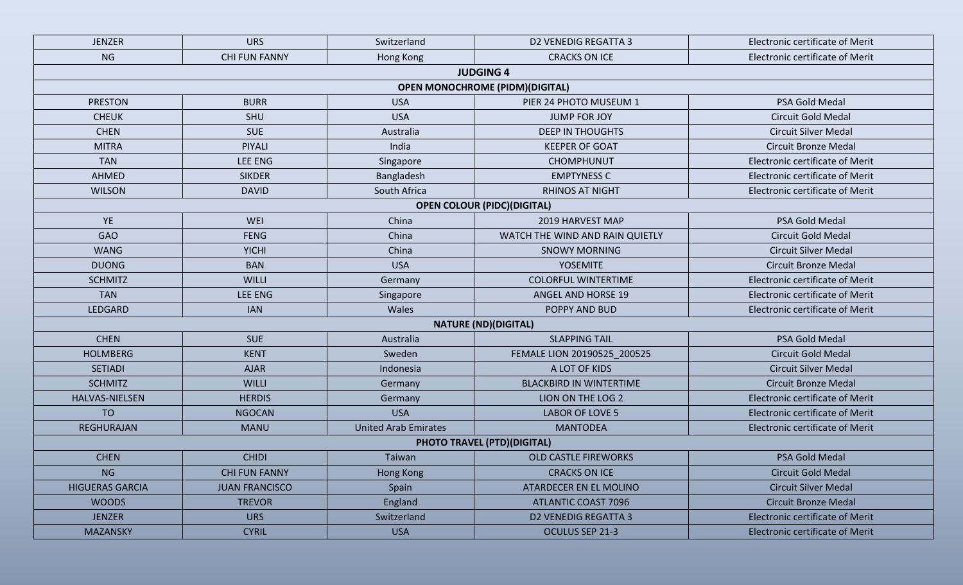| <b>JENZER</b>          | <b>URS</b>            | Switzerland                 | <b>D2 VENEDIG REGATTA 3</b>             | <b>Electronic certificate of Merit</b> |
|------------------------|-----------------------|-----------------------------|-----------------------------------------|----------------------------------------|
| <b>NG</b>              | <b>CHI FUN FANNY</b>  | Hong Kong                   | <b>CRACKS ON ICE</b>                    | <b>Electronic certificate of Merit</b> |
|                        |                       |                             | <b>JUDGING 4</b>                        |                                        |
|                        |                       |                             | <b>OPEN MONOCHROME (PIDM) (DIGITAL)</b> |                                        |
| <b>PRESTON</b>         | <b>BURR</b>           | <b>USA</b>                  | PIER 24 PHOTO MUSEUM 1                  | PSA Gold Medal                         |
| <b>CHEUK</b>           | SHU                   | <b>USA</b>                  | <b>JUMP FOR JOY</b>                     | <b>Circuit Gold Medal</b>              |
| <b>CHEN</b>            | <b>SUE</b>            | Australia                   | <b>DEEP IN THOUGHTS</b>                 | <b>Circuit Silver Medal</b>            |
| <b>MITRA</b>           | PIYALI                | India                       | <b>KEEPER OF GOAT</b>                   | <b>Circuit Bronze Medal</b>            |
| <b>TAN</b>             | LEE ENG               | Singapore                   | <b>CHOMPHUNUT</b>                       | Electronic certificate of Merit        |
| <b>AHMED</b>           | <b>SIKDER</b>         | Bangladesh                  | <b>EMPTYNESS C</b>                      | <b>Electronic certificate of Merit</b> |
| <b>WILSON</b>          | <b>DAVID</b>          | South Africa                | <b>RHINOS AT NIGHT</b>                  | <b>Electronic certificate of Merit</b> |
|                        |                       |                             | <b>OPEN COLOUR (PIDC)(DIGITAL)</b>      |                                        |
| YE                     | WEI                   | China                       | 2019 HARVEST MAP                        | PSA Gold Medal                         |
| <b>GAO</b>             | <b>FENG</b>           | China                       | WATCH THE WIND AND RAIN QUIETLY         | <b>Circuit Gold Medal</b>              |
| <b>WANG</b>            | <b>YICHI</b>          | China                       | <b>SNOWY MORNING</b>                    | <b>Circuit Silver Medal</b>            |
| <b>DUONG</b>           | <b>BAN</b>            | <b>USA</b>                  | <b>YOSEMITE</b>                         | <b>Circuit Bronze Medal</b>            |
| <b>SCHMITZ</b>         | <b>WILLI</b>          | Germany                     | <b>COLORFUL WINTERTIME</b>              | <b>Electronic certificate of Merit</b> |
| <b>TAN</b>             | LEE ENG               | Singapore                   | <b>ANGEL AND HORSE 19</b>               | <b>Electronic certificate of Merit</b> |
| LEDGARD                | <b>IAN</b>            | Wales                       | POPPY AND BUD                           | <b>Electronic certificate of Merit</b> |
|                        |                       |                             | <b>NATURE (ND)(DIGITAL)</b>             |                                        |
| <b>CHEN</b>            | <b>SUE</b>            | Australia                   | <b>SLAPPING TAIL</b>                    | PSA Gold Medal                         |
| <b>HOLMBERG</b>        | <b>KENT</b>           | Sweden                      | FEMALE LION 20190525_200525             | <b>Circuit Gold Medal</b>              |
| <b>SETIADI</b>         | <b>AJAR</b>           | Indonesia                   | A LOT OF KIDS                           | <b>Circuit Silver Medal</b>            |
| <b>SCHMITZ</b>         | <b>WILLI</b>          | Germany                     | <b>BLACKBIRD IN WINTERTIME</b>          | <b>Circuit Bronze Medal</b>            |
| HALVAS-NIELSEN         | <b>HERDIS</b>         | Germany                     | LION ON THE LOG 2                       | <b>Electronic certificate of Merit</b> |
| <b>TO</b>              | <b>NGOCAN</b>         | <b>USA</b>                  | <b>LABOR OF LOVE 5</b>                  | <b>Electronic certificate of Merit</b> |
| <b>REGHURAJAN</b>      | <b>MANU</b>           | <b>United Arab Emirates</b> | <b>MANTODEA</b>                         | <b>Electronic certificate of Merit</b> |
|                        |                       |                             | <b>PHOTO TRAVEL (PTD)(DIGITAL)</b>      |                                        |
| <b>CHEN</b>            | <b>CHIDI</b>          | Taiwan                      | <b>OLD CASTLE FIREWORKS</b>             | PSA Gold Medal                         |
| <b>NG</b>              | <b>CHI FUN FANNY</b>  | <b>Hong Kong</b>            | <b>CRACKS ON ICE</b>                    | <b>Circuit Gold Medal</b>              |
| <b>HIGUERAS GARCIA</b> | <b>JUAN FRANCISCO</b> | Spain                       | ATARDECER EN EL MOLINO                  | <b>Circuit Silver Medal</b>            |
| <b>WOODS</b>           | <b>TREVOR</b>         | England                     | <b>ATLANTIC COAST 7096</b>              | <b>Circuit Bronze Medal</b>            |
| <b>JENZER</b>          | <b>URS</b>            | Switzerland                 | <b>D2 VENEDIG REGATTA 3</b>             | <b>Electronic certificate of Merit</b> |
| <b>MAZANSKY</b>        | <b>CYRIL</b>          | <b>USA</b>                  | OCULUS SEP 21-3                         | <b>Electronic certificate of Merit</b> |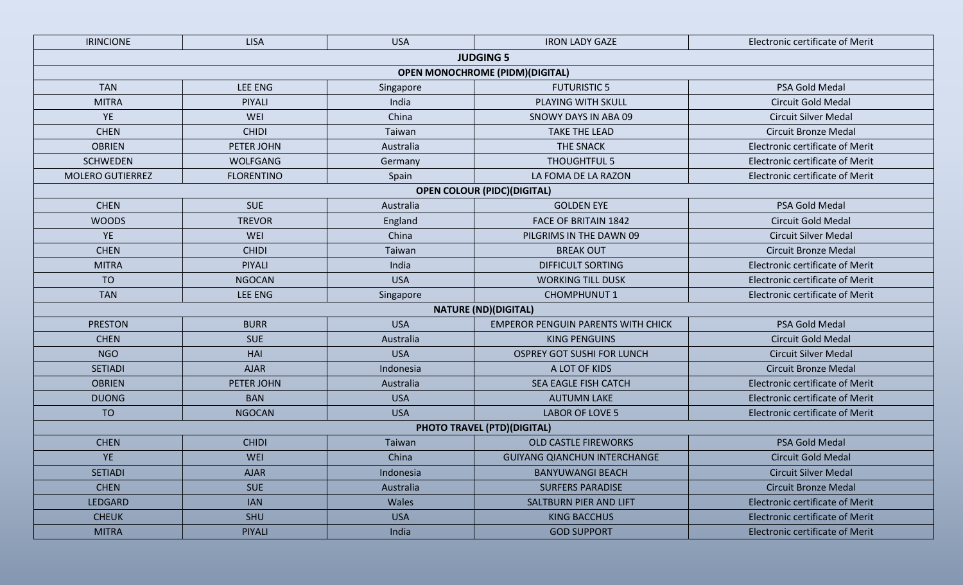| <b>IRINCIONE</b>        | <b>LISA</b>       | <b>USA</b> | <b>IRON LADY GAZE</b>                     | <b>Electronic certificate of Merit</b> |
|-------------------------|-------------------|------------|-------------------------------------------|----------------------------------------|
|                         |                   |            | <b>JUDGING 5</b>                          |                                        |
|                         |                   |            | <b>OPEN MONOCHROME (PIDM)(DIGITAL)</b>    |                                        |
| <b>TAN</b>              | <b>LEE ENG</b>    | Singapore  | <b>FUTURISTIC 5</b>                       | PSA Gold Medal                         |
| <b>MITRA</b>            | PIYALI            | India      | PLAYING WITH SKULL                        | <b>Circuit Gold Medal</b>              |
| YE                      | <b>WEI</b>        | China      | SNOWY DAYS IN ABA 09                      | <b>Circuit Silver Medal</b>            |
| <b>CHEN</b>             | <b>CHIDI</b>      | Taiwan     | <b>TAKE THE LEAD</b>                      | <b>Circuit Bronze Medal</b>            |
| <b>OBRIEN</b>           | PETER JOHN        | Australia  | <b>THE SNACK</b>                          | <b>Electronic certificate of Merit</b> |
| <b>SCHWEDEN</b>         | <b>WOLFGANG</b>   | Germany    | <b>THOUGHTFUL 5</b>                       | <b>Electronic certificate of Merit</b> |
| <b>MOLERO GUTIERREZ</b> | <b>FLORENTINO</b> | Spain      | LA FOMA DE LA RAZON                       | <b>Electronic certificate of Merit</b> |
|                         |                   |            | <b>OPEN COLOUR (PIDC)(DIGITAL)</b>        |                                        |
| <b>CHEN</b>             | <b>SUE</b>        | Australia  | <b>GOLDEN EYE</b>                         | PSA Gold Medal                         |
| <b>WOODS</b>            | <b>TREVOR</b>     | England    | <b>FACE OF BRITAIN 1842</b>               | <b>Circuit Gold Medal</b>              |
| <b>YE</b>               | <b>WEI</b>        | China      | PILGRIMS IN THE DAWN 09                   | <b>Circuit Silver Medal</b>            |
| <b>CHEN</b>             | <b>CHIDI</b>      | Taiwan     | <b>BREAK OUT</b>                          | <b>Circuit Bronze Medal</b>            |
| <b>MITRA</b>            | PIYALI            | India      | <b>DIFFICULT SORTING</b>                  | <b>Electronic certificate of Merit</b> |
| <b>TO</b>               | <b>NGOCAN</b>     | <b>USA</b> | <b>WORKING TILL DUSK</b>                  | <b>Electronic certificate of Merit</b> |
| <b>TAN</b>              | <b>LEE ENG</b>    | Singapore  | <b>CHOMPHUNUT 1</b>                       | <b>Electronic certificate of Merit</b> |
|                         |                   |            | <b>NATURE (ND)(DIGITAL)</b>               |                                        |
| <b>PRESTON</b>          | <b>BURR</b>       | <b>USA</b> | <b>EMPEROR PENGUIN PARENTS WITH CHICK</b> | PSA Gold Medal                         |
| <b>CHEN</b>             | <b>SUE</b>        | Australia  | <b>KING PENGUINS</b>                      | <b>Circuit Gold Medal</b>              |
| <b>NGO</b>              | HAI               | <b>USA</b> | <b>OSPREY GOT SUSHI FOR LUNCH</b>         | <b>Circuit Silver Medal</b>            |
| <b>SETIADI</b>          | <b>AJAR</b>       | Indonesia  | A LOT OF KIDS                             | <b>Circuit Bronze Medal</b>            |
| <b>OBRIEN</b>           | PETER JOHN        | Australia  | SEA EAGLE FISH CATCH                      | <b>Electronic certificate of Merit</b> |
| <b>DUONG</b>            | <b>BAN</b>        | <b>USA</b> | <b>AUTUMN LAKE</b>                        | <b>Electronic certificate of Merit</b> |
| <b>TO</b>               | <b>NGOCAN</b>     | <b>USA</b> | LABOR OF LOVE 5                           | <b>Electronic certificate of Merit</b> |
|                         |                   |            | <b>PHOTO TRAVEL (PTD)(DIGITAL)</b>        |                                        |
| <b>CHEN</b>             | <b>CHIDI</b>      | Taiwan     | <b>OLD CASTLE FIREWORKS</b>               | PSA Gold Medal                         |
| <b>YE</b>               | <b>WEI</b>        | China      | <b>GUIYANG QIANCHUN INTERCHANGE</b>       | <b>Circuit Gold Medal</b>              |
| <b>SETIADI</b>          | <b>AJAR</b>       | Indonesia  | <b>BANYUWANGI BEACH</b>                   | <b>Circuit Silver Medal</b>            |
| <b>CHEN</b>             | <b>SUE</b>        | Australia  | <b>SURFERS PARADISE</b>                   | <b>Circuit Bronze Medal</b>            |
| <b>LEDGARD</b>          | <b>IAN</b>        | Wales      | SALTBURN PIER AND LIFT                    | <b>Electronic certificate of Merit</b> |
| <b>CHEUK</b>            | <b>SHU</b>        | <b>USA</b> | <b>KING BACCHUS</b>                       | <b>Electronic certificate of Merit</b> |
| <b>MITRA</b>            | <b>PIYALI</b>     | India      | <b>GOD SUPPORT</b>                        | <b>Electronic certificate of Merit</b> |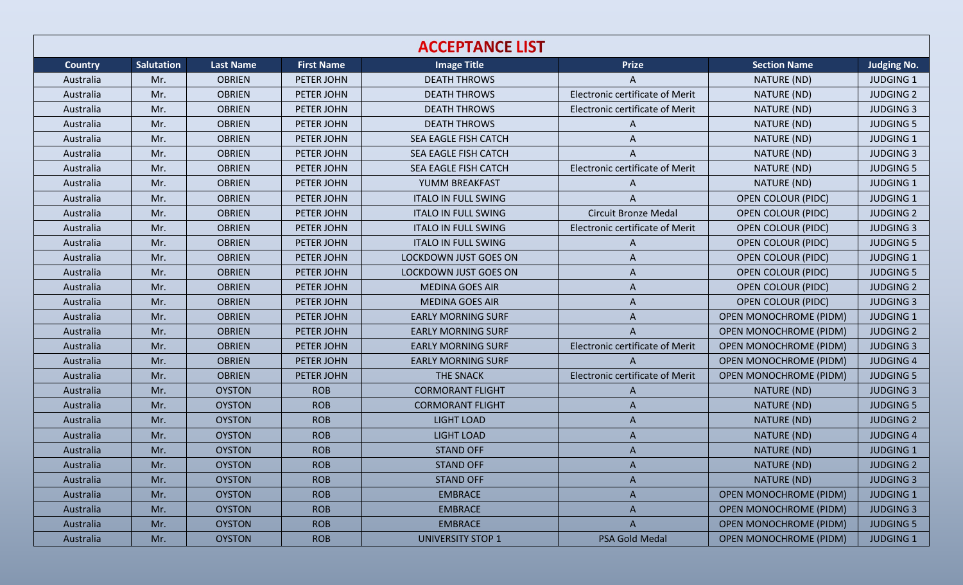| <b>ACCEPTANCE LIST</b> |                   |                  |                   |                              |                                        |                               |                    |  |  |
|------------------------|-------------------|------------------|-------------------|------------------------------|----------------------------------------|-------------------------------|--------------------|--|--|
| <b>Country</b>         | <b>Salutation</b> | <b>Last Name</b> | <b>First Name</b> | <b>Image Title</b>           | <b>Prize</b>                           | <b>Section Name</b>           | <b>Judging No.</b> |  |  |
| Australia              | Mr.               | <b>OBRIEN</b>    | PETER JOHN        | <b>DEATH THROWS</b>          | A                                      | NATURE (ND)                   | <b>JUDGING 1</b>   |  |  |
| Australia              | Mr.               | <b>OBRIEN</b>    | PETER JOHN        | <b>DEATH THROWS</b>          | Electronic certificate of Merit        | NATURE (ND)                   | <b>JUDGING 2</b>   |  |  |
| Australia              | Mr.               | <b>OBRIEN</b>    | PETER JOHN        | <b>DEATH THROWS</b>          | Electronic certificate of Merit        | NATURE (ND)                   | <b>JUDGING 3</b>   |  |  |
| Australia              | Mr.               | <b>OBRIEN</b>    | PETER JOHN        | <b>DEATH THROWS</b>          | A                                      | NATURE (ND)                   | <b>JUDGING 5</b>   |  |  |
| Australia              | Mr.               | <b>OBRIEN</b>    | PETER JOHN        | SEA EAGLE FISH CATCH         | A                                      | NATURE (ND)                   | <b>JUDGING 1</b>   |  |  |
| Australia              | Mr.               | <b>OBRIEN</b>    | PETER JOHN        | SEA EAGLE FISH CATCH         | A                                      | NATURE (ND)                   | <b>JUDGING 3</b>   |  |  |
| Australia              | Mr.               | <b>OBRIEN</b>    | PETER JOHN        | SEA EAGLE FISH CATCH         | Electronic certificate of Merit        | NATURE (ND)                   | <b>JUDGING 5</b>   |  |  |
| Australia              | Mr.               | <b>OBRIEN</b>    | PETER JOHN        | YUMM BREAKFAST               | A                                      | NATURE (ND)                   | <b>JUDGING 1</b>   |  |  |
| Australia              | Mr.               | <b>OBRIEN</b>    | PETER JOHN        | <b>ITALO IN FULL SWING</b>   | $\overline{A}$                         | <b>OPEN COLOUR (PIDC)</b>     | <b>JUDGING 1</b>   |  |  |
| Australia              | Mr.               | <b>OBRIEN</b>    | PETER JOHN        | <b>ITALO IN FULL SWING</b>   | <b>Circuit Bronze Medal</b>            | <b>OPEN COLOUR (PIDC)</b>     | <b>JUDGING 2</b>   |  |  |
| Australia              | Mr.               | <b>OBRIEN</b>    | PETER JOHN        | <b>ITALO IN FULL SWING</b>   | Electronic certificate of Merit        | <b>OPEN COLOUR (PIDC)</b>     | <b>JUDGING 3</b>   |  |  |
| Australia              | Mr.               | <b>OBRIEN</b>    | PETER JOHN        | <b>ITALO IN FULL SWING</b>   | A                                      | <b>OPEN COLOUR (PIDC)</b>     | <b>JUDGING 5</b>   |  |  |
| Australia              | Mr.               | <b>OBRIEN</b>    | PETER JOHN        | LOCKDOWN JUST GOES ON        | A                                      | <b>OPEN COLOUR (PIDC)</b>     | <b>JUDGING 1</b>   |  |  |
| Australia              | Mr.               | <b>OBRIEN</b>    | PETER JOHN        | <b>LOCKDOWN JUST GOES ON</b> | A                                      | <b>OPEN COLOUR (PIDC)</b>     | <b>JUDGING 5</b>   |  |  |
| Australia              | Mr.               | <b>OBRIEN</b>    | PETER JOHN        | <b>MEDINA GOES AIR</b>       | A                                      | <b>OPEN COLOUR (PIDC)</b>     | <b>JUDGING 2</b>   |  |  |
| Australia              | Mr.               | <b>OBRIEN</b>    | PETER JOHN        | <b>MEDINA GOES AIR</b>       | A                                      | <b>OPEN COLOUR (PIDC)</b>     | <b>JUDGING 3</b>   |  |  |
| Australia              | Mr.               | <b>OBRIEN</b>    | PETER JOHN        | <b>EARLY MORNING SURF</b>    | A                                      | <b>OPEN MONOCHROME (PIDM)</b> | JUDGING 1          |  |  |
| Australia              | Mr.               | <b>OBRIEN</b>    | PETER JOHN        | <b>EARLY MORNING SURF</b>    | A                                      | <b>OPEN MONOCHROME (PIDM)</b> | <b>JUDGING 2</b>   |  |  |
| Australia              | Mr.               | <b>OBRIEN</b>    | PETER JOHN        | <b>EARLY MORNING SURF</b>    | Electronic certificate of Merit        | <b>OPEN MONOCHROME (PIDM)</b> | <b>JUDGING 3</b>   |  |  |
| Australia              | Mr.               | <b>OBRIEN</b>    | PETER JOHN        | <b>EARLY MORNING SURF</b>    | A                                      | <b>OPEN MONOCHROME (PIDM)</b> | <b>JUDGING 4</b>   |  |  |
| Australia              | Mr.               | <b>OBRIEN</b>    | PETER JOHN        | THE SNACK                    | <b>Electronic certificate of Merit</b> | <b>OPEN MONOCHROME (PIDM)</b> | <b>JUDGING 5</b>   |  |  |
| Australia              | Mr.               | <b>OYSTON</b>    | <b>ROB</b>        | <b>CORMORANT FLIGHT</b>      | A                                      | NATURE (ND)                   | <b>JUDGING 3</b>   |  |  |
| Australia              | Mr.               | <b>OYSTON</b>    | <b>ROB</b>        | <b>CORMORANT FLIGHT</b>      | A                                      | NATURE (ND)                   | <b>JUDGING 5</b>   |  |  |
| Australia              | Mr.               | <b>OYSTON</b>    | <b>ROB</b>        | <b>LIGHT LOAD</b>            | A                                      | NATURE (ND)                   | <b>JUDGING 2</b>   |  |  |
| Australia              | Mr.               | <b>OYSTON</b>    | <b>ROB</b>        | <b>LIGHT LOAD</b>            | A                                      | NATURE (ND)                   | <b>JUDGING 4</b>   |  |  |
| Australia              | Mr.               | <b>OYSTON</b>    | <b>ROB</b>        | <b>STAND OFF</b>             | A                                      | NATURE (ND)                   | <b>JUDGING 1</b>   |  |  |
| Australia              | Mr.               | <b>OYSTON</b>    | <b>ROB</b>        | <b>STAND OFF</b>             | A                                      | NATURE (ND)                   | <b>JUDGING 2</b>   |  |  |
| Australia              | Mr.               | <b>OYSTON</b>    | <b>ROB</b>        | <b>STAND OFF</b>             | A                                      | NATURE (ND)                   | <b>JUDGING 3</b>   |  |  |
| Australia              | Mr.               | <b>OYSTON</b>    | <b>ROB</b>        | <b>EMBRACE</b>               | A                                      | <b>OPEN MONOCHROME (PIDM)</b> | <b>JUDGING 1</b>   |  |  |
| Australia              | Mr.               | <b>OYSTON</b>    | <b>ROB</b>        | <b>EMBRACE</b>               | $\mathsf{A}$                           | <b>OPEN MONOCHROME (PIDM)</b> | <b>JUDGING 3</b>   |  |  |
| Australia              | Mr.               | <b>OYSTON</b>    | <b>ROB</b>        | <b>EMBRACE</b>               | A                                      | <b>OPEN MONOCHROME (PIDM)</b> | <b>JUDGING 5</b>   |  |  |
| Australia              | Mr.               | <b>OYSTON</b>    | <b>ROB</b>        | <b>UNIVERSITY STOP 1</b>     | PSA Gold Medal                         | <b>OPEN MONOCHROME (PIDM)</b> | <b>JUDGING 1</b>   |  |  |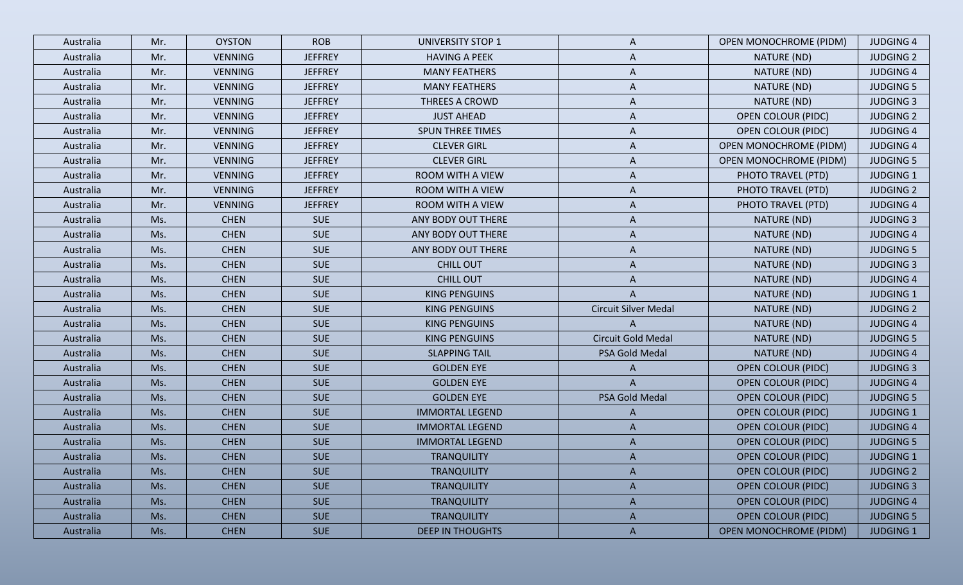| Australia | Mr. | <b>OYSTON</b>  | <b>ROB</b>     | <b>UNIVERSITY STOP 1</b> | A                           | <b>OPEN MONOCHROME (PIDM)</b> | <b>JUDGING 4</b> |
|-----------|-----|----------------|----------------|--------------------------|-----------------------------|-------------------------------|------------------|
| Australia | Mr. | <b>VENNING</b> | <b>JEFFREY</b> | <b>HAVING A PEEK</b>     | A                           | NATURE (ND)                   | <b>JUDGING 2</b> |
| Australia | Mr. | <b>VENNING</b> | <b>JEFFREY</b> | <b>MANY FEATHERS</b>     | A                           | NATURE (ND)                   | <b>JUDGING 4</b> |
| Australia | Mr. | <b>VENNING</b> | <b>JEFFREY</b> | <b>MANY FEATHERS</b>     | A                           | NATURE (ND)                   | <b>JUDGING 5</b> |
| Australia | Mr. | <b>VENNING</b> | <b>JEFFREY</b> | THREES A CROWD           | A                           | NATURE (ND)                   | <b>JUDGING 3</b> |
| Australia | Mr. | <b>VENNING</b> | <b>JEFFREY</b> | <b>JUST AHEAD</b>        | A                           | <b>OPEN COLOUR (PIDC)</b>     | <b>JUDGING 2</b> |
| Australia | Mr. | <b>VENNING</b> | <b>JEFFREY</b> | <b>SPUN THREE TIMES</b>  | A                           | <b>OPEN COLOUR (PIDC)</b>     | <b>JUDGING 4</b> |
| Australia | Mr. | <b>VENNING</b> | <b>JEFFREY</b> | <b>CLEVER GIRL</b>       | A                           | <b>OPEN MONOCHROME (PIDM)</b> | <b>JUDGING 4</b> |
| Australia | Mr. | <b>VENNING</b> | <b>JEFFREY</b> | <b>CLEVER GIRL</b>       | A                           | <b>OPEN MONOCHROME (PIDM)</b> | <b>JUDGING 5</b> |
| Australia | Mr. | <b>VENNING</b> | <b>JEFFREY</b> | ROOM WITH A VIEW         | A                           | PHOTO TRAVEL (PTD)            | <b>JUDGING 1</b> |
| Australia | Mr. | <b>VENNING</b> | <b>JEFFREY</b> | ROOM WITH A VIEW         | A                           | PHOTO TRAVEL (PTD)            | <b>JUDGING 2</b> |
| Australia | Mr. | <b>VENNING</b> | <b>JEFFREY</b> | <b>ROOM WITH A VIEW</b>  | A                           | PHOTO TRAVEL (PTD)            | <b>JUDGING 4</b> |
| Australia | Ms. | <b>CHEN</b>    | <b>SUE</b>     | ANY BODY OUT THERE       | Α                           | NATURE (ND)                   | <b>JUDGING 3</b> |
| Australia | Ms. | <b>CHEN</b>    | <b>SUE</b>     | ANY BODY OUT THERE       | A                           | NATURE (ND)                   | <b>JUDGING 4</b> |
| Australia | Ms. | <b>CHEN</b>    | <b>SUE</b>     | ANY BODY OUT THERE       | A                           | NATURE (ND)                   | <b>JUDGING 5</b> |
| Australia | Ms. | <b>CHEN</b>    | <b>SUE</b>     | <b>CHILL OUT</b>         | A                           | NATURE (ND)                   | <b>JUDGING 3</b> |
| Australia | Ms. | <b>CHEN</b>    | <b>SUE</b>     | <b>CHILL OUT</b>         | A                           | NATURE (ND)                   | <b>JUDGING 4</b> |
| Australia | Ms. | <b>CHEN</b>    | <b>SUE</b>     | <b>KING PENGUINS</b>     | A                           | NATURE (ND)                   | <b>JUDGING 1</b> |
| Australia | Ms. | <b>CHEN</b>    | <b>SUE</b>     | <b>KING PENGUINS</b>     | <b>Circuit Silver Medal</b> | NATURE (ND)                   | <b>JUDGING 2</b> |
| Australia | Ms. | <b>CHEN</b>    | <b>SUE</b>     | <b>KING PENGUINS</b>     | A                           | NATURE (ND)                   | <b>JUDGING 4</b> |
| Australia | Ms. | <b>CHEN</b>    | <b>SUE</b>     | <b>KING PENGUINS</b>     | Circuit Gold Medal          | NATURE (ND)                   | <b>JUDGING 5</b> |
| Australia | Ms. | <b>CHEN</b>    | <b>SUE</b>     | <b>SLAPPING TAIL</b>     | PSA Gold Medal              | NATURE (ND)                   | <b>JUDGING 4</b> |
| Australia | Ms. | <b>CHEN</b>    | <b>SUE</b>     | <b>GOLDEN EYE</b>        | A                           | <b>OPEN COLOUR (PIDC)</b>     | <b>JUDGING 3</b> |
| Australia | Ms. | <b>CHEN</b>    | <b>SUE</b>     | <b>GOLDEN EYE</b>        | A                           | <b>OPEN COLOUR (PIDC)</b>     | <b>JUDGING 4</b> |
| Australia | Ms. | <b>CHEN</b>    | <b>SUE</b>     | <b>GOLDEN EYE</b>        | PSA Gold Medal              | <b>OPEN COLOUR (PIDC)</b>     | <b>JUDGING 5</b> |
| Australia | Ms. | <b>CHEN</b>    | <b>SUE</b>     | <b>IMMORTAL LEGEND</b>   | A                           | <b>OPEN COLOUR (PIDC)</b>     | <b>JUDGING 1</b> |
| Australia | Ms. | <b>CHEN</b>    | <b>SUE</b>     | <b>IMMORTAL LEGEND</b>   | A                           | <b>OPEN COLOUR (PIDC)</b>     | <b>JUDGING 4</b> |
| Australia | Ms. | <b>CHEN</b>    | <b>SUE</b>     | <b>IMMORTAL LEGEND</b>   | A                           | <b>OPEN COLOUR (PIDC)</b>     | <b>JUDGING 5</b> |
| Australia | Ms. | <b>CHEN</b>    | <b>SUE</b>     | <b>TRANQUILITY</b>       | A                           | <b>OPEN COLOUR (PIDC)</b>     | <b>JUDGING 1</b> |
| Australia | Ms. | <b>CHEN</b>    | <b>SUE</b>     | <b>TRANQUILITY</b>       | $\mathsf{A}$                | <b>OPEN COLOUR (PIDC)</b>     | <b>JUDGING 2</b> |
| Australia | Ms. | <b>CHEN</b>    | <b>SUE</b>     | <b>TRANQUILITY</b>       | A                           | <b>OPEN COLOUR (PIDC)</b>     | <b>JUDGING 3</b> |
| Australia | Ms. | <b>CHEN</b>    | <b>SUE</b>     | <b>TRANQUILITY</b>       | $\mathsf{A}$                | <b>OPEN COLOUR (PIDC)</b>     | <b>JUDGING 4</b> |
| Australia | Ms. | <b>CHEN</b>    | <b>SUE</b>     | <b>TRANQUILITY</b>       | $\mathsf{A}$                | <b>OPEN COLOUR (PIDC)</b>     | <b>JUDGING 5</b> |
| Australia | Ms. | <b>CHEN</b>    | <b>SUE</b>     | <b>DEEP IN THOUGHTS</b>  | $\mathsf{A}$                | <b>OPEN MONOCHROME (PIDM)</b> | <b>JUDGING 1</b> |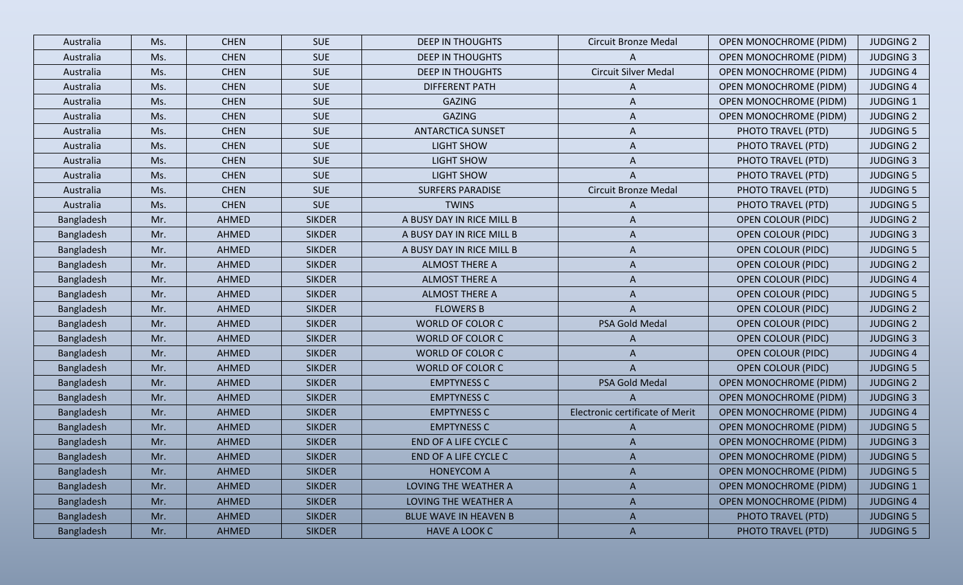| Australia  | Ms. | <b>CHEN</b>  | <b>SUE</b>    | <b>DEEP IN THOUGHTS</b>   | <b>Circuit Bronze Medal</b>     | <b>OPEN MONOCHROME (PIDM)</b> | <b>JUDGING 2</b> |
|------------|-----|--------------|---------------|---------------------------|---------------------------------|-------------------------------|------------------|
| Australia  | Ms. | <b>CHEN</b>  | <b>SUE</b>    | <b>DEEP IN THOUGHTS</b>   | A                               | <b>OPEN MONOCHROME (PIDM)</b> | <b>JUDGING 3</b> |
| Australia  | Ms. | <b>CHEN</b>  | <b>SUE</b>    | <b>DEEP IN THOUGHTS</b>   | <b>Circuit Silver Medal</b>     | <b>OPEN MONOCHROME (PIDM)</b> | <b>JUDGING 4</b> |
| Australia  | Ms. | <b>CHEN</b>  | <b>SUE</b>    | <b>DIFFERENT PATH</b>     | A                               | <b>OPEN MONOCHROME (PIDM)</b> | <b>JUDGING 4</b> |
| Australia  | Ms. | <b>CHEN</b>  | <b>SUE</b>    | <b>GAZING</b>             | A                               | <b>OPEN MONOCHROME (PIDM)</b> | <b>JUDGING 1</b> |
| Australia  | Ms. | <b>CHEN</b>  | <b>SUE</b>    | <b>GAZING</b>             | A                               | <b>OPEN MONOCHROME (PIDM)</b> | <b>JUDGING 2</b> |
| Australia  | Ms. | <b>CHEN</b>  | <b>SUE</b>    | <b>ANTARCTICA SUNSET</b>  | A                               | PHOTO TRAVEL (PTD)            | <b>JUDGING 5</b> |
| Australia  | Ms. | <b>CHEN</b>  | <b>SUE</b>    | <b>LIGHT SHOW</b>         | A                               | PHOTO TRAVEL (PTD)            | <b>JUDGING 2</b> |
| Australia  | Ms. | <b>CHEN</b>  | <b>SUE</b>    | <b>LIGHT SHOW</b>         | A                               | PHOTO TRAVEL (PTD)            | <b>JUDGING 3</b> |
| Australia  | Ms. | <b>CHEN</b>  | <b>SUE</b>    | LIGHT SHOW                | A                               | PHOTO TRAVEL (PTD)            | <b>JUDGING 5</b> |
| Australia  | Ms. | <b>CHEN</b>  | <b>SUE</b>    | <b>SURFERS PARADISE</b>   | <b>Circuit Bronze Medal</b>     | PHOTO TRAVEL (PTD)            | <b>JUDGING 5</b> |
| Australia  | Ms. | <b>CHEN</b>  | <b>SUE</b>    | <b>TWINS</b>              | A                               | PHOTO TRAVEL (PTD)            | <b>JUDGING 5</b> |
| Bangladesh | Mr. | <b>AHMED</b> | <b>SIKDER</b> | A BUSY DAY IN RICE MILL B | A                               | <b>OPEN COLOUR (PIDC)</b>     | <b>JUDGING 2</b> |
| Bangladesh | Mr. | AHMED        | <b>SIKDER</b> | A BUSY DAY IN RICE MILL B | A                               | <b>OPEN COLOUR (PIDC)</b>     | <b>JUDGING 3</b> |
| Bangladesh | Mr. | AHMED        | <b>SIKDER</b> | A BUSY DAY IN RICE MILL B | A                               | <b>OPEN COLOUR (PIDC)</b>     | <b>JUDGING 5</b> |
| Bangladesh | Mr. | AHMED        | <b>SIKDER</b> | <b>ALMOST THERE A</b>     | A                               | <b>OPEN COLOUR (PIDC)</b>     | <b>JUDGING 2</b> |
| Bangladesh | Mr. | AHMED        | <b>SIKDER</b> | <b>ALMOST THERE A</b>     | A                               | <b>OPEN COLOUR (PIDC)</b>     | <b>JUDGING 4</b> |
| Bangladesh | Mr. | AHMED        | <b>SIKDER</b> | <b>ALMOST THERE A</b>     | A                               | <b>OPEN COLOUR (PIDC)</b>     | <b>JUDGING 5</b> |
| Bangladesh | Mr. | AHMED        | <b>SIKDER</b> | <b>FLOWERS B</b>          | A                               | <b>OPEN COLOUR (PIDC)</b>     | <b>JUDGING 2</b> |
| Bangladesh | Mr. | <b>AHMED</b> | <b>SIKDER</b> | WORLD OF COLOR C          | PSA Gold Medal                  | <b>OPEN COLOUR (PIDC)</b>     | <b>JUDGING 2</b> |
| Bangladesh | Mr. | AHMED        | <b>SIKDER</b> | WORLD OF COLOR C          | A                               | <b>OPEN COLOUR (PIDC)</b>     | <b>JUDGING 3</b> |
| Bangladesh | Mr. | <b>AHMED</b> | <b>SIKDER</b> | WORLD OF COLOR C          | A                               | <b>OPEN COLOUR (PIDC)</b>     | <b>JUDGING 4</b> |
| Bangladesh | Mr. | <b>AHMED</b> | <b>SIKDER</b> | WORLD OF COLOR C          | A                               | <b>OPEN COLOUR (PIDC)</b>     | <b>JUDGING 5</b> |
| Bangladesh | Mr. | AHMED        | <b>SIKDER</b> | <b>EMPTYNESS C</b>        | PSA Gold Medal                  | <b>OPEN MONOCHROME (PIDM)</b> | <b>JUDGING 2</b> |
| Bangladesh | Mr. | <b>AHMED</b> | <b>SIKDER</b> | <b>EMPTYNESS C</b>        | A                               | <b>OPEN MONOCHROME (PIDM)</b> | <b>JUDGING 3</b> |
| Bangladesh | Mr. | <b>AHMED</b> | <b>SIKDER</b> | <b>EMPTYNESS C</b>        | Electronic certificate of Merit | <b>OPEN MONOCHROME (PIDM)</b> | <b>JUDGING 4</b> |
| Bangladesh | Mr. | AHMED        | <b>SIKDER</b> | <b>EMPTYNESS C</b>        | A                               | <b>OPEN MONOCHROME (PIDM)</b> | <b>JUDGING 5</b> |
| Bangladesh | Mr. | AHMED        | <b>SIKDER</b> | END OF A LIFE CYCLE C     | A                               | <b>OPEN MONOCHROME (PIDM)</b> | <b>JUDGING 3</b> |
| Bangladesh | Mr. | <b>AHMED</b> | <b>SIKDER</b> | END OF A LIFE CYCLE C     | A                               | OPEN MONOCHROME (PIDM)        | <b>JUDGING 5</b> |
| Bangladesh | Mr. | AHMED        | <b>SIKDER</b> | <b>HONEYCOM A</b>         | A                               | <b>OPEN MONOCHROME (PIDM)</b> | <b>JUDGING 5</b> |
| Bangladesh | Mr. | <b>AHMED</b> | <b>SIKDER</b> | LOVING THE WEATHER A      | A                               | <b>OPEN MONOCHROME (PIDM)</b> | <b>JUDGING 1</b> |
| Bangladesh | Mr. | AHMED        | <b>SIKDER</b> | LOVING THE WEATHER A      | $\mathsf{A}$                    | <b>OPEN MONOCHROME (PIDM)</b> | <b>JUDGING 4</b> |
| Bangladesh | Mr. | AHMED        | <b>SIKDER</b> | BLUE WAVE IN HEAVEN B     | $\mathsf{A}$                    | PHOTO TRAVEL (PTD)            | <b>JUDGING 5</b> |
| Bangladesh | Mr. | AHMED        | <b>SIKDER</b> | HAVE A LOOK C             | $\mathsf{A}$                    | PHOTO TRAVEL (PTD)            | <b>JUDGING 5</b> |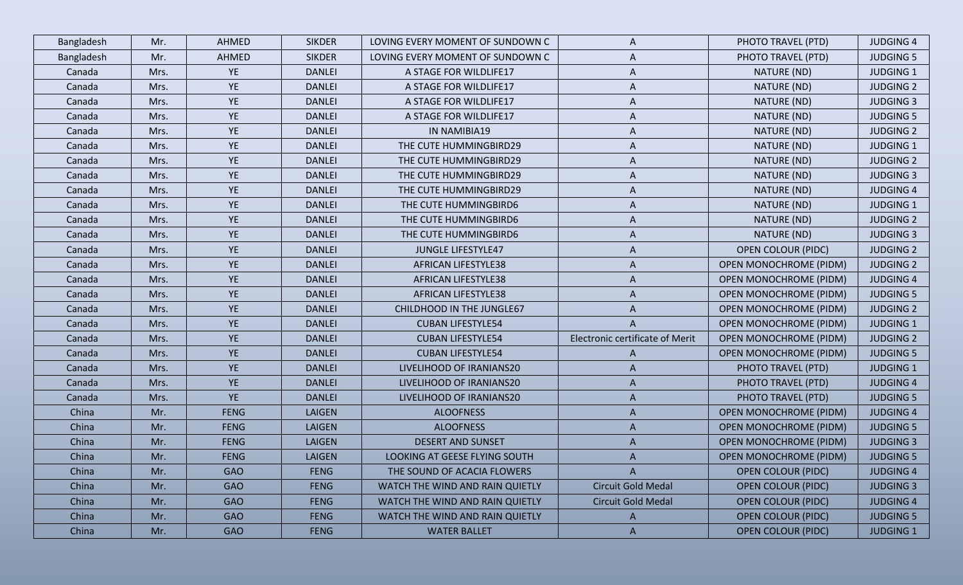| Bangladesh | Mr.  | AHMED       | <b>SIKDER</b> | LOVING EVERY MOMENT OF SUNDOWN C | A                               | PHOTO TRAVEL (PTD)            | <b>JUDGING 4</b> |
|------------|------|-------------|---------------|----------------------------------|---------------------------------|-------------------------------|------------------|
| Bangladesh | Mr.  | AHMED       | <b>SIKDER</b> | LOVING EVERY MOMENT OF SUNDOWN C | A                               | PHOTO TRAVEL (PTD)            | <b>JUDGING 5</b> |
| Canada     | Mrs. | <b>YE</b>   | <b>DANLEI</b> | A STAGE FOR WILDLIFE17           | A                               | NATURE (ND)                   | <b>JUDGING 1</b> |
| Canada     | Mrs. | YE          | <b>DANLEI</b> | A STAGE FOR WILDLIFE17           | A                               | NATURE (ND)                   | <b>JUDGING 2</b> |
| Canada     | Mrs. | <b>YE</b>   | <b>DANLEI</b> | A STAGE FOR WILDLIFE17           | A                               | NATURE (ND)                   | <b>JUDGING 3</b> |
| Canada     | Mrs. | YE          | <b>DANLEI</b> | A STAGE FOR WILDLIFE17           | A                               | NATURE (ND)                   | <b>JUDGING 5</b> |
| Canada     | Mrs. | YE          | <b>DANLEI</b> | IN NAMIBIA19                     | A                               | NATURE (ND)                   | <b>JUDGING 2</b> |
| Canada     | Mrs. | <b>YE</b>   | <b>DANLEI</b> | THE CUTE HUMMINGBIRD29           | A                               | NATURE (ND)                   | <b>JUDGING 1</b> |
| Canada     | Mrs. | YE          | <b>DANLEI</b> | THE CUTE HUMMINGBIRD29           | A                               | NATURE (ND)                   | <b>JUDGING 2</b> |
| Canada     | Mrs. | <b>YE</b>   | <b>DANLEI</b> | THE CUTE HUMMINGBIRD29           | A                               | NATURE (ND)                   | <b>JUDGING 3</b> |
| Canada     | Mrs. | YE          | <b>DANLEI</b> | THE CUTE HUMMINGBIRD29           | A                               | NATURE (ND)                   | <b>JUDGING 4</b> |
| Canada     | Mrs. | YE          | <b>DANLEI</b> | THE CUTE HUMMINGBIRD6            | A                               | NATURE (ND)                   | <b>JUDGING 1</b> |
| Canada     | Mrs. | YE          | <b>DANLEI</b> | THE CUTE HUMMINGBIRD6            | A                               | NATURE (ND)                   | <b>JUDGING 2</b> |
| Canada     | Mrs. | <b>YE</b>   | <b>DANLEI</b> | THE CUTE HUMMINGBIRD6            | A                               | NATURE (ND)                   | <b>JUDGING 3</b> |
| Canada     | Mrs. | <b>YE</b>   | <b>DANLEI</b> | <b>JUNGLE LIFESTYLE47</b>        | A                               | <b>OPEN COLOUR (PIDC)</b>     | <b>JUDGING 2</b> |
| Canada     | Mrs. | YE          | <b>DANLEI</b> | <b>AFRICAN LIFESTYLE38</b>       | A                               | <b>OPEN MONOCHROME (PIDM)</b> | <b>JUDGING 2</b> |
| Canada     | Mrs. | <b>YE</b>   | <b>DANLEI</b> | <b>AFRICAN LIFESTYLE38</b>       | A                               | <b>OPEN MONOCHROME (PIDM)</b> | <b>JUDGING 4</b> |
| Canada     | Mrs. | YE          | <b>DANLEI</b> | <b>AFRICAN LIFESTYLE38</b>       | A                               | <b>OPEN MONOCHROME (PIDM)</b> | <b>JUDGING 5</b> |
| Canada     | Mrs. | YE          | <b>DANLEI</b> | CHILDHOOD IN THE JUNGLE67        | A                               | <b>OPEN MONOCHROME (PIDM)</b> | <b>JUDGING 2</b> |
| Canada     | Mrs. | <b>YE</b>   | <b>DANLEI</b> | <b>CUBAN LIFESTYLE54</b>         | A                               | <b>OPEN MONOCHROME (PIDM)</b> | <b>JUDGING 1</b> |
| Canada     | Mrs. | <b>YE</b>   | <b>DANLEI</b> | <b>CUBAN LIFESTYLE54</b>         | Electronic certificate of Merit | <b>OPEN MONOCHROME (PIDM)</b> | <b>JUDGING 2</b> |
| Canada     | Mrs. | <b>YE</b>   | <b>DANLEI</b> | <b>CUBAN LIFESTYLE54</b>         | A                               | <b>OPEN MONOCHROME (PIDM)</b> | <b>JUDGING 5</b> |
| Canada     | Mrs. | <b>YE</b>   | <b>DANLEI</b> | LIVELIHOOD OF IRANIANS20         | A                               | PHOTO TRAVEL (PTD)            | <b>JUDGING 1</b> |
| Canada     | Mrs. | <b>YE</b>   | <b>DANLEI</b> | LIVELIHOOD OF IRANIANS20         | A                               | PHOTO TRAVEL (PTD)            | <b>JUDGING 4</b> |
| Canada     | Mrs. | <b>YE</b>   | <b>DANLEI</b> | LIVELIHOOD OF IRANIANS20         | A                               | PHOTO TRAVEL (PTD)            | <b>JUDGING 5</b> |
| China      | Mr.  | <b>FENG</b> | <b>LAIGEN</b> | <b>ALOOFNESS</b>                 | A                               | <b>OPEN MONOCHROME (PIDM)</b> | <b>JUDGING 4</b> |
| China      | Mr.  | <b>FENG</b> | <b>LAIGEN</b> | <b>ALOOFNESS</b>                 | A                               | <b>OPEN MONOCHROME (PIDM)</b> | <b>JUDGING 5</b> |
| China      | Mr.  | <b>FENG</b> | <b>LAIGEN</b> | <b>DESERT AND SUNSET</b>         | A                               | <b>OPEN MONOCHROME (PIDM)</b> | <b>JUDGING 3</b> |
| China      | Mr.  | <b>FENG</b> | <b>LAIGEN</b> | LOOKING AT GEESE FLYING SOUTH    |                                 | <b>OPEN MONOCHROME (PIDM)</b> | <b>JUDGING 5</b> |
| China      | Mr.  | <b>GAO</b>  | <b>FENG</b>   | THE SOUND OF ACACIA FLOWERS      | $\mathsf{A}$                    | <b>OPEN COLOUR (PIDC)</b>     | <b>JUDGING 4</b> |
| China      | Mr.  | <b>GAO</b>  | <b>FENG</b>   | WATCH THE WIND AND RAIN QUIETLY  | Circuit Gold Medal              | <b>OPEN COLOUR (PIDC)</b>     | <b>JUDGING 3</b> |
| China      | Mr.  | <b>GAO</b>  | <b>FENG</b>   | WATCH THE WIND AND RAIN QUIETLY  | <b>Circuit Gold Medal</b>       | <b>OPEN COLOUR (PIDC)</b>     | <b>JUDGING 4</b> |
| China      | Mr.  | <b>GAO</b>  | <b>FENG</b>   | WATCH THE WIND AND RAIN QUIETLY  | $\mathsf{A}$                    | <b>OPEN COLOUR (PIDC)</b>     | <b>JUDGING 5</b> |
| China      | Mr.  | <b>GAO</b>  | <b>FENG</b>   | <b>WATER BALLET</b>              | $\mathsf{A}$                    | <b>OPEN COLOUR (PIDC)</b>     | <b>JUDGING 1</b> |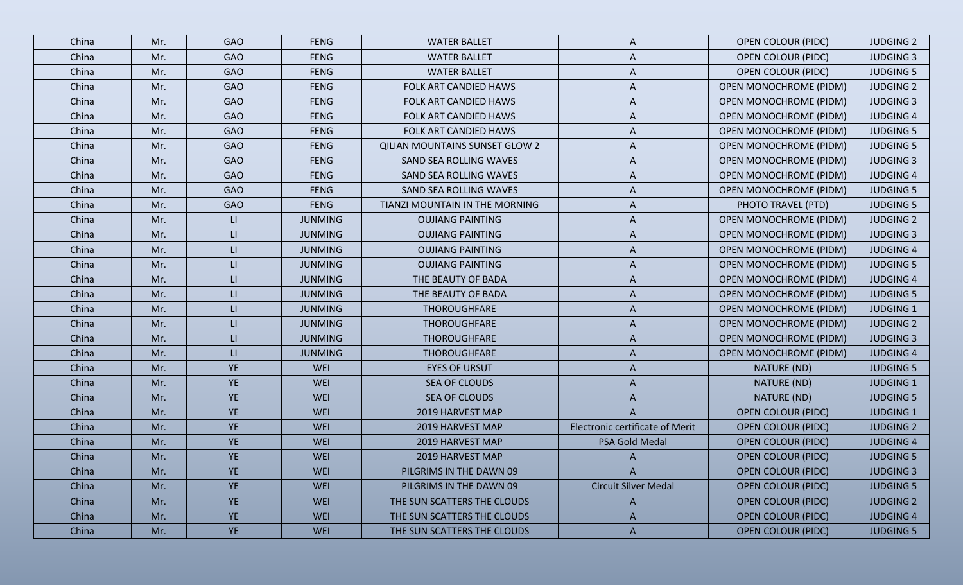| China | Mr. | <b>GAO</b>              | <b>FENG</b>    | <b>WATER BALLET</b>                   | A                               | <b>OPEN COLOUR (PIDC)</b>     | <b>JUDGING 2</b> |
|-------|-----|-------------------------|----------------|---------------------------------------|---------------------------------|-------------------------------|------------------|
| China | Mr. | <b>GAO</b>              | <b>FENG</b>    | <b>WATER BALLET</b>                   | A                               | <b>OPEN COLOUR (PIDC)</b>     | <b>JUDGING 3</b> |
| China | Mr. | <b>GAO</b>              | <b>FENG</b>    | <b>WATER BALLET</b>                   | A                               | <b>OPEN COLOUR (PIDC)</b>     | <b>JUDGING 5</b> |
| China | Mr. | <b>GAO</b>              | <b>FENG</b>    | FOLK ART CANDIED HAWS                 | A                               | <b>OPEN MONOCHROME (PIDM)</b> | <b>JUDGING 2</b> |
| China | Mr. | <b>GAO</b>              | <b>FENG</b>    | FOLK ART CANDIED HAWS                 | A                               | <b>OPEN MONOCHROME (PIDM)</b> | <b>JUDGING 3</b> |
| China | Mr. | <b>GAO</b>              | <b>FENG</b>    | FOLK ART CANDIED HAWS                 | $\overline{A}$                  | <b>OPEN MONOCHROME (PIDM)</b> | <b>JUDGING 4</b> |
| China | Mr. | <b>GAO</b>              | <b>FENG</b>    | FOLK ART CANDIED HAWS                 | A                               | <b>OPEN MONOCHROME (PIDM)</b> | <b>JUDGING 5</b> |
| China | Mr. | <b>GAO</b>              | <b>FENG</b>    | <b>QILIAN MOUNTAINS SUNSET GLOW 2</b> | A                               | <b>OPEN MONOCHROME (PIDM)</b> | <b>JUDGING 5</b> |
| China | Mr. | <b>GAO</b>              | <b>FENG</b>    | SAND SEA ROLLING WAVES                | A                               | <b>OPEN MONOCHROME (PIDM)</b> | <b>JUDGING 3</b> |
| China | Mr. | <b>GAO</b>              | <b>FENG</b>    | SAND SEA ROLLING WAVES                | A                               | <b>OPEN MONOCHROME (PIDM)</b> | <b>JUDGING 4</b> |
| China | Mr. | <b>GAO</b>              | <b>FENG</b>    | SAND SEA ROLLING WAVES                | A                               | <b>OPEN MONOCHROME (PIDM)</b> | <b>JUDGING 5</b> |
| China | Mr. | <b>GAO</b>              | <b>FENG</b>    | TIANZI MOUNTAIN IN THE MORNING        | A                               | PHOTO TRAVEL (PTD)            | <b>JUDGING 5</b> |
| China | Mr. | $\mathsf{L}\mathsf{L}$  | <b>JUNMING</b> | <b>OUJIANG PAINTING</b>               | A                               | <b>OPEN MONOCHROME (PIDM)</b> | <b>JUDGING 2</b> |
| China | Mr. | $\mathsf{L}\mathsf{L}$  | <b>JUNMING</b> | <b>OUJIANG PAINTING</b>               | A                               | <b>OPEN MONOCHROME (PIDM)</b> | <b>JUDGING 3</b> |
| China | Mr. | $\mathsf{L}\mathsf{L}$  | <b>JUNMING</b> | <b>OUJIANG PAINTING</b>               | A                               | <b>OPEN MONOCHROME (PIDM)</b> | <b>JUDGING 4</b> |
| China | Mr. | $\mathsf{L}\mathsf{L}$  | <b>JUNMING</b> | <b>OUJIANG PAINTING</b>               | A                               | <b>OPEN MONOCHROME (PIDM)</b> | <b>JUDGING 5</b> |
| China | Mr. | $\mathsf{L}\mathsf{L}$  | <b>JUNMING</b> | THE BEAUTY OF BADA                    | A                               | <b>OPEN MONOCHROME (PIDM)</b> | <b>JUDGING 4</b> |
| China | Mr. | $\mathsf{L}\mathsf{L}$  | <b>JUNMING</b> | THE BEAUTY OF BADA                    | A                               | <b>OPEN MONOCHROME (PIDM)</b> | <b>JUDGING 5</b> |
| China | Mr. | $\mathsf{L}\mathsf{L}$  | <b>JUNMING</b> | THOROUGHFARE                          | A                               | <b>OPEN MONOCHROME (PIDM)</b> | <b>JUDGING 1</b> |
| China | Mr. | $\mathsf{L}\mathsf{L}$  | <b>JUNMING</b> | THOROUGHFARE                          | A                               | <b>OPEN MONOCHROME (PIDM)</b> | <b>JUDGING 2</b> |
| China | Mr. | $\mathsf{L}\mathsf{L}$  | <b>JUNMING</b> | THOROUGHFARE                          | A                               | <b>OPEN MONOCHROME (PIDM)</b> | <b>JUDGING 3</b> |
| China | Mr. | $\mathsf{L}\mathsf{L}%$ | <b>JUNMING</b> | THOROUGHFARE                          | A                               | <b>OPEN MONOCHROME (PIDM)</b> | <b>JUDGING 4</b> |
| China | Mr. | <b>YE</b>               | WEI            | <b>EYES OF URSUT</b>                  | A                               | NATURE (ND)                   | <b>JUDGING 5</b> |
| China | Mr. | <b>YE</b>               | WEI            | SEA OF CLOUDS                         | A                               | NATURE (ND)                   | <b>JUDGING 1</b> |
| China | Mr. | <b>YE</b>               | WEI            | SEA OF CLOUDS                         | A                               | NATURE (ND)                   | <b>JUDGING 5</b> |
| China | Mr. | <b>YE</b>               | WEI            | 2019 HARVEST MAP                      | A                               | <b>OPEN COLOUR (PIDC)</b>     | <b>JUDGING 1</b> |
| China | Mr. | <b>YE</b>               | WEI            | 2019 HARVEST MAP                      | Electronic certificate of Merit | <b>OPEN COLOUR (PIDC)</b>     | <b>JUDGING 2</b> |
| China | Mr. | <b>YE</b>               | WEI            | 2019 HARVEST MAP                      | PSA Gold Medal                  | <b>OPEN COLOUR (PIDC)</b>     | <b>JUDGING 4</b> |
| China | Mr. | <b>YE</b>               | WEI            | 2019 HARVEST MAP                      |                                 | <b>OPEN COLOUR (PIDC)</b>     | <b>JUDGING 5</b> |
| China | Mr. | <b>YE</b>               | WEI            | PILGRIMS IN THE DAWN 09               | $\mathsf{A}$                    | <b>OPEN COLOUR (PIDC)</b>     | <b>JUDGING 3</b> |
| China | Mr. | <b>YE</b>               | WEI            | PILGRIMS IN THE DAWN 09               | <b>Circuit Silver Medal</b>     | <b>OPEN COLOUR (PIDC)</b>     | <b>JUDGING 5</b> |
| China | Mr. | YE                      | WEI            | THE SUN SCATTERS THE CLOUDS           | $\mathsf{A}$                    | <b>OPEN COLOUR (PIDC)</b>     | <b>JUDGING 2</b> |
| China | Mr. | <b>YE</b>               | WEI            | THE SUN SCATTERS THE CLOUDS           | A                               | <b>OPEN COLOUR (PIDC)</b>     | <b>JUDGING 4</b> |
| China | Mr. | YE                      | WEI            | THE SUN SCATTERS THE CLOUDS           | $\mathsf{A}$                    | <b>OPEN COLOUR (PIDC)</b>     | <b>JUDGING 5</b> |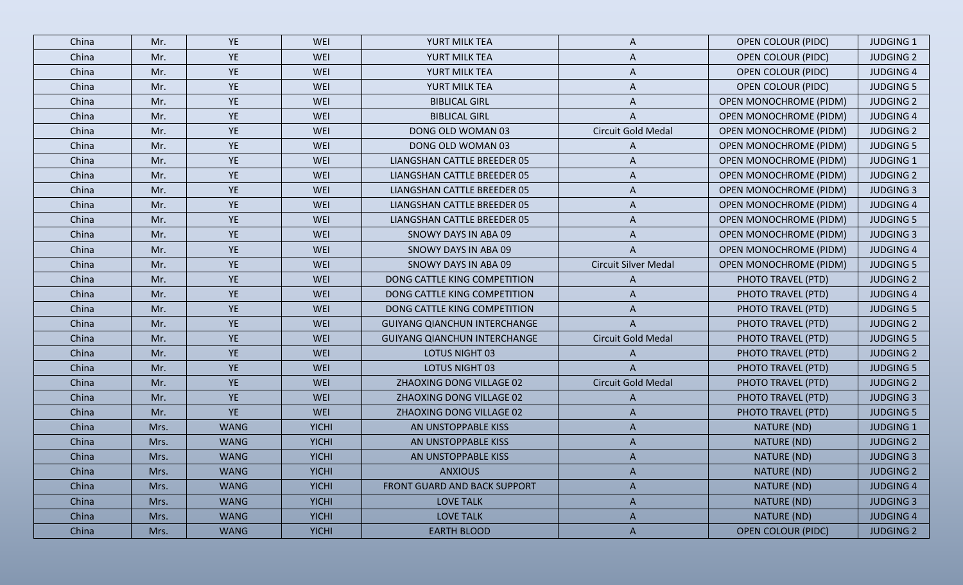| China | Mr.  | YE          | WEI          | YURT MILK TEA                       | A                           | <b>OPEN COLOUR (PIDC)</b>     | <b>JUDGING 1</b> |
|-------|------|-------------|--------------|-------------------------------------|-----------------------------|-------------------------------|------------------|
| China | Mr.  | YE          | WEI          | YURT MILK TEA                       | A                           | <b>OPEN COLOUR (PIDC)</b>     | <b>JUDGING 2</b> |
| China | Mr.  | <b>YE</b>   | WEI          | YURT MILK TEA                       | A                           | <b>OPEN COLOUR (PIDC)</b>     | <b>JUDGING 4</b> |
| China | Mr.  | YE          | WEI          | YURT MILK TEA                       | A                           | <b>OPEN COLOUR (PIDC)</b>     | <b>JUDGING 5</b> |
| China | Mr.  | <b>YE</b>   | <b>WEI</b>   | <b>BIBLICAL GIRL</b>                | A                           | <b>OPEN MONOCHROME (PIDM)</b> | <b>JUDGING 2</b> |
| China | Mr.  | <b>YE</b>   | WEI          | <b>BIBLICAL GIRL</b>                |                             | <b>OPEN MONOCHROME (PIDM)</b> | <b>JUDGING 4</b> |
| China | Mr.  | <b>YE</b>   | WEI          | DONG OLD WOMAN 03                   | Circuit Gold Medal          | <b>OPEN MONOCHROME (PIDM)</b> | <b>JUDGING 2</b> |
| China | Mr.  | <b>YE</b>   | WEI          | DONG OLD WOMAN 03                   | A                           | <b>OPEN MONOCHROME (PIDM)</b> | <b>JUDGING 5</b> |
| China | Mr.  | <b>YE</b>   | WEI          | LIANGSHAN CATTLE BREEDER 05         | A                           | <b>OPEN MONOCHROME (PIDM)</b> | <b>JUDGING 1</b> |
| China | Mr.  | YE          | WEI          | LIANGSHAN CATTLE BREEDER 05         | A                           | <b>OPEN MONOCHROME (PIDM)</b> | <b>JUDGING 2</b> |
| China | Mr.  | <b>YE</b>   | WEI          | LIANGSHAN CATTLE BREEDER 05         | A                           | <b>OPEN MONOCHROME (PIDM)</b> | <b>JUDGING 3</b> |
| China | Mr.  | YE          | WEI          | LIANGSHAN CATTLE BREEDER 05         | A                           | <b>OPEN MONOCHROME (PIDM)</b> | <b>JUDGING 4</b> |
| China | Mr.  | <b>YE</b>   | WEI          | LIANGSHAN CATTLE BREEDER 05         | A                           | <b>OPEN MONOCHROME (PIDM)</b> | <b>JUDGING 5</b> |
| China | Mr.  | <b>YE</b>   | WEI          | SNOWY DAYS IN ABA 09                | A                           | <b>OPEN MONOCHROME (PIDM)</b> | <b>JUDGING 3</b> |
| China | Mr.  | <b>YE</b>   | WEI          | SNOWY DAYS IN ABA 09                | A                           | <b>OPEN MONOCHROME (PIDM)</b> | <b>JUDGING 4</b> |
| China | Mr.  | YE          | WEI          | SNOWY DAYS IN ABA 09                | <b>Circuit Silver Medal</b> | <b>OPEN MONOCHROME (PIDM)</b> | <b>JUDGING 5</b> |
| China | Mr.  | <b>YE</b>   | <b>WEI</b>   | DONG CATTLE KING COMPETITION        | A                           | PHOTO TRAVEL (PTD)            | <b>JUDGING 2</b> |
| China | Mr.  | YE          | WEI          | DONG CATTLE KING COMPETITION        | A                           | PHOTO TRAVEL (PTD)            | <b>JUDGING 4</b> |
| China | Mr.  | <b>YE</b>   | WEI          | DONG CATTLE KING COMPETITION        | A                           | PHOTO TRAVEL (PTD)            | <b>JUDGING 5</b> |
| China | Mr.  | <b>YE</b>   | WEI          | <b>GUIYANG QIANCHUN INTERCHANGE</b> | A                           | PHOTO TRAVEL (PTD)            | <b>JUDGING 2</b> |
| China | Mr.  | <b>YE</b>   | <b>WEI</b>   | <b>GUIYANG QIANCHUN INTERCHANGE</b> | Circuit Gold Medal          | PHOTO TRAVEL (PTD)            | <b>JUDGING 5</b> |
| China | Mr.  | <b>YE</b>   | <b>WEI</b>   | LOTUS NIGHT 03                      | A                           | PHOTO TRAVEL (PTD)            | <b>JUDGING 2</b> |
| China | Mr.  | <b>YE</b>   | <b>WEI</b>   | LOTUS NIGHT 03                      | A                           | PHOTO TRAVEL (PTD)            | <b>JUDGING 5</b> |
| China | Mr.  | YE          | <b>WEI</b>   | ZHAOXING DONG VILLAGE 02            | <b>Circuit Gold Medal</b>   | PHOTO TRAVEL (PTD)            | <b>JUDGING 2</b> |
| China | Mr.  | <b>YE</b>   | WEI          | ZHAOXING DONG VILLAGE 02            | A                           | PHOTO TRAVEL (PTD)            | <b>JUDGING 3</b> |
| China | Mr.  | YE          | WEI          | ZHAOXING DONG VILLAGE 02            | A                           | PHOTO TRAVEL (PTD)            | <b>JUDGING 5</b> |
| China | Mrs. | <b>WANG</b> | <b>YICHI</b> | AN UNSTOPPABLE KISS                 | A                           | NATURE (ND)                   | <b>JUDGING 1</b> |
| China | Mrs. | <b>WANG</b> | <b>YICHI</b> | AN UNSTOPPABLE KISS                 | A                           | NATURE (ND)                   | <b>JUDGING 2</b> |
| China | Mrs. | <b>WANG</b> | <b>YICHI</b> | AN UNSTOPPABLE KISS                 |                             | NATURE (ND)                   | <b>JUDGING 3</b> |
| China | Mrs. | <b>WANG</b> | <b>YICHI</b> | <b>ANXIOUS</b>                      | $\mathsf{A}$                | NATURE (ND)                   | <b>JUDGING 2</b> |
| China | Mrs. | <b>WANG</b> | <b>YICHI</b> | FRONT GUARD AND BACK SUPPORT        | $\mathsf{A}$                | NATURE (ND)                   | <b>JUDGING 4</b> |
| China | Mrs. | <b>WANG</b> | <b>YICHI</b> | <b>LOVE TALK</b>                    | $\mathsf{A}$                | NATURE (ND)                   | <b>JUDGING 3</b> |
| China | Mrs. | <b>WANG</b> | <b>YICHI</b> | <b>LOVE TALK</b>                    | A                           | NATURE (ND)                   | <b>JUDGING 4</b> |
| China | Mrs. | <b>WANG</b> | <b>YICHI</b> | <b>EARTH BLOOD</b>                  | $\mathsf{A}$                | <b>OPEN COLOUR (PIDC)</b>     | <b>JUDGING 2</b> |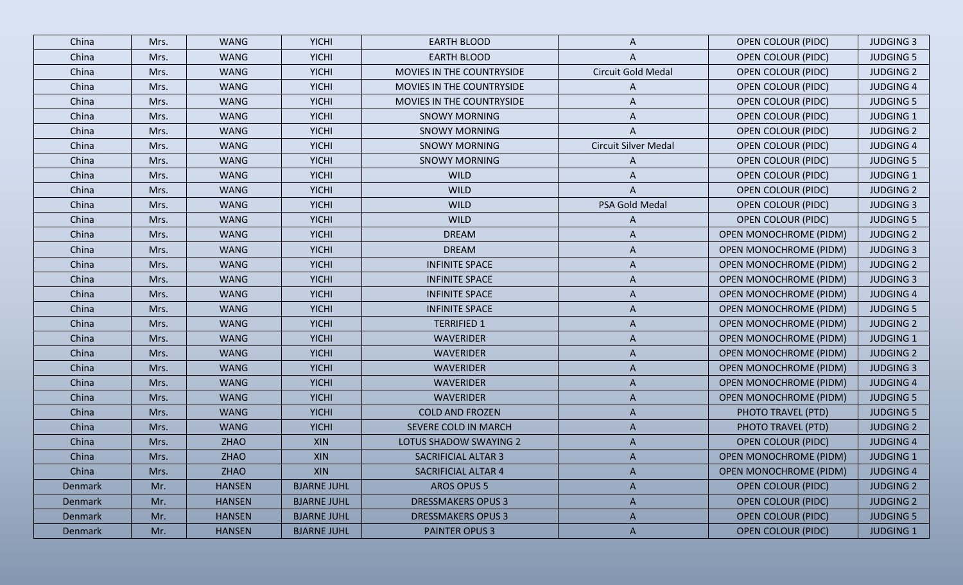| China   | Mrs. | <b>WANG</b>   | <b>YICHI</b>       | <b>EARTH BLOOD</b>        | A                           | <b>OPEN COLOUR (PIDC)</b>     | <b>JUDGING 3</b> |
|---------|------|---------------|--------------------|---------------------------|-----------------------------|-------------------------------|------------------|
| China   | Mrs. | <b>WANG</b>   | <b>YICHI</b>       | <b>EARTH BLOOD</b>        | A                           | <b>OPEN COLOUR (PIDC)</b>     | <b>JUDGING 5</b> |
| China   | Mrs. | <b>WANG</b>   | <b>YICHI</b>       | MOVIES IN THE COUNTRYSIDE | Circuit Gold Medal          | <b>OPEN COLOUR (PIDC)</b>     | <b>JUDGING 2</b> |
| China   | Mrs. | <b>WANG</b>   | <b>YICHI</b>       | MOVIES IN THE COUNTRYSIDE | A                           | <b>OPEN COLOUR (PIDC)</b>     | <b>JUDGING 4</b> |
| China   | Mrs. | <b>WANG</b>   | <b>YICHI</b>       | MOVIES IN THE COUNTRYSIDE | A                           | <b>OPEN COLOUR (PIDC)</b>     | <b>JUDGING 5</b> |
| China   | Mrs. | <b>WANG</b>   | <b>YICHI</b>       | <b>SNOWY MORNING</b>      | A                           | <b>OPEN COLOUR (PIDC)</b>     | <b>JUDGING 1</b> |
| China   | Mrs. | <b>WANG</b>   | <b>YICHI</b>       | <b>SNOWY MORNING</b>      | A                           | <b>OPEN COLOUR (PIDC)</b>     | <b>JUDGING 2</b> |
| China   | Mrs. | <b>WANG</b>   | <b>YICHI</b>       | <b>SNOWY MORNING</b>      | <b>Circuit Silver Medal</b> | <b>OPEN COLOUR (PIDC)</b>     | <b>JUDGING 4</b> |
| China   | Mrs. | <b>WANG</b>   | <b>YICHI</b>       | <b>SNOWY MORNING</b>      | A                           | <b>OPEN COLOUR (PIDC)</b>     | <b>JUDGING 5</b> |
| China   | Mrs. | <b>WANG</b>   | <b>YICHI</b>       | <b>WILD</b>               | A                           | <b>OPEN COLOUR (PIDC)</b>     | <b>JUDGING 1</b> |
| China   | Mrs. | <b>WANG</b>   | <b>YICHI</b>       | <b>WILD</b>               | A                           | <b>OPEN COLOUR (PIDC)</b>     | <b>JUDGING 2</b> |
| China   | Mrs. | <b>WANG</b>   | <b>YICHI</b>       | <b>WILD</b>               | PSA Gold Medal              | <b>OPEN COLOUR (PIDC)</b>     | <b>JUDGING 3</b> |
| China   | Mrs. | <b>WANG</b>   | <b>YICHI</b>       | <b>WILD</b>               | A                           | <b>OPEN COLOUR (PIDC)</b>     | <b>JUDGING 5</b> |
| China   | Mrs. | <b>WANG</b>   | <b>YICHI</b>       | <b>DREAM</b>              | A                           | <b>OPEN MONOCHROME (PIDM)</b> | <b>JUDGING 2</b> |
| China   | Mrs. | <b>WANG</b>   | <b>YICHI</b>       | <b>DREAM</b>              | A                           | <b>OPEN MONOCHROME (PIDM)</b> | <b>JUDGING 3</b> |
| China   | Mrs. | <b>WANG</b>   | <b>YICHI</b>       | <b>INFINITE SPACE</b>     | A                           | <b>OPEN MONOCHROME (PIDM)</b> | <b>JUDGING 2</b> |
| China   | Mrs. | <b>WANG</b>   | <b>YICHI</b>       | <b>INFINITE SPACE</b>     | A                           | <b>OPEN MONOCHROME (PIDM)</b> | <b>JUDGING 3</b> |
| China   | Mrs. | <b>WANG</b>   | <b>YICHI</b>       | <b>INFINITE SPACE</b>     | A                           | <b>OPEN MONOCHROME (PIDM)</b> | <b>JUDGING 4</b> |
| China   | Mrs. | <b>WANG</b>   | <b>YICHI</b>       | <b>INFINITE SPACE</b>     | A                           | <b>OPEN MONOCHROME (PIDM)</b> | <b>JUDGING 5</b> |
| China   | Mrs. | <b>WANG</b>   | <b>YICHI</b>       | <b>TERRIFIED 1</b>        | A                           | <b>OPEN MONOCHROME (PIDM)</b> | <b>JUDGING 2</b> |
| China   | Mrs. | <b>WANG</b>   | <b>YICHI</b>       | <b>WAVERIDER</b>          | A                           | <b>OPEN MONOCHROME (PIDM)</b> | <b>JUDGING 1</b> |
| China   | Mrs. | <b>WANG</b>   | <b>YICHI</b>       | WAVERIDER                 | A                           | <b>OPEN MONOCHROME (PIDM)</b> | <b>JUDGING 2</b> |
| China   | Mrs. | <b>WANG</b>   | <b>YICHI</b>       | <b>WAVERIDER</b>          | A                           | <b>OPEN MONOCHROME (PIDM)</b> | <b>JUDGING 3</b> |
| China   | Mrs. | <b>WANG</b>   | <b>YICHI</b>       | WAVERIDER                 | A                           | <b>OPEN MONOCHROME (PIDM)</b> | <b>JUDGING 4</b> |
| China   | Mrs. | <b>WANG</b>   | <b>YICHI</b>       | <b>WAVERIDER</b>          | A                           | <b>OPEN MONOCHROME (PIDM)</b> | <b>JUDGING 5</b> |
| China   | Mrs. | <b>WANG</b>   | <b>YICHI</b>       | <b>COLD AND FROZEN</b>    | A                           | PHOTO TRAVEL (PTD)            | <b>JUDGING 5</b> |
| China   | Mrs. | <b>WANG</b>   | <b>YICHI</b>       | SEVERE COLD IN MARCH      | A                           | PHOTO TRAVEL (PTD)            | <b>JUDGING 2</b> |
| China   | Mrs. | <b>ZHAO</b>   | XIN                | LOTUS SHADOW SWAYING 2    | A                           | <b>OPEN COLOUR (PIDC)</b>     | <b>JUDGING 4</b> |
| China   | Mrs. | <b>ZHAO</b>   | XIN                | SACRIFICIAL ALTAR 3       | A                           | <b>OPEN MONOCHROME (PIDM)</b> | <b>JUDGING 1</b> |
| China   | Mrs. | ZHAO          | XIN                | SACRIFICIAL ALTAR 4       | A                           | <b>OPEN MONOCHROME (PIDM)</b> | <b>JUDGING 4</b> |
| Denmark | Mr.  | <b>HANSEN</b> | <b>BJARNE JUHL</b> | <b>AROS OPUS 5</b>        | A                           | <b>OPEN COLOUR (PIDC)</b>     | <b>JUDGING 2</b> |
| Denmark | Mr.  | <b>HANSEN</b> | <b>BJARNE JUHL</b> | <b>DRESSMAKERS OPUS 3</b> | A                           | <b>OPEN COLOUR (PIDC)</b>     | <b>JUDGING 2</b> |
| Denmark | Mr.  | <b>HANSEN</b> | <b>BJARNE JUHL</b> | <b>DRESSMAKERS OPUS 3</b> | $\mathsf{A}$                | <b>OPEN COLOUR (PIDC)</b>     | <b>JUDGING 5</b> |
| Denmark | Mr.  | <b>HANSEN</b> | <b>BJARNE JUHL</b> | <b>PAINTER OPUS 3</b>     | $\mathsf{A}$                | <b>OPEN COLOUR (PIDC)</b>     | <b>JUDGING 1</b> |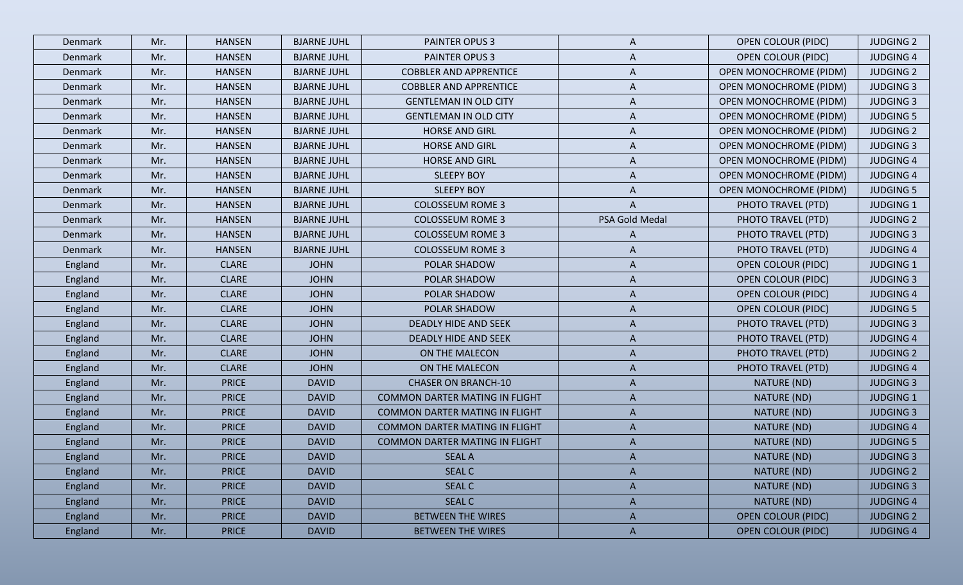| Denmark | Mr. | <b>HANSEN</b> | <b>BJARNE JUHL</b> | PAINTER OPUS 3                        | A              | <b>OPEN COLOUR (PIDC)</b>     | <b>JUDGING 2</b> |
|---------|-----|---------------|--------------------|---------------------------------------|----------------|-------------------------------|------------------|
| Denmark | Mr. | <b>HANSEN</b> | <b>BJARNE JUHL</b> | PAINTER OPUS 3                        | A              | <b>OPEN COLOUR (PIDC)</b>     | <b>JUDGING 4</b> |
| Denmark | Mr. | <b>HANSEN</b> | <b>BJARNE JUHL</b> | <b>COBBLER AND APPRENTICE</b>         | A              | <b>OPEN MONOCHROME (PIDM)</b> | <b>JUDGING 2</b> |
| Denmark | Mr. | <b>HANSEN</b> | <b>BJARNE JUHL</b> | <b>COBBLER AND APPRENTICE</b>         | A              | <b>OPEN MONOCHROME (PIDM)</b> | <b>JUDGING 3</b> |
| Denmark | Mr. | <b>HANSEN</b> | <b>BJARNE JUHL</b> | <b>GENTLEMAN IN OLD CITY</b>          | A              | <b>OPEN MONOCHROME (PIDM)</b> | <b>JUDGING 3</b> |
| Denmark | Mr. | <b>HANSEN</b> | <b>BJARNE JUHL</b> | <b>GENTLEMAN IN OLD CITY</b>          | A              | <b>OPEN MONOCHROME (PIDM)</b> | <b>JUDGING 5</b> |
| Denmark | Mr. | <b>HANSEN</b> | <b>BJARNE JUHL</b> | <b>HORSE AND GIRL</b>                 | A              | <b>OPEN MONOCHROME (PIDM)</b> | <b>JUDGING 2</b> |
| Denmark | Mr. | <b>HANSEN</b> | <b>BJARNE JUHL</b> | <b>HORSE AND GIRL</b>                 | A              | <b>OPEN MONOCHROME (PIDM)</b> | <b>JUDGING 3</b> |
| Denmark | Mr. | <b>HANSEN</b> | <b>BJARNE JUHL</b> | <b>HORSE AND GIRL</b>                 | A              | <b>OPEN MONOCHROME (PIDM)</b> | <b>JUDGING 4</b> |
| Denmark | Mr. | <b>HANSEN</b> | <b>BJARNE JUHL</b> | <b>SLEEPY BOY</b>                     | A              | <b>OPEN MONOCHROME (PIDM)</b> | <b>JUDGING 4</b> |
| Denmark | Mr. | <b>HANSEN</b> | <b>BJARNE JUHL</b> | <b>SLEEPY BOY</b>                     | A              | <b>OPEN MONOCHROME (PIDM)</b> | <b>JUDGING 5</b> |
| Denmark | Mr. | <b>HANSEN</b> | <b>BJARNE JUHL</b> | <b>COLOSSEUM ROME 3</b>               | A              | PHOTO TRAVEL (PTD)            | <b>JUDGING 1</b> |
| Denmark | Mr. | <b>HANSEN</b> | <b>BJARNE JUHL</b> | <b>COLOSSEUM ROME 3</b>               | PSA Gold Medal | PHOTO TRAVEL (PTD)            | <b>JUDGING 2</b> |
| Denmark | Mr. | <b>HANSEN</b> | <b>BJARNE JUHL</b> | <b>COLOSSEUM ROME 3</b>               | A              | PHOTO TRAVEL (PTD)            | <b>JUDGING 3</b> |
| Denmark | Mr. | <b>HANSEN</b> | <b>BJARNE JUHL</b> | <b>COLOSSEUM ROME 3</b>               | A              | PHOTO TRAVEL (PTD)            | <b>JUDGING 4</b> |
| England | Mr. | <b>CLARE</b>  | <b>JOHN</b>        | POLAR SHADOW                          | A              | <b>OPEN COLOUR (PIDC)</b>     | <b>JUDGING 1</b> |
| England | Mr. | <b>CLARE</b>  | <b>JOHN</b>        | POLAR SHADOW                          | A              | <b>OPEN COLOUR (PIDC)</b>     | <b>JUDGING 3</b> |
| England | Mr. | <b>CLARE</b>  | <b>JOHN</b>        | POLAR SHADOW                          | A              | <b>OPEN COLOUR (PIDC)</b>     | <b>JUDGING 4</b> |
| England | Mr. | <b>CLARE</b>  | <b>JOHN</b>        | POLAR SHADOW                          | A              | <b>OPEN COLOUR (PIDC)</b>     | <b>JUDGING 5</b> |
| England | Mr. | <b>CLARE</b>  | <b>JOHN</b>        | DEADLY HIDE AND SEEK                  | A              | PHOTO TRAVEL (PTD)            | <b>JUDGING 3</b> |
| England | Mr. | <b>CLARE</b>  | <b>JOHN</b>        | DEADLY HIDE AND SEEK                  | A              | PHOTO TRAVEL (PTD)            | <b>JUDGING 4</b> |
| England | Mr. | <b>CLARE</b>  | <b>JOHN</b>        | ON THE MALECON                        | A              | PHOTO TRAVEL (PTD)            | <b>JUDGING 2</b> |
| England | Mr. | <b>CLARE</b>  | <b>JOHN</b>        | ON THE MALECON                        | A              | PHOTO TRAVEL (PTD)            | <b>JUDGING 4</b> |
| England | Mr. | <b>PRICE</b>  | <b>DAVID</b>       | <b>CHASER ON BRANCH-10</b>            | A              | NATURE (ND)                   | <b>JUDGING 3</b> |
| England | Mr. | <b>PRICE</b>  | <b>DAVID</b>       | COMMON DARTER MATING IN FLIGHT        | A              | NATURE (ND)                   | <b>JUDGING 1</b> |
| England | Mr. | <b>PRICE</b>  | <b>DAVID</b>       | <b>COMMON DARTER MATING IN FLIGHT</b> | A              | NATURE (ND)                   | <b>JUDGING 3</b> |
| England | Mr. | <b>PRICE</b>  | <b>DAVID</b>       | <b>COMMON DARTER MATING IN FLIGHT</b> | A              | NATURE (ND)                   | <b>JUDGING 4</b> |
| England | Mr. | <b>PRICE</b>  | <b>DAVID</b>       | <b>COMMON DARTER MATING IN FLIGHT</b> | $\mathsf{A}$   | NATURE (ND)                   | <b>JUDGING 5</b> |
| England | Mr. | <b>PRICE</b>  | <b>DAVID</b>       | <b>SEAL A</b>                         | A              | NATURE (ND)                   | <b>JUDGING 3</b> |
| England | Mr. | <b>PRICE</b>  | <b>DAVID</b>       | <b>SEAL C</b>                         | $\mathsf{A}$   | NATURE (ND)                   | <b>JUDGING 2</b> |
| England | Mr. | <b>PRICE</b>  | <b>DAVID</b>       | <b>SEAL C</b>                         | A              | NATURE (ND)                   | <b>JUDGING 3</b> |
| England | Mr. | <b>PRICE</b>  | <b>DAVID</b>       | <b>SEAL C</b>                         | A              | NATURE (ND)                   | <b>JUDGING 4</b> |
| England | Mr. | <b>PRICE</b>  | <b>DAVID</b>       | <b>BETWEEN THE WIRES</b>              | $\mathsf{A}$   | <b>OPEN COLOUR (PIDC)</b>     | <b>JUDGING 2</b> |
| England | Mr. | <b>PRICE</b>  | <b>DAVID</b>       | <b>BETWEEN THE WIRES</b>              | $\mathsf{A}$   | <b>OPEN COLOUR (PIDC)</b>     | <b>JUDGING 4</b> |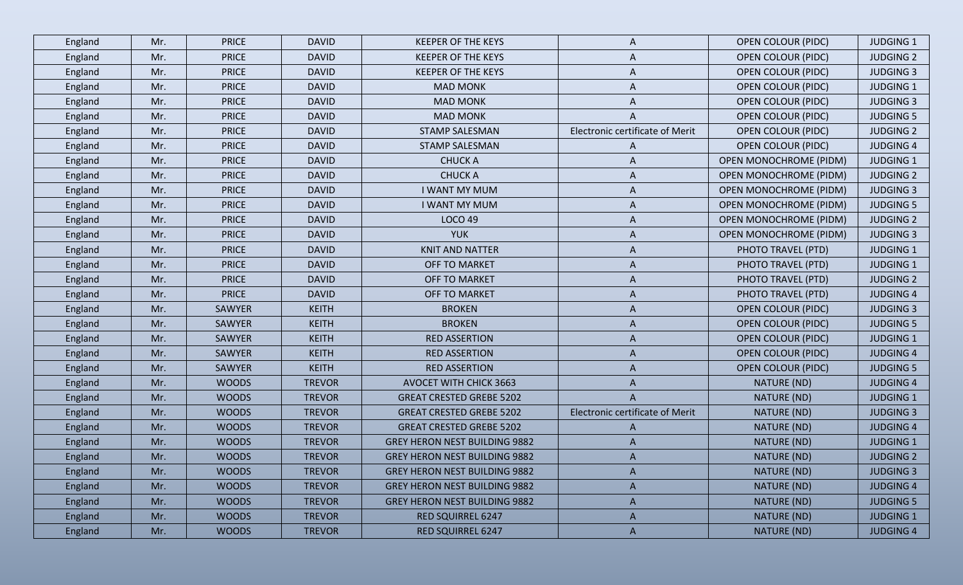| England | Mr. | <b>PRICE</b> | <b>DAVID</b>  | <b>KEEPER OF THE KEYS</b>            | A                               | <b>OPEN COLOUR (PIDC)</b>     | <b>JUDGING 1</b> |
|---------|-----|--------------|---------------|--------------------------------------|---------------------------------|-------------------------------|------------------|
| England | Mr. | <b>PRICE</b> | <b>DAVID</b>  | <b>KEEPER OF THE KEYS</b>            | A                               | <b>OPEN COLOUR (PIDC)</b>     | <b>JUDGING 2</b> |
| England | Mr. | <b>PRICE</b> | <b>DAVID</b>  | <b>KEEPER OF THE KEYS</b>            | A                               | <b>OPEN COLOUR (PIDC)</b>     | <b>JUDGING 3</b> |
| England | Mr. | <b>PRICE</b> | <b>DAVID</b>  | <b>MAD MONK</b>                      | A                               | <b>OPEN COLOUR (PIDC)</b>     | <b>JUDGING 1</b> |
| England | Mr. | <b>PRICE</b> | <b>DAVID</b>  | <b>MAD MONK</b>                      | A                               | <b>OPEN COLOUR (PIDC)</b>     | <b>JUDGING 3</b> |
| England | Mr. | <b>PRICE</b> | <b>DAVID</b>  | <b>MAD MONK</b>                      | A                               | <b>OPEN COLOUR (PIDC)</b>     | <b>JUDGING 5</b> |
| England | Mr. | <b>PRICE</b> | <b>DAVID</b>  | <b>STAMP SALESMAN</b>                | Electronic certificate of Merit | <b>OPEN COLOUR (PIDC)</b>     | <b>JUDGING 2</b> |
| England | Mr. | <b>PRICE</b> | <b>DAVID</b>  | <b>STAMP SALESMAN</b>                | A                               | <b>OPEN COLOUR (PIDC)</b>     | <b>JUDGING 4</b> |
| England | Mr. | <b>PRICE</b> | <b>DAVID</b>  | <b>CHUCKA</b>                        | A                               | <b>OPEN MONOCHROME (PIDM)</b> | <b>JUDGING 1</b> |
| England | Mr. | <b>PRICE</b> | <b>DAVID</b>  | <b>CHUCK A</b>                       | A                               | <b>OPEN MONOCHROME (PIDM)</b> | <b>JUDGING 2</b> |
| England | Mr. | <b>PRICE</b> | <b>DAVID</b>  | <b>I WANT MY MUM</b>                 | A                               | <b>OPEN MONOCHROME (PIDM)</b> | <b>JUDGING 3</b> |
| England | Mr. | <b>PRICE</b> | <b>DAVID</b>  | <b>I WANT MY MUM</b>                 | A                               | <b>OPEN MONOCHROME (PIDM)</b> | <b>JUDGING 5</b> |
| England | Mr. | <b>PRICE</b> | <b>DAVID</b>  | <b>LOCO 49</b>                       | A                               | <b>OPEN MONOCHROME (PIDM)</b> | <b>JUDGING 2</b> |
| England | Mr. | <b>PRICE</b> | <b>DAVID</b>  | <b>YUK</b>                           | A                               | <b>OPEN MONOCHROME (PIDM)</b> | <b>JUDGING 3</b> |
| England | Mr. | <b>PRICE</b> | <b>DAVID</b>  | <b>KNIT AND NATTER</b>               | A                               | PHOTO TRAVEL (PTD)            | <b>JUDGING 1</b> |
| England | Mr. | <b>PRICE</b> | <b>DAVID</b>  | OFF TO MARKET                        | A                               | PHOTO TRAVEL (PTD)            | <b>JUDGING 1</b> |
| England | Mr. | <b>PRICE</b> | <b>DAVID</b>  | OFF TO MARKET                        | A                               | PHOTO TRAVEL (PTD)            | <b>JUDGING 2</b> |
| England | Mr. | <b>PRICE</b> | <b>DAVID</b>  | OFF TO MARKET                        | A                               | PHOTO TRAVEL (PTD)            | <b>JUDGING 4</b> |
| England | Mr. | SAWYER       | <b>KEITH</b>  | <b>BROKEN</b>                        | A                               | <b>OPEN COLOUR (PIDC)</b>     | <b>JUDGING 3</b> |
| England | Mr. | SAWYER       | <b>KEITH</b>  | <b>BROKEN</b>                        | A                               | <b>OPEN COLOUR (PIDC)</b>     | <b>JUDGING 5</b> |
| England | Mr. | SAWYER       | <b>KEITH</b>  | <b>RED ASSERTION</b>                 | A                               | <b>OPEN COLOUR (PIDC)</b>     | <b>JUDGING 1</b> |
| England | Mr. | SAWYER       | <b>KEITH</b>  | <b>RED ASSERTION</b>                 | A                               | <b>OPEN COLOUR (PIDC)</b>     | <b>JUDGING 4</b> |
| England | Mr. | SAWYER       | <b>KEITH</b>  | <b>RED ASSERTION</b>                 | A                               | <b>OPEN COLOUR (PIDC)</b>     | <b>JUDGING 5</b> |
| England | Mr. | <b>WOODS</b> | <b>TREVOR</b> | <b>AVOCET WITH CHICK 3663</b>        | A                               | NATURE (ND)                   | <b>JUDGING 4</b> |
| England | Mr. | <b>WOODS</b> | <b>TREVOR</b> | <b>GREAT CRESTED GREBE 5202</b>      | A                               | NATURE (ND)                   | <b>JUDGING 1</b> |
| England | Mr. | <b>WOODS</b> | <b>TREVOR</b> | <b>GREAT CRESTED GREBE 5202</b>      | Electronic certificate of Merit | NATURE (ND)                   | <b>JUDGING 3</b> |
| England | Mr. | <b>WOODS</b> | <b>TREVOR</b> | <b>GREAT CRESTED GREBE 5202</b>      | A                               | NATURE (ND)                   | <b>JUDGING 4</b> |
| England | Mr. | <b>WOODS</b> | <b>TREVOR</b> | <b>GREY HERON NEST BUILDING 9882</b> | A                               | NATURE (ND)                   | <b>JUDGING 1</b> |
| England | Mr. | <b>WOODS</b> | <b>TREVOR</b> | <b>GREY HERON NEST BUILDING 9882</b> |                                 | NATURE (ND)                   | <b>JUDGING 2</b> |
| England | Mr. | <b>WOODS</b> | <b>TREVOR</b> | <b>GREY HERON NEST BUILDING 9882</b> | A                               | NATURE (ND)                   | <b>JUDGING 3</b> |
| England | Mr. | <b>WOODS</b> | <b>TREVOR</b> | <b>GREY HERON NEST BUILDING 9882</b> | A                               | NATURE (ND)                   | <b>JUDGING 4</b> |
| England | Mr. | <b>WOODS</b> | <b>TREVOR</b> | <b>GREY HERON NEST BUILDING 9882</b> | A                               | NATURE (ND)                   | <b>JUDGING 5</b> |
| England | Mr. | <b>WOODS</b> | <b>TREVOR</b> | <b>RED SQUIRREL 6247</b>             | A                               | NATURE (ND)                   | <b>JUDGING 1</b> |
| England | Mr. | <b>WOODS</b> | <b>TREVOR</b> | <b>RED SQUIRREL 6247</b>             | $\mathsf{A}$                    | NATURE (ND)                   | <b>JUDGING 4</b> |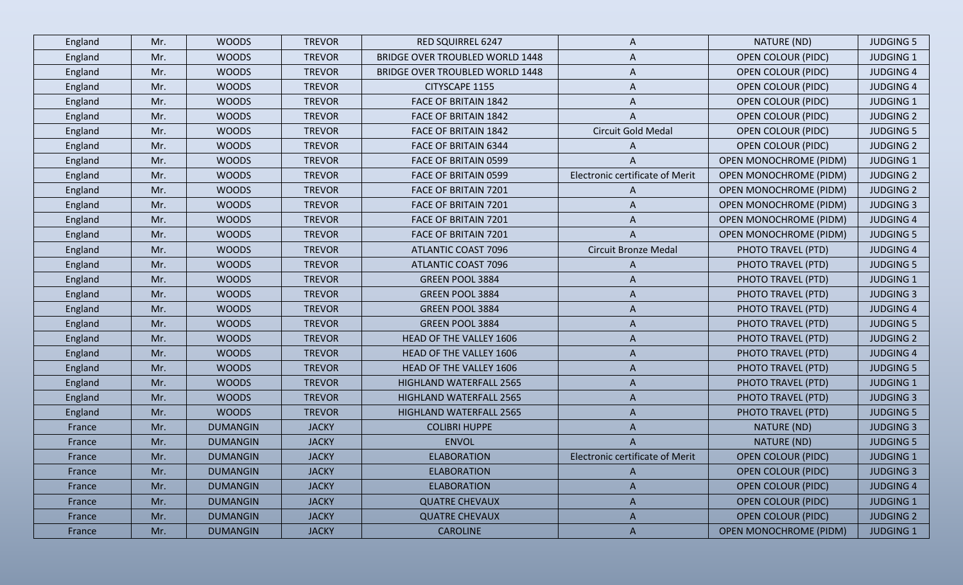| England<br>England<br>England | Mr.<br>Mr. | <b>WOODS</b><br><b>WOODS</b> | <b>TREVOR</b> | <b>RED SQUIRREL 6247</b>               | A                               | NATURE (ND)                   | <b>JUDGING 5</b> |
|-------------------------------|------------|------------------------------|---------------|----------------------------------------|---------------------------------|-------------------------------|------------------|
|                               |            |                              |               |                                        |                                 |                               |                  |
|                               |            |                              | <b>TREVOR</b> | <b>BRIDGE OVER TROUBLED WORLD 1448</b> | A                               | <b>OPEN COLOUR (PIDC)</b>     | <b>JUDGING 1</b> |
|                               | Mr.        | <b>WOODS</b>                 | <b>TREVOR</b> | BRIDGE OVER TROUBLED WORLD 1448        | A                               | <b>OPEN COLOUR (PIDC)</b>     | <b>JUDGING 4</b> |
| England                       | Mr.        | <b>WOODS</b>                 | <b>TREVOR</b> | CITYSCAPE 1155                         | A                               | <b>OPEN COLOUR (PIDC)</b>     | <b>JUDGING 4</b> |
| England                       | Mr.        | <b>WOODS</b>                 | <b>TREVOR</b> | FACE OF BRITAIN 1842                   | A                               | <b>OPEN COLOUR (PIDC)</b>     | <b>JUDGING 1</b> |
| England                       | Mr.        | <b>WOODS</b>                 | <b>TREVOR</b> | <b>FACE OF BRITAIN 1842</b>            | A                               | <b>OPEN COLOUR (PIDC)</b>     | <b>JUDGING 2</b> |
| England                       | Mr.        | <b>WOODS</b>                 | <b>TREVOR</b> | FACE OF BRITAIN 1842                   | Circuit Gold Medal              | <b>OPEN COLOUR (PIDC)</b>     | <b>JUDGING 5</b> |
| England                       | Mr.        | <b>WOODS</b>                 | <b>TREVOR</b> | FACE OF BRITAIN 6344                   | A                               | <b>OPEN COLOUR (PIDC)</b>     | <b>JUDGING 2</b> |
| England                       | Mr.        | <b>WOODS</b>                 | <b>TREVOR</b> | FACE OF BRITAIN 0599                   | A                               | <b>OPEN MONOCHROME (PIDM)</b> | <b>JUDGING 1</b> |
| England                       | Mr.        | <b>WOODS</b>                 | <b>TREVOR</b> | FACE OF BRITAIN 0599                   | Electronic certificate of Merit | <b>OPEN MONOCHROME (PIDM)</b> | <b>JUDGING 2</b> |
| England                       | Mr.        | <b>WOODS</b>                 | <b>TREVOR</b> | FACE OF BRITAIN 7201                   | A                               | <b>OPEN MONOCHROME (PIDM)</b> | <b>JUDGING 2</b> |
| England                       | Mr.        | <b>WOODS</b>                 | <b>TREVOR</b> | FACE OF BRITAIN 7201                   | A                               | <b>OPEN MONOCHROME (PIDM)</b> | <b>JUDGING 3</b> |
| England                       | Mr.        | <b>WOODS</b>                 | <b>TREVOR</b> | FACE OF BRITAIN 7201                   | A                               | <b>OPEN MONOCHROME (PIDM)</b> | <b>JUDGING 4</b> |
| England                       | Mr.        | <b>WOODS</b>                 | <b>TREVOR</b> | <b>FACE OF BRITAIN 7201</b>            | A                               | <b>OPEN MONOCHROME (PIDM)</b> | <b>JUDGING 5</b> |
| England                       | Mr.        | <b>WOODS</b>                 | <b>TREVOR</b> | <b>ATLANTIC COAST 7096</b>             | <b>Circuit Bronze Medal</b>     | PHOTO TRAVEL (PTD)            | <b>JUDGING 4</b> |
| England                       | Mr.        | <b>WOODS</b>                 | <b>TREVOR</b> | <b>ATLANTIC COAST 7096</b>             | A                               | PHOTO TRAVEL (PTD)            | <b>JUDGING 5</b> |
| England                       | Mr.        | <b>WOODS</b>                 | <b>TREVOR</b> | GREEN POOL 3884                        | A                               | PHOTO TRAVEL (PTD)            | <b>JUDGING 1</b> |
| England                       | Mr.        | <b>WOODS</b>                 | <b>TREVOR</b> | GREEN POOL 3884                        | A                               | PHOTO TRAVEL (PTD)            | <b>JUDGING 3</b> |
| England                       | Mr.        | <b>WOODS</b>                 | <b>TREVOR</b> | GREEN POOL 3884                        | A                               | PHOTO TRAVEL (PTD)            | <b>JUDGING 4</b> |
| England                       | Mr.        | <b>WOODS</b>                 | <b>TREVOR</b> | <b>GREEN POOL 3884</b>                 | A                               | PHOTO TRAVEL (PTD)            | <b>JUDGING 5</b> |
| England                       | Mr.        | <b>WOODS</b>                 | <b>TREVOR</b> | <b>HEAD OF THE VALLEY 1606</b>         | A                               | PHOTO TRAVEL (PTD)            | <b>JUDGING 2</b> |
| England                       | Mr.        | <b>WOODS</b>                 | <b>TREVOR</b> | HEAD OF THE VALLEY 1606                | A                               | PHOTO TRAVEL (PTD)            | <b>JUDGING 4</b> |
| England                       | Mr.        | <b>WOODS</b>                 | <b>TREVOR</b> | HEAD OF THE VALLEY 1606                | A                               | PHOTO TRAVEL (PTD)            | <b>JUDGING 5</b> |
| England                       | Mr.        | <b>WOODS</b>                 | <b>TREVOR</b> | <b>HIGHLAND WATERFALL 2565</b>         | A                               | PHOTO TRAVEL (PTD)            | <b>JUDGING 1</b> |
| England                       | Mr.        | <b>WOODS</b>                 | <b>TREVOR</b> | HIGHLAND WATERFALL 2565                | A                               | PHOTO TRAVEL (PTD)            | <b>JUDGING 3</b> |
| England                       | Mr.        | <b>WOODS</b>                 | <b>TREVOR</b> | <b>HIGHLAND WATERFALL 2565</b>         | A                               | PHOTO TRAVEL (PTD)            | <b>JUDGING 5</b> |
| France                        | Mr.        | <b>DUMANGIN</b>              | <b>JACKY</b>  | <b>COLIBRI HUPPE</b>                   | A                               | NATURE (ND)                   | <b>JUDGING 3</b> |
| France                        | Mr.        | <b>DUMANGIN</b>              | <b>JACKY</b>  | <b>ENVOL</b>                           | A                               | NATURE (ND)                   | <b>JUDGING 5</b> |
| France                        | Mr.        | <b>DUMANGIN</b>              | <b>JACKY</b>  | <b>ELABORATION</b>                     | Electronic certificate of Merit | <b>OPEN COLOUR (PIDC)</b>     | <b>JUDGING 1</b> |
| France                        | Mr.        | <b>DUMANGIN</b>              | <b>JACKY</b>  | <b>ELABORATION</b>                     | $\mathsf{A}$                    | <b>OPEN COLOUR (PIDC)</b>     | <b>JUDGING 3</b> |
| France                        | Mr.        | <b>DUMANGIN</b>              | <b>JACKY</b>  | <b>ELABORATION</b>                     | A                               | <b>OPEN COLOUR (PIDC)</b>     | <b>JUDGING 4</b> |
| France                        | Mr.        | <b>DUMANGIN</b>              | <b>JACKY</b>  | <b>QUATRE CHEVAUX</b>                  | A                               | <b>OPEN COLOUR (PIDC)</b>     | <b>JUDGING 1</b> |
| France                        | Mr.        | <b>DUMANGIN</b>              | <b>JACKY</b>  | <b>QUATRE CHEVAUX</b>                  | $\mathsf{A}$                    | <b>OPEN COLOUR (PIDC)</b>     | <b>JUDGING 2</b> |
| France                        | Mr.        | <b>DUMANGIN</b>              | <b>JACKY</b>  | <b>CAROLINE</b>                        | $\mathsf{A}$                    | <b>OPEN MONOCHROME (PIDM)</b> | JUDGING 1        |
|                               |            |                              |               |                                        |                                 |                               |                  |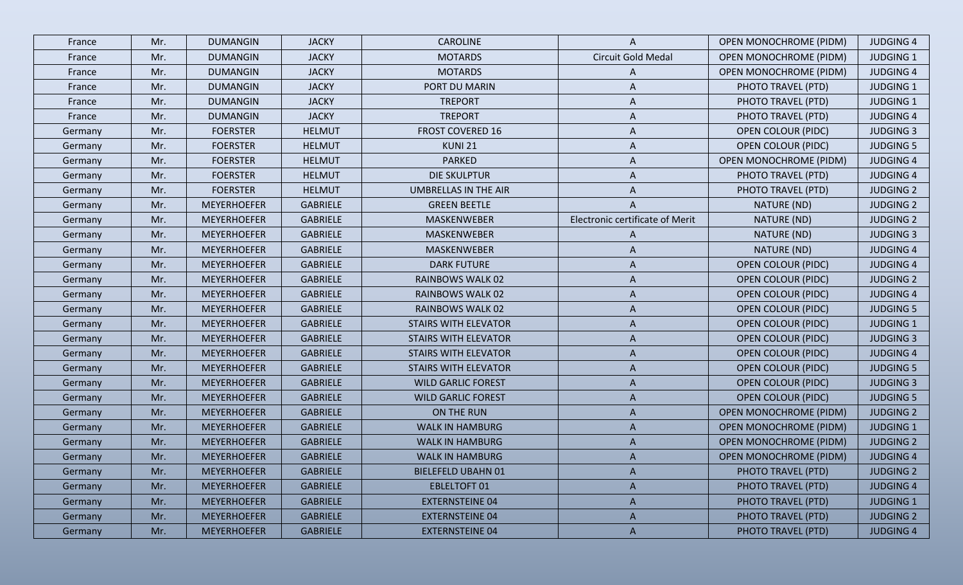| France  | Mr. | <b>DUMANGIN</b>    | <b>JACKY</b>    | <b>CAROLINE</b>             | A                               | <b>OPEN MONOCHROME (PIDM)</b> | <b>JUDGING 4</b> |
|---------|-----|--------------------|-----------------|-----------------------------|---------------------------------|-------------------------------|------------------|
| France  | Mr. | <b>DUMANGIN</b>    | <b>JACKY</b>    | <b>MOTARDS</b>              | Circuit Gold Medal              | <b>OPEN MONOCHROME (PIDM)</b> | <b>JUDGING 1</b> |
| France  | Mr. | <b>DUMANGIN</b>    | <b>JACKY</b>    | <b>MOTARDS</b>              | A                               | <b>OPEN MONOCHROME (PIDM)</b> | <b>JUDGING 4</b> |
| France  | Mr. | <b>DUMANGIN</b>    | <b>JACKY</b>    | PORT DU MARIN               | A                               | PHOTO TRAVEL (PTD)            | <b>JUDGING 1</b> |
| France  | Mr. | <b>DUMANGIN</b>    | <b>JACKY</b>    | <b>TREPORT</b>              | A                               | PHOTO TRAVEL (PTD)            | <b>JUDGING 1</b> |
| France  | Mr. | <b>DUMANGIN</b>    | <b>JACKY</b>    | <b>TREPORT</b>              | A                               | PHOTO TRAVEL (PTD)            | <b>JUDGING 4</b> |
| Germany | Mr. | <b>FOERSTER</b>    | <b>HELMUT</b>   | <b>FROST COVERED 16</b>     | A                               | <b>OPEN COLOUR (PIDC)</b>     | <b>JUDGING 3</b> |
| Germany | Mr. | <b>FOERSTER</b>    | <b>HELMUT</b>   | KUNI 21                     | A                               | <b>OPEN COLOUR (PIDC)</b>     | <b>JUDGING 5</b> |
| Germany | Mr. | <b>FOERSTER</b>    | <b>HELMUT</b>   | <b>PARKED</b>               | A                               | <b>OPEN MONOCHROME (PIDM)</b> | <b>JUDGING 4</b> |
| Germany | Mr. | <b>FOERSTER</b>    | <b>HELMUT</b>   | DIE SKULPTUR                | A                               | PHOTO TRAVEL (PTD)            | <b>JUDGING 4</b> |
| Germany | Mr. | <b>FOERSTER</b>    | <b>HELMUT</b>   | UMBRELLAS IN THE AIR        | A                               | PHOTO TRAVEL (PTD)            | <b>JUDGING 2</b> |
| Germany | Mr. | <b>MEYERHOEFER</b> | <b>GABRIELE</b> | <b>GREEN BEETLE</b>         |                                 | NATURE (ND)                   | <b>JUDGING 2</b> |
| Germany | Mr. | <b>MEYERHOEFER</b> | GABRIELE        | MASKENWEBER                 | Electronic certificate of Merit | NATURE (ND)                   | <b>JUDGING 2</b> |
| Germany | Mr. | <b>MEYERHOEFER</b> | GABRIELE        | MASKENWEBER                 | A                               | NATURE (ND)                   | <b>JUDGING 3</b> |
| Germany | Mr. | <b>MEYERHOEFER</b> | <b>GABRIELE</b> | MASKENWEBER                 | A                               | NATURE (ND)                   | <b>JUDGING 4</b> |
| Germany | Mr. | <b>MEYERHOEFER</b> | GABRIELE        | <b>DARK FUTURE</b>          | A                               | <b>OPEN COLOUR (PIDC)</b>     | <b>JUDGING 4</b> |
| Germany | Mr. | <b>MEYERHOEFER</b> | <b>GABRIELE</b> | <b>RAINBOWS WALK 02</b>     | A                               | <b>OPEN COLOUR (PIDC)</b>     | <b>JUDGING 2</b> |
| Germany | Mr. | <b>MEYERHOEFER</b> | <b>GABRIELE</b> | RAINBOWS WALK 02            | A                               | <b>OPEN COLOUR (PIDC)</b>     | <b>JUDGING 4</b> |
| Germany | Mr. | <b>MEYERHOEFER</b> | <b>GABRIELE</b> | <b>RAINBOWS WALK 02</b>     | A                               | <b>OPEN COLOUR (PIDC)</b>     | <b>JUDGING 5</b> |
| Germany | Mr. | <b>MEYERHOEFER</b> | <b>GABRIELE</b> | <b>STAIRS WITH ELEVATOR</b> | A                               | <b>OPEN COLOUR (PIDC)</b>     | <b>JUDGING 1</b> |
| Germany | Mr. | <b>MEYERHOEFER</b> | <b>GABRIELE</b> | <b>STAIRS WITH ELEVATOR</b> | A                               | <b>OPEN COLOUR (PIDC)</b>     | <b>JUDGING 3</b> |
| Germany | Mr. | <b>MEYERHOEFER</b> | <b>GABRIELE</b> | <b>STAIRS WITH ELEVATOR</b> | A                               | <b>OPEN COLOUR (PIDC)</b>     | <b>JUDGING 4</b> |
| Germany | Mr. | <b>MEYERHOEFER</b> | <b>GABRIELE</b> | <b>STAIRS WITH ELEVATOR</b> | A                               | <b>OPEN COLOUR (PIDC)</b>     | <b>JUDGING 5</b> |
| Germany | Mr. | <b>MEYERHOEFER</b> | <b>GABRIELE</b> | <b>WILD GARLIC FOREST</b>   | A                               | <b>OPEN COLOUR (PIDC)</b>     | <b>JUDGING 3</b> |
| Germany | Mr. | <b>MEYERHOEFER</b> | <b>GABRIELE</b> | <b>WILD GARLIC FOREST</b>   | A                               | <b>OPEN COLOUR (PIDC)</b>     | <b>JUDGING 5</b> |
| Germany | Mr. | <b>MEYERHOEFER</b> | <b>GABRIELE</b> | ON THE RUN                  | A                               | <b>OPEN MONOCHROME (PIDM)</b> | <b>JUDGING 2</b> |
| Germany | Mr. | <b>MEYERHOEFER</b> | <b>GABRIELE</b> | <b>WALK IN HAMBURG</b>      | A                               | <b>OPEN MONOCHROME (PIDM)</b> | <b>JUDGING 1</b> |
| Germany | Mr. | <b>MEYERHOEFER</b> | <b>GABRIELE</b> | <b>WALK IN HAMBURG</b>      | A                               | <b>OPEN MONOCHROME (PIDM)</b> | <b>JUDGING 2</b> |
| Germany | Mr. | <b>MEYERHOEFER</b> | <b>GABRIELE</b> | <b>WALK IN HAMBURG</b>      | A                               | <b>OPEN MONOCHROME (PIDM)</b> | <b>JUDGING 4</b> |
| Germany | Mr. | <b>MEYERHOEFER</b> | <b>GABRIELE</b> | <b>BIELEFELD UBAHN 01</b>   | A                               | PHOTO TRAVEL (PTD)            | <b>JUDGING 2</b> |
| Germany | Mr. | <b>MEYERHOEFER</b> | <b>GABRIELE</b> | <b>EBLELTOFT 01</b>         | A                               | PHOTO TRAVEL (PTD)            | <b>JUDGING 4</b> |
| Germany | Mr. | <b>MEYERHOEFER</b> | <b>GABRIELE</b> | <b>EXTERNSTEINE 04</b>      | A                               | PHOTO TRAVEL (PTD)            | <b>JUDGING 1</b> |
| Germany | Mr. | <b>MEYERHOEFER</b> | <b>GABRIELE</b> | <b>EXTERNSTEINE 04</b>      | A                               | PHOTO TRAVEL (PTD)            | <b>JUDGING 2</b> |
| Germany | Mr. | <b>MEYERHOEFER</b> | <b>GABRIELE</b> | <b>EXTERNSTEINE 04</b>      | $\mathsf{A}$                    | PHOTO TRAVEL (PTD)            | <b>JUDGING 4</b> |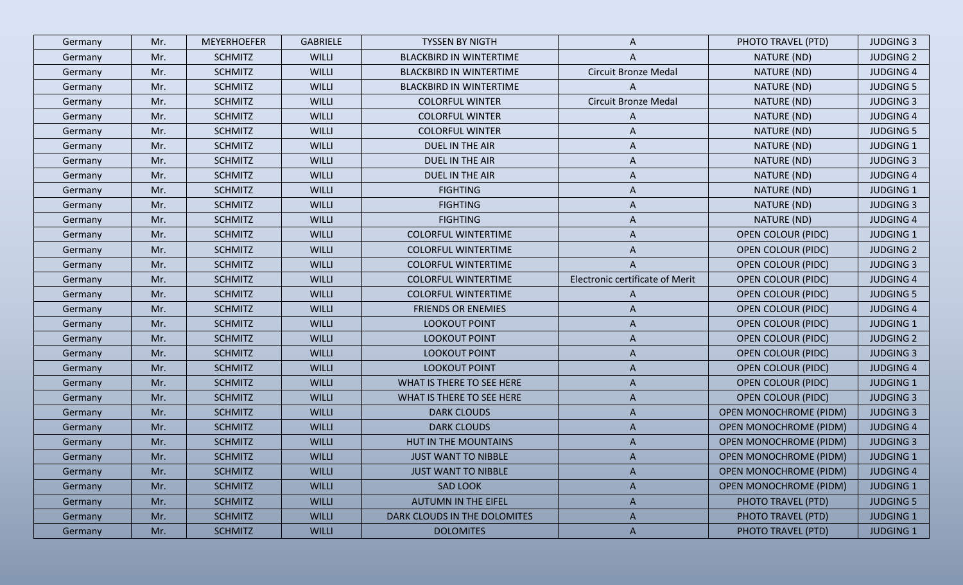| Germany | Mr. | <b>MEYERHOEFER</b> | <b>GABRIELE</b> | TYSSEN BY NIGTH                | A                               | PHOTO TRAVEL (PTD)            | <b>JUDGING 3</b> |
|---------|-----|--------------------|-----------------|--------------------------------|---------------------------------|-------------------------------|------------------|
| Germany | Mr. | <b>SCHMITZ</b>     | <b>WILLI</b>    | <b>BLACKBIRD IN WINTERTIME</b> | A                               | NATURE (ND)                   | <b>JUDGING 2</b> |
| Germany | Mr. | <b>SCHMITZ</b>     | <b>WILLI</b>    | <b>BLACKBIRD IN WINTERTIME</b> | <b>Circuit Bronze Medal</b>     | NATURE (ND)                   | <b>JUDGING 4</b> |
| Germany | Mr. | <b>SCHMITZ</b>     | <b>WILLI</b>    | <b>BLACKBIRD IN WINTERTIME</b> | A                               | NATURE (ND)                   | <b>JUDGING 5</b> |
| Germany | Mr. | <b>SCHMITZ</b>     | <b>WILLI</b>    | <b>COLORFUL WINTER</b>         | <b>Circuit Bronze Medal</b>     | NATURE (ND)                   | <b>JUDGING 3</b> |
| Germany | Mr. | <b>SCHMITZ</b>     | <b>WILLI</b>    | <b>COLORFUL WINTER</b>         | A                               | NATURE (ND)                   | <b>JUDGING 4</b> |
| Germany | Mr. | <b>SCHMITZ</b>     | <b>WILLI</b>    | <b>COLORFUL WINTER</b>         | A                               | NATURE (ND)                   | <b>JUDGING 5</b> |
| Germany | Mr. | <b>SCHMITZ</b>     | <b>WILLI</b>    | DUEL IN THE AIR                | A                               | NATURE (ND)                   | JUDGING 1        |
| Germany | Mr. | <b>SCHMITZ</b>     | <b>WILLI</b>    | DUEL IN THE AIR                | A                               | NATURE (ND)                   | <b>JUDGING 3</b> |
| Germany | Mr. | <b>SCHMITZ</b>     | <b>WILLI</b>    | DUEL IN THE AIR                | A                               | NATURE (ND)                   | <b>JUDGING 4</b> |
| Germany | Mr. | <b>SCHMITZ</b>     | <b>WILLI</b>    | <b>FIGHTING</b>                | A                               | NATURE (ND)                   | <b>JUDGING 1</b> |
| Germany | Mr. | <b>SCHMITZ</b>     | <b>WILLI</b>    | <b>FIGHTING</b>                | A                               | NATURE (ND)                   | <b>JUDGING 3</b> |
| Germany | Mr. | <b>SCHMITZ</b>     | <b>WILLI</b>    | <b>FIGHTING</b>                | A                               | NATURE (ND)                   | <b>JUDGING 4</b> |
| Germany | Mr. | <b>SCHMITZ</b>     | <b>WILLI</b>    | <b>COLORFUL WINTERTIME</b>     | A                               | <b>OPEN COLOUR (PIDC)</b>     | <b>JUDGING 1</b> |
| Germany | Mr. | <b>SCHMITZ</b>     | <b>WILLI</b>    | <b>COLORFUL WINTERTIME</b>     | A                               | <b>OPEN COLOUR (PIDC)</b>     | <b>JUDGING 2</b> |
| Germany | Mr. | <b>SCHMITZ</b>     | <b>WILLI</b>    | <b>COLORFUL WINTERTIME</b>     | A                               | <b>OPEN COLOUR (PIDC)</b>     | <b>JUDGING 3</b> |
| Germany | Mr. | <b>SCHMITZ</b>     | <b>WILLI</b>    | <b>COLORFUL WINTERTIME</b>     | Electronic certificate of Merit | <b>OPEN COLOUR (PIDC)</b>     | <b>JUDGING 4</b> |
| Germany | Mr. | <b>SCHMITZ</b>     | <b>WILLI</b>    | <b>COLORFUL WINTERTIME</b>     | A                               | <b>OPEN COLOUR (PIDC)</b>     | <b>JUDGING 5</b> |
| Germany | Mr. | <b>SCHMITZ</b>     | <b>WILLI</b>    | <b>FRIENDS OR ENEMIES</b>      | A                               | <b>OPEN COLOUR (PIDC)</b>     | <b>JUDGING 4</b> |
| Germany | Mr. | <b>SCHMITZ</b>     | <b>WILLI</b>    | <b>LOOKOUT POINT</b>           | A                               | <b>OPEN COLOUR (PIDC)</b>     | <b>JUDGING 1</b> |
| Germany | Mr. | <b>SCHMITZ</b>     | <b>WILLI</b>    | LOOKOUT POINT                  | A                               | <b>OPEN COLOUR (PIDC)</b>     | <b>JUDGING 2</b> |
| Germany | Mr. | <b>SCHMITZ</b>     | <b>WILLI</b>    | LOOKOUT POINT                  | A                               | <b>OPEN COLOUR (PIDC)</b>     | <b>JUDGING 3</b> |
| Germany | Mr. | <b>SCHMITZ</b>     | <b>WILLI</b>    | <b>LOOKOUT POINT</b>           | A                               | <b>OPEN COLOUR (PIDC)</b>     | <b>JUDGING 4</b> |
| Germany | Mr. | <b>SCHMITZ</b>     | <b>WILLI</b>    | WHAT IS THERE TO SEE HERE      | A                               | <b>OPEN COLOUR (PIDC)</b>     | <b>JUDGING 1</b> |
| Germany | Mr. | <b>SCHMITZ</b>     | <b>WILLI</b>    | WHAT IS THERE TO SEE HERE      | A                               | <b>OPEN COLOUR (PIDC)</b>     | <b>JUDGING 3</b> |
| Germany | Mr. | <b>SCHMITZ</b>     | <b>WILLI</b>    | <b>DARK CLOUDS</b>             | A                               | <b>OPEN MONOCHROME (PIDM)</b> | <b>JUDGING 3</b> |
| Germany | Mr. | <b>SCHMITZ</b>     | <b>WILLI</b>    | <b>DARK CLOUDS</b>             | A                               | <b>OPEN MONOCHROME (PIDM)</b> | <b>JUDGING 4</b> |
| Germany | Mr. | <b>SCHMITZ</b>     | <b>WILLI</b>    | HUT IN THE MOUNTAINS           | A                               | <b>OPEN MONOCHROME (PIDM)</b> | <b>JUDGING 3</b> |
| Germany | Mr. | <b>SCHMITZ</b>     | <b>WILLI</b>    | <b>JUST WANT TO NIBBLE</b>     | A                               | <b>OPEN MONOCHROME (PIDM)</b> | <b>JUDGING 1</b> |
| Germany | Mr. | <b>SCHMITZ</b>     | <b>WILLI</b>    | <b>JUST WANT TO NIBBLE</b>     | A                               | <b>OPEN MONOCHROME (PIDM)</b> | <b>JUDGING 4</b> |
| Germany | Mr. | <b>SCHMITZ</b>     | <b>WILLI</b>    | <b>SAD LOOK</b>                | A                               | <b>OPEN MONOCHROME (PIDM)</b> | <b>JUDGING 1</b> |
| Germany | Mr. | <b>SCHMITZ</b>     | <b>WILLI</b>    | <b>AUTUMN IN THE EIFEL</b>     | A                               | PHOTO TRAVEL (PTD)            | <b>JUDGING 5</b> |
| Germany | Mr. | <b>SCHMITZ</b>     | <b>WILLI</b>    | DARK CLOUDS IN THE DOLOMITES   | $\mathsf{A}$                    | PHOTO TRAVEL (PTD)            | <b>JUDGING 1</b> |
| Germany | Mr. | <b>SCHMITZ</b>     | <b>WILLI</b>    | <b>DOLOMITES</b>               | $\mathsf{A}$                    | PHOTO TRAVEL (PTD)            | <b>JUDGING 1</b> |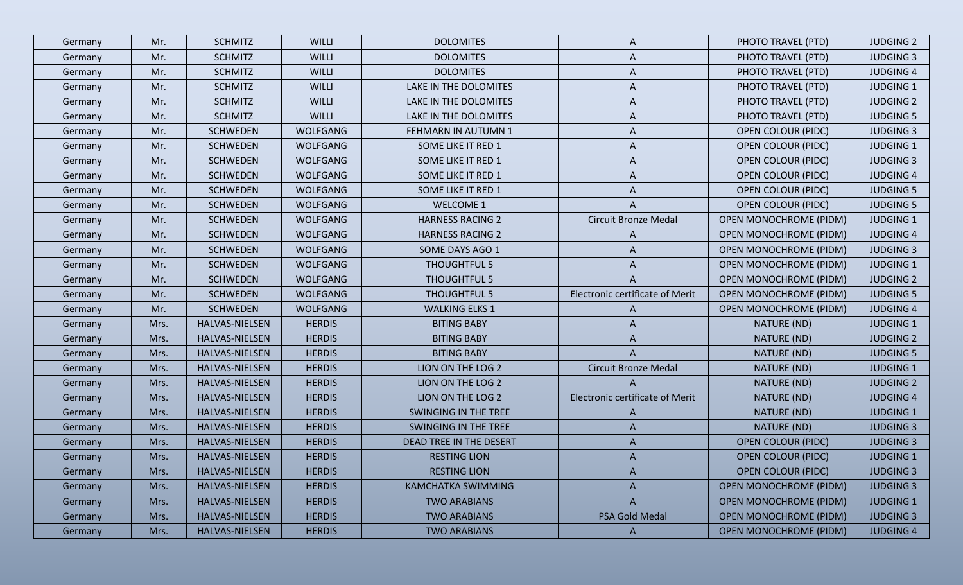| Germany | Mr.  | <b>SCHMITZ</b>        | <b>WILLI</b>    | <b>DOLOMITES</b>        | A                               | PHOTO TRAVEL (PTD)            | <b>JUDGING 2</b> |
|---------|------|-----------------------|-----------------|-------------------------|---------------------------------|-------------------------------|------------------|
| Germany | Mr.  | <b>SCHMITZ</b>        | <b>WILLI</b>    | <b>DOLOMITES</b>        | A                               | PHOTO TRAVEL (PTD)            | <b>JUDGING 3</b> |
| Germany | Mr.  | <b>SCHMITZ</b>        | WILLI           | <b>DOLOMITES</b>        | A                               | PHOTO TRAVEL (PTD)            | <b>JUDGING 4</b> |
| Germany | Mr.  | <b>SCHMITZ</b>        | <b>WILLI</b>    | LAKE IN THE DOLOMITES   | A                               | PHOTO TRAVEL (PTD)            | <b>JUDGING 1</b> |
| Germany | Mr.  | <b>SCHMITZ</b>        | <b>WILLI</b>    | LAKE IN THE DOLOMITES   | A                               | PHOTO TRAVEL (PTD)            | <b>JUDGING 2</b> |
| Germany | Mr.  | <b>SCHMITZ</b>        | <b>WILLI</b>    | LAKE IN THE DOLOMITES   | A                               | PHOTO TRAVEL (PTD)            | <b>JUDGING 5</b> |
| Germany | Mr.  | <b>SCHWEDEN</b>       | WOLFGANG        | FEHMARN IN AUTUMN 1     | A                               | <b>OPEN COLOUR (PIDC)</b>     | <b>JUDGING 3</b> |
| Germany | Mr.  | <b>SCHWEDEN</b>       | <b>WOLFGANG</b> | SOME LIKE IT RED 1      | A                               | <b>OPEN COLOUR (PIDC)</b>     | <b>JUDGING 1</b> |
| Germany | Mr.  | <b>SCHWEDEN</b>       | WOLFGANG        | SOME LIKE IT RED 1      | A                               | <b>OPEN COLOUR (PIDC)</b>     | <b>JUDGING 3</b> |
| Germany | Mr.  | <b>SCHWEDEN</b>       | WOLFGANG        | SOME LIKE IT RED 1      | A                               | <b>OPEN COLOUR (PIDC)</b>     | <b>JUDGING 4</b> |
| Germany | Mr.  | <b>SCHWEDEN</b>       | WOLFGANG        | SOME LIKE IT RED 1      | A                               | <b>OPEN COLOUR (PIDC)</b>     | <b>JUDGING 5</b> |
| Germany | Mr.  | <b>SCHWEDEN</b>       | WOLFGANG        | <b>WELCOME 1</b>        |                                 | <b>OPEN COLOUR (PIDC)</b>     | <b>JUDGING 5</b> |
| Germany | Mr.  | <b>SCHWEDEN</b>       | WOLFGANG        | <b>HARNESS RACING 2</b> | <b>Circuit Bronze Medal</b>     | <b>OPEN MONOCHROME (PIDM)</b> | <b>JUDGING 1</b> |
| Germany | Mr.  | <b>SCHWEDEN</b>       | WOLFGANG        | <b>HARNESS RACING 2</b> | A                               | <b>OPEN MONOCHROME (PIDM)</b> | <b>JUDGING 4</b> |
| Germany | Mr.  | <b>SCHWEDEN</b>       | WOLFGANG        | SOME DAYS AGO 1         | A                               | <b>OPEN MONOCHROME (PIDM)</b> | <b>JUDGING 3</b> |
| Germany | Mr.  | <b>SCHWEDEN</b>       | WOLFGANG        | <b>THOUGHTFUL 5</b>     | A                               | <b>OPEN MONOCHROME (PIDM)</b> | <b>JUDGING 1</b> |
| Germany | Mr.  | <b>SCHWEDEN</b>       | WOLFGANG        | THOUGHTFUL 5            | A                               | <b>OPEN MONOCHROME (PIDM)</b> | <b>JUDGING 2</b> |
| Germany | Mr.  | <b>SCHWEDEN</b>       | WOLFGANG        | THOUGHTFUL 5            | Electronic certificate of Merit | <b>OPEN MONOCHROME (PIDM)</b> | <b>JUDGING 5</b> |
| Germany | Mr.  | <b>SCHWEDEN</b>       | WOLFGANG        | <b>WALKING ELKS 1</b>   | A                               | <b>OPEN MONOCHROME (PIDM)</b> | <b>JUDGING 4</b> |
| Germany | Mrs. | HALVAS-NIELSEN        | <b>HERDIS</b>   | <b>BITING BABY</b>      | A                               | NATURE (ND)                   | <b>JUDGING 1</b> |
| Germany | Mrs. | HALVAS-NIELSEN        | <b>HERDIS</b>   | <b>BITING BABY</b>      | A                               | NATURE (ND)                   | <b>JUDGING 2</b> |
| Germany | Mrs. | HALVAS-NIELSEN        | <b>HERDIS</b>   | <b>BITING BABY</b>      | A                               | NATURE (ND)                   | <b>JUDGING 5</b> |
| Germany | Mrs. | HALVAS-NIELSEN        | <b>HERDIS</b>   | LION ON THE LOG 2       | <b>Circuit Bronze Medal</b>     | NATURE (ND)                   | <b>JUDGING 1</b> |
| Germany | Mrs. | HALVAS-NIELSEN        | <b>HERDIS</b>   | LION ON THE LOG 2       |                                 | NATURE (ND)                   | <b>JUDGING 2</b> |
| Germany | Mrs. | HALVAS-NIELSEN        | <b>HERDIS</b>   | LION ON THE LOG 2       | Electronic certificate of Merit | NATURE (ND)                   | <b>JUDGING 4</b> |
| Germany | Mrs. | <b>HALVAS-NIELSEN</b> | <b>HERDIS</b>   | SWINGING IN THE TREE    | A                               | NATURE (ND)                   | <b>JUDGING 1</b> |
| Germany | Mrs. | HALVAS-NIELSEN        | <b>HERDIS</b>   | SWINGING IN THE TREE    | A                               | NATURE (ND)                   | <b>JUDGING 3</b> |
| Germany | Mrs. | HALVAS-NIELSEN        | <b>HERDIS</b>   | DEAD TREE IN THE DESERT | A                               | <b>OPEN COLOUR (PIDC)</b>     | <b>JUDGING 3</b> |
| Germany | Mrs. | HALVAS-NIELSEN        | <b>HERDIS</b>   | <b>RESTING LION</b>     | A                               | <b>OPEN COLOUR (PIDC)</b>     | <b>JUDGING 1</b> |
| Germany | Mrs. | HALVAS-NIELSEN        | <b>HERDIS</b>   | <b>RESTING LION</b>     | A                               | <b>OPEN COLOUR (PIDC)</b>     | <b>JUDGING 3</b> |
| Germany | Mrs. | HALVAS-NIELSEN        | <b>HERDIS</b>   | KAMCHATKA SWIMMING      | A                               | <b>OPEN MONOCHROME (PIDM)</b> | <b>JUDGING 3</b> |
| Germany | Mrs. | HALVAS-NIELSEN        | <b>HERDIS</b>   | <b>TWO ARABIANS</b>     | $\mathsf{A}$                    | <b>OPEN MONOCHROME (PIDM)</b> | <b>JUDGING 1</b> |
| Germany | Mrs. | HALVAS-NIELSEN        | <b>HERDIS</b>   | <b>TWO ARABIANS</b>     | PSA Gold Medal                  | <b>OPEN MONOCHROME (PIDM)</b> | <b>JUDGING 3</b> |
| Germany | Mrs. | HALVAS-NIELSEN        | <b>HERDIS</b>   | <b>TWO ARABIANS</b>     | $\mathsf{A}$                    | <b>OPEN MONOCHROME (PIDM)</b> | <b>JUDGING 4</b> |
|         |      |                       |                 |                         |                                 |                               |                  |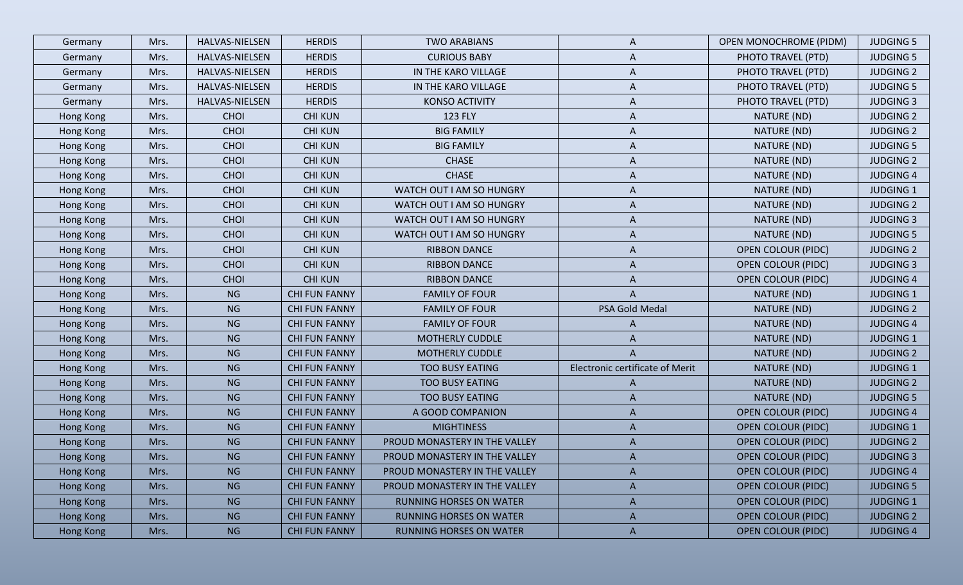| Germany          | Mrs. | HALVAS-NIELSEN | <b>HERDIS</b>        | <b>TWO ARABIANS</b>            | A                               | <b>OPEN MONOCHROME (PIDM)</b> | <b>JUDGING 5</b> |
|------------------|------|----------------|----------------------|--------------------------------|---------------------------------|-------------------------------|------------------|
| Germany          | Mrs. | HALVAS-NIELSEN | <b>HERDIS</b>        | <b>CURIOUS BABY</b>            | A                               | PHOTO TRAVEL (PTD)            | <b>JUDGING 5</b> |
| Germany          | Mrs. | HALVAS-NIELSEN | <b>HERDIS</b>        | IN THE KARO VILLAGE            | A                               | PHOTO TRAVEL (PTD)            | <b>JUDGING 2</b> |
| Germany          | Mrs. | HALVAS-NIELSEN | <b>HERDIS</b>        | IN THE KARO VILLAGE            | A                               | PHOTO TRAVEL (PTD)            | <b>JUDGING 5</b> |
| Germany          | Mrs. | HALVAS-NIELSEN | <b>HERDIS</b>        | <b>KONSO ACTIVITY</b>          | A                               | PHOTO TRAVEL (PTD)            | <b>JUDGING 3</b> |
| Hong Kong        | Mrs. | <b>CHOI</b>    | <b>CHI KUN</b>       | <b>123 FLY</b>                 | A                               | NATURE (ND)                   | <b>JUDGING 2</b> |
| Hong Kong        | Mrs. | <b>CHOI</b>    | <b>CHI KUN</b>       | <b>BIG FAMILY</b>              | A                               | NATURE (ND)                   | <b>JUDGING 2</b> |
| Hong Kong        | Mrs. | CHOI           | <b>CHI KUN</b>       | <b>BIG FAMILY</b>              | A                               | NATURE (ND)                   | <b>JUDGING 5</b> |
| Hong Kong        | Mrs. | CHOI           | <b>CHI KUN</b>       | <b>CHASE</b>                   | A                               | NATURE (ND)                   | <b>JUDGING 2</b> |
| Hong Kong        | Mrs. | CHOI           | <b>CHI KUN</b>       | <b>CHASE</b>                   | A                               | NATURE (ND)                   | <b>JUDGING 4</b> |
| Hong Kong        | Mrs. | <b>CHOI</b>    | <b>CHI KUN</b>       | WATCH OUT I AM SO HUNGRY       | A                               | NATURE (ND)                   | <b>JUDGING 1</b> |
| Hong Kong        | Mrs. | CHOI           | <b>CHI KUN</b>       | WATCH OUT I AM SO HUNGRY       | A                               | NATURE (ND)                   | <b>JUDGING 2</b> |
| Hong Kong        | Mrs. | CHOI           | <b>CHI KUN</b>       | WATCH OUT I AM SO HUNGRY       | A                               | NATURE (ND)                   | <b>JUDGING 3</b> |
| Hong Kong        | Mrs. | CHOI           | <b>CHI KUN</b>       | WATCH OUT I AM SO HUNGRY       | A                               | NATURE (ND)                   | <b>JUDGING 5</b> |
| Hong Kong        | Mrs. | CHOI           | <b>CHI KUN</b>       | <b>RIBBON DANCE</b>            | A                               | <b>OPEN COLOUR (PIDC)</b>     | <b>JUDGING 2</b> |
| Hong Kong        | Mrs. | CHOI           | <b>CHI KUN</b>       | <b>RIBBON DANCE</b>            | A                               | <b>OPEN COLOUR (PIDC)</b>     | <b>JUDGING 3</b> |
| Hong Kong        | Mrs. | CHOI           | <b>CHI KUN</b>       | <b>RIBBON DANCE</b>            | A                               | <b>OPEN COLOUR (PIDC)</b>     | <b>JUDGING 4</b> |
| Hong Kong        | Mrs. | <b>NG</b>      | <b>CHI FUN FANNY</b> | <b>FAMILY OF FOUR</b>          | $\mathsf{A}$                    | NATURE (ND)                   | <b>JUDGING 1</b> |
| Hong Kong        | Mrs. | <b>NG</b>      | <b>CHI FUN FANNY</b> | <b>FAMILY OF FOUR</b>          | PSA Gold Medal                  | NATURE (ND)                   | <b>JUDGING 2</b> |
| Hong Kong        | Mrs. | <b>NG</b>      | <b>CHI FUN FANNY</b> | <b>FAMILY OF FOUR</b>          | A                               | NATURE (ND)                   | <b>JUDGING 4</b> |
| Hong Kong        | Mrs. | <b>NG</b>      | <b>CHI FUN FANNY</b> | <b>MOTHERLY CUDDLE</b>         | A                               | NATURE (ND)                   | <b>JUDGING 1</b> |
| Hong Kong        | Mrs. | <b>NG</b>      | <b>CHI FUN FANNY</b> | MOTHERLY CUDDLE                | A                               | NATURE (ND)                   | <b>JUDGING 2</b> |
| Hong Kong        | Mrs. | <b>NG</b>      | <b>CHI FUN FANNY</b> | <b>TOO BUSY EATING</b>         | Electronic certificate of Merit | NATURE (ND)                   | <b>JUDGING 1</b> |
| Hong Kong        | Mrs. | <b>NG</b>      | <b>CHI FUN FANNY</b> | <b>TOO BUSY EATING</b>         | A                               | NATURE (ND)                   | <b>JUDGING 2</b> |
| Hong Kong        | Mrs. | <b>NG</b>      | <b>CHI FUN FANNY</b> | <b>TOO BUSY EATING</b>         | A                               | NATURE (ND)                   | <b>JUDGING 5</b> |
| Hong Kong        | Mrs. | <b>NG</b>      | <b>CHI FUN FANNY</b> | A GOOD COMPANION               | A                               | <b>OPEN COLOUR (PIDC)</b>     | <b>JUDGING 4</b> |
| Hong Kong        | Mrs. | <b>NG</b>      | <b>CHI FUN FANNY</b> | <b>MIGHTINESS</b>              | A                               | <b>OPEN COLOUR (PIDC)</b>     | <b>JUDGING 1</b> |
| Hong Kong        | Mrs. | <b>NG</b>      | <b>CHI FUN FANNY</b> | PROUD MONASTERY IN THE VALLEY  | A                               | <b>OPEN COLOUR (PIDC)</b>     | <b>JUDGING 2</b> |
| Hong Kong        | Mrs. | <b>NG</b>      | <b>CHI FUN FANNY</b> | PROUD MONASTERY IN THE VALLEY  | A                               | <b>OPEN COLOUR (PIDC)</b>     | <b>JUDGING 3</b> |
| Hong Kong        | Mrs. | <b>NG</b>      | <b>CHI FUN FANNY</b> | PROUD MONASTERY IN THE VALLEY  | A                               | <b>OPEN COLOUR (PIDC)</b>     | <b>JUDGING 4</b> |
| <b>Hong Kong</b> | Mrs. | <b>NG</b>      | <b>CHI FUN FANNY</b> | PROUD MONASTERY IN THE VALLEY  | A                               | <b>OPEN COLOUR (PIDC)</b>     | <b>JUDGING 5</b> |
| Hong Kong        | Mrs. | <b>NG</b>      | <b>CHI FUN FANNY</b> | <b>RUNNING HORSES ON WATER</b> | A                               | <b>OPEN COLOUR (PIDC)</b>     | <b>JUDGING 1</b> |
| Hong Kong        | Mrs. | <b>NG</b>      | <b>CHI FUN FANNY</b> | <b>RUNNING HORSES ON WATER</b> | $\mathsf{A}$                    | <b>OPEN COLOUR (PIDC)</b>     | <b>JUDGING 2</b> |
| Hong Kong        | Mrs. | <b>NG</b>      | <b>CHI FUN FANNY</b> | <b>RUNNING HORSES ON WATER</b> | $\mathsf{A}$                    | <b>OPEN COLOUR (PIDC)</b>     | <b>JUDGING 4</b> |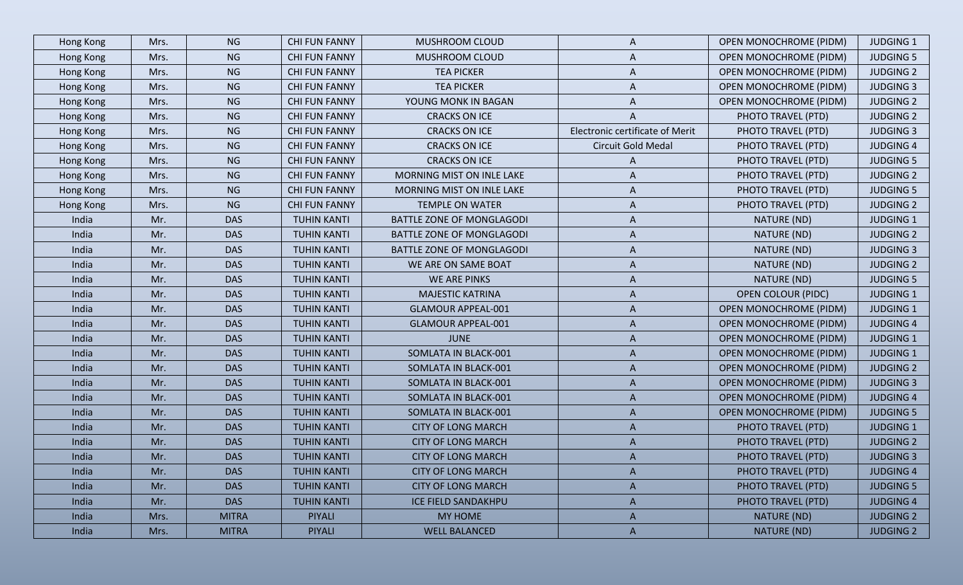| Hong Kong | Mrs. | <b>NG</b>    | <b>CHI FUN FANNY</b> | MUSHROOM CLOUD                   | A                               | <b>OPEN MONOCHROME (PIDM)</b> | <b>JUDGING 1</b> |
|-----------|------|--------------|----------------------|----------------------------------|---------------------------------|-------------------------------|------------------|
| Hong Kong | Mrs. | <b>NG</b>    | <b>CHI FUN FANNY</b> | MUSHROOM CLOUD                   | A                               | <b>OPEN MONOCHROME (PIDM)</b> | <b>JUDGING 5</b> |
| Hong Kong | Mrs. | <b>NG</b>    | <b>CHI FUN FANNY</b> | <b>TEA PICKER</b>                | A                               | <b>OPEN MONOCHROME (PIDM)</b> | <b>JUDGING 2</b> |
| Hong Kong | Mrs. | <b>NG</b>    | <b>CHI FUN FANNY</b> | <b>TEA PICKER</b>                | A                               | <b>OPEN MONOCHROME (PIDM)</b> | <b>JUDGING 3</b> |
| Hong Kong | Mrs. | <b>NG</b>    | <b>CHI FUN FANNY</b> | YOUNG MONK IN BAGAN              | A                               | <b>OPEN MONOCHROME (PIDM)</b> | <b>JUDGING 2</b> |
| Hong Kong | Mrs. | <b>NG</b>    | <b>CHI FUN FANNY</b> | <b>CRACKS ON ICE</b>             | A                               | PHOTO TRAVEL (PTD)            | <b>JUDGING 2</b> |
| Hong Kong | Mrs. | <b>NG</b>    | <b>CHI FUN FANNY</b> | <b>CRACKS ON ICE</b>             | Electronic certificate of Merit | PHOTO TRAVEL (PTD)            | <b>JUDGING 3</b> |
| Hong Kong | Mrs. | <b>NG</b>    | <b>CHI FUN FANNY</b> | <b>CRACKS ON ICE</b>             | Circuit Gold Medal              | PHOTO TRAVEL (PTD)            | <b>JUDGING 4</b> |
| Hong Kong | Mrs. | <b>NG</b>    | <b>CHI FUN FANNY</b> | <b>CRACKS ON ICE</b>             | A                               | PHOTO TRAVEL (PTD)            | <b>JUDGING 5</b> |
| Hong Kong | Mrs. | <b>NG</b>    | <b>CHI FUN FANNY</b> | MORNING MIST ON INLE LAKE        | A                               | PHOTO TRAVEL (PTD)            | <b>JUDGING 2</b> |
| Hong Kong | Mrs. | <b>NG</b>    | <b>CHI FUN FANNY</b> | MORNING MIST ON INLE LAKE        | A                               | PHOTO TRAVEL (PTD)            | <b>JUDGING 5</b> |
| Hong Kong | Mrs. | <b>NG</b>    | <b>CHI FUN FANNY</b> | <b>TEMPLE ON WATER</b>           | A                               | PHOTO TRAVEL (PTD)            | <b>JUDGING 2</b> |
| India     | Mr.  | <b>DAS</b>   | <b>TUHIN KANTI</b>   | BATTLE ZONE OF MONGLAGODI        | A                               | NATURE (ND)                   | <b>JUDGING 1</b> |
| India     | Mr.  | <b>DAS</b>   | <b>TUHIN KANTI</b>   | BATTLE ZONE OF MONGLAGODI        | A                               | NATURE (ND)                   | <b>JUDGING 2</b> |
| India     | Mr.  | <b>DAS</b>   | <b>TUHIN KANTI</b>   | <b>BATTLE ZONE OF MONGLAGODI</b> | A                               | NATURE (ND)                   | <b>JUDGING 3</b> |
| India     | Mr.  | <b>DAS</b>   | <b>TUHIN KANTI</b>   | WE ARE ON SAME BOAT              | A                               | NATURE (ND)                   | <b>JUDGING 2</b> |
| India     | Mr.  | <b>DAS</b>   | <b>TUHIN KANTI</b>   | WE ARE PINKS                     | A                               | NATURE (ND)                   | <b>JUDGING 5</b> |
| India     | Mr.  | <b>DAS</b>   | <b>TUHIN KANTI</b>   | <b>MAJESTIC KATRINA</b>          | A                               | <b>OPEN COLOUR (PIDC)</b>     | <b>JUDGING 1</b> |
| India     | Mr.  | <b>DAS</b>   | <b>TUHIN KANTI</b>   | <b>GLAMOUR APPEAL-001</b>        | A                               | <b>OPEN MONOCHROME (PIDM)</b> | <b>JUDGING 1</b> |
| India     | Mr.  | <b>DAS</b>   | <b>TUHIN KANTI</b>   | <b>GLAMOUR APPEAL-001</b>        | A                               | <b>OPEN MONOCHROME (PIDM)</b> | <b>JUDGING 4</b> |
| India     | Mr.  | <b>DAS</b>   | <b>TUHIN KANTI</b>   | <b>JUNE</b>                      | A                               | <b>OPEN MONOCHROME (PIDM)</b> | <b>JUDGING 1</b> |
| India     | Mr.  | <b>DAS</b>   | <b>TUHIN KANTI</b>   | SOMLATA IN BLACK-001             | A                               | <b>OPEN MONOCHROME (PIDM)</b> | <b>JUDGING 1</b> |
| India     | Mr.  | <b>DAS</b>   | <b>TUHIN KANTI</b>   | SOMLATA IN BLACK-001             | A                               | <b>OPEN MONOCHROME (PIDM)</b> | <b>JUDGING 2</b> |
| India     | Mr.  | <b>DAS</b>   | <b>TUHIN KANTI</b>   | SOMLATA IN BLACK-001             | A                               | <b>OPEN MONOCHROME (PIDM)</b> | <b>JUDGING 3</b> |
| India     | Mr.  | <b>DAS</b>   | <b>TUHIN KANTI</b>   | SOMLATA IN BLACK-001             | A                               | <b>OPEN MONOCHROME (PIDM)</b> | <b>JUDGING 4</b> |
| India     | Mr.  | <b>DAS</b>   | <b>TUHIN KANTI</b>   | SOMLATA IN BLACK-001             | A                               | <b>OPEN MONOCHROME (PIDM)</b> | <b>JUDGING 5</b> |
| India     | Mr.  | <b>DAS</b>   | <b>TUHIN KANTI</b>   | <b>CITY OF LONG MARCH</b>        | A                               | PHOTO TRAVEL (PTD)            | <b>JUDGING 1</b> |
| India     | Mr.  | <b>DAS</b>   | <b>TUHIN KANTI</b>   | <b>CITY OF LONG MARCH</b>        | A                               | PHOTO TRAVEL (PTD)            | <b>JUDGING 2</b> |
| India     | Mr.  | <b>DAS</b>   | <b>TUHIN KANTI</b>   | <b>CITY OF LONG MARCH</b>        |                                 | PHOTO TRAVEL (PTD)            | <b>JUDGING 3</b> |
| India     | Mr.  | <b>DAS</b>   | <b>TUHIN KANTI</b>   | <b>CITY OF LONG MARCH</b>        | A                               | PHOTO TRAVEL (PTD)            | <b>JUDGING 4</b> |
| India     | Mr.  | <b>DAS</b>   | <b>TUHIN KANTI</b>   | <b>CITY OF LONG MARCH</b>        | A                               | PHOTO TRAVEL (PTD)            | <b>JUDGING 5</b> |
| India     | Mr.  | <b>DAS</b>   | <b>TUHIN KANTI</b>   | ICE FIELD SANDAKHPU              | A                               | PHOTO TRAVEL (PTD)            | <b>JUDGING 4</b> |
| India     | Mrs. | <b>MITRA</b> | PIYALI               | MY HOME                          | $\mathsf{A}$                    | NATURE (ND)                   | <b>JUDGING 2</b> |
| India     | Mrs. | <b>MITRA</b> | PIYALI               | <b>WELL BALANCED</b>             | $\mathsf{A}$                    | NATURE (ND)                   | <b>JUDGING 2</b> |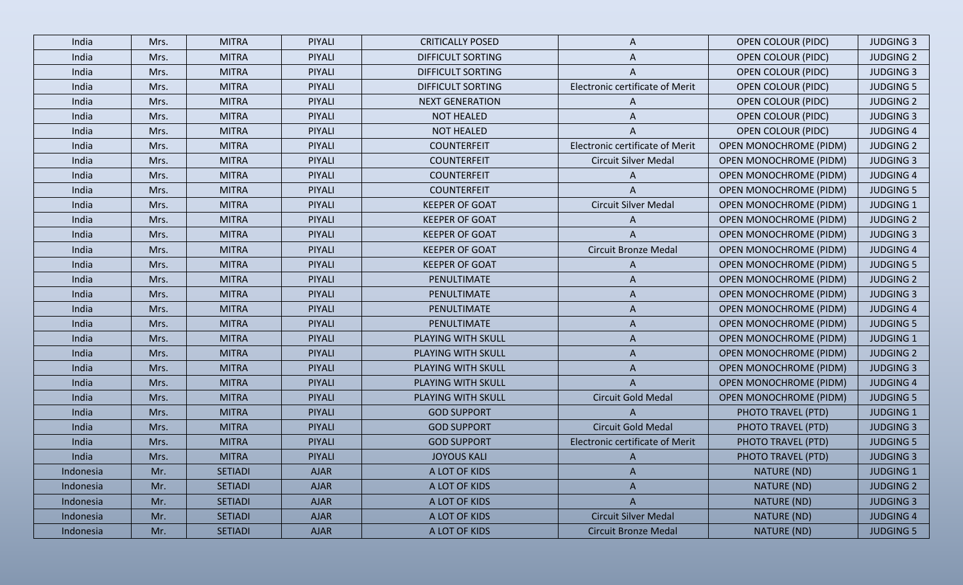| India     | Mrs. | <b>MITRA</b>   | PIYALI        | <b>CRITICALLY POSED</b> | A                               | <b>OPEN COLOUR (PIDC)</b>     | <b>JUDGING 3</b> |
|-----------|------|----------------|---------------|-------------------------|---------------------------------|-------------------------------|------------------|
| India     | Mrs. | <b>MITRA</b>   | PIYALI        | DIFFICULT SORTING       | A                               | <b>OPEN COLOUR (PIDC)</b>     | <b>JUDGING 2</b> |
| India     | Mrs. | <b>MITRA</b>   | <b>PIYALI</b> | DIFFICULT SORTING       | A                               | <b>OPEN COLOUR (PIDC)</b>     | <b>JUDGING 3</b> |
| India     | Mrs. | <b>MITRA</b>   | PIYALI        | DIFFICULT SORTING       | Electronic certificate of Merit | <b>OPEN COLOUR (PIDC)</b>     | <b>JUDGING 5</b> |
| India     | Mrs. | <b>MITRA</b>   | PIYALI        | <b>NEXT GENERATION</b>  | A                               | <b>OPEN COLOUR (PIDC)</b>     | <b>JUDGING 2</b> |
| India     | Mrs. | <b>MITRA</b>   | PIYALI        | <b>NOT HEALED</b>       | A                               | <b>OPEN COLOUR (PIDC)</b>     | <b>JUDGING 3</b> |
| India     | Mrs. | <b>MITRA</b>   | PIYALI        | <b>NOT HEALED</b>       | A                               | <b>OPEN COLOUR (PIDC)</b>     | <b>JUDGING 4</b> |
| India     | Mrs. | <b>MITRA</b>   | PIYALI        | <b>COUNTERFEIT</b>      | Electronic certificate of Merit | <b>OPEN MONOCHROME (PIDM)</b> | <b>JUDGING 2</b> |
| India     | Mrs. | <b>MITRA</b>   | PIYALI        | <b>COUNTERFEIT</b>      | <b>Circuit Silver Medal</b>     | <b>OPEN MONOCHROME (PIDM)</b> | <b>JUDGING 3</b> |
| India     | Mrs. | <b>MITRA</b>   | PIYALI        | <b>COUNTERFEIT</b>      | A                               | <b>OPEN MONOCHROME (PIDM)</b> | <b>JUDGING 4</b> |
| India     | Mrs. | <b>MITRA</b>   | PIYALI        | <b>COUNTERFEIT</b>      | A                               | <b>OPEN MONOCHROME (PIDM)</b> | <b>JUDGING 5</b> |
| India     | Mrs. | <b>MITRA</b>   | PIYALI        | <b>KEEPER OF GOAT</b>   | <b>Circuit Silver Medal</b>     | <b>OPEN MONOCHROME (PIDM)</b> | <b>JUDGING 1</b> |
| India     | Mrs. | <b>MITRA</b>   | PIYALI        | <b>KEEPER OF GOAT</b>   | A                               | <b>OPEN MONOCHROME (PIDM)</b> | <b>JUDGING 2</b> |
| India     | Mrs. | <b>MITRA</b>   | PIYALI        | <b>KEEPER OF GOAT</b>   | A                               | <b>OPEN MONOCHROME (PIDM)</b> | <b>JUDGING 3</b> |
| India     | Mrs. | <b>MITRA</b>   | PIYALI        | <b>KEEPER OF GOAT</b>   | <b>Circuit Bronze Medal</b>     | <b>OPEN MONOCHROME (PIDM)</b> | <b>JUDGING 4</b> |
| India     | Mrs. | <b>MITRA</b>   | PIYALI        | <b>KEEPER OF GOAT</b>   | A                               | <b>OPEN MONOCHROME (PIDM)</b> | <b>JUDGING 5</b> |
| India     | Mrs. | <b>MITRA</b>   | PIYALI        | PENULTIMATE             | A                               | <b>OPEN MONOCHROME (PIDM)</b> | <b>JUDGING 2</b> |
| India     | Mrs. | <b>MITRA</b>   | PIYALI        | <b>PENULTIMATE</b>      | A                               | <b>OPEN MONOCHROME (PIDM)</b> | <b>JUDGING 3</b> |
| India     | Mrs. | <b>MITRA</b>   | PIYALI        | PENULTIMATE             | A                               | <b>OPEN MONOCHROME (PIDM)</b> | <b>JUDGING 4</b> |
| India     | Mrs. | <b>MITRA</b>   | PIYALI        | PENULTIMATE             | A                               | <b>OPEN MONOCHROME (PIDM)</b> | <b>JUDGING 5</b> |
| India     | Mrs. | <b>MITRA</b>   | PIYALI        | PLAYING WITH SKULL      | A                               | <b>OPEN MONOCHROME (PIDM)</b> | <b>JUDGING 1</b> |
| India     | Mrs. | <b>MITRA</b>   | PIYALI        | PLAYING WITH SKULL      | A                               | <b>OPEN MONOCHROME (PIDM)</b> | <b>JUDGING 2</b> |
| India     | Mrs. | <b>MITRA</b>   | PIYALI        | PLAYING WITH SKULL      | A                               | <b>OPEN MONOCHROME (PIDM)</b> | <b>JUDGING 3</b> |
| India     | Mrs. | <b>MITRA</b>   | PIYALI        | PLAYING WITH SKULL      | A                               | <b>OPEN MONOCHROME (PIDM)</b> | <b>JUDGING 4</b> |
| India     | Mrs. | <b>MITRA</b>   | <b>PIYALI</b> | PLAYING WITH SKULL      | Circuit Gold Medal              | <b>OPEN MONOCHROME (PIDM)</b> | <b>JUDGING 5</b> |
| India     | Mrs. | <b>MITRA</b>   | PIYALI        | <b>GOD SUPPORT</b>      | A                               | PHOTO TRAVEL (PTD)            | <b>JUDGING 1</b> |
| India     | Mrs. | <b>MITRA</b>   | <b>PIYALI</b> | <b>GOD SUPPORT</b>      | Circuit Gold Medal              | PHOTO TRAVEL (PTD)            | <b>JUDGING 3</b> |
| India     | Mrs. | <b>MITRA</b>   | PIYALI        | <b>GOD SUPPORT</b>      | Electronic certificate of Merit | PHOTO TRAVEL (PTD)            | <b>JUDGING 5</b> |
| India     | Mrs. | <b>MITRA</b>   | <b>PIYALI</b> | <b>JOYOUS KALI</b>      |                                 | PHOTO TRAVEL (PTD)            | <b>JUDGING 3</b> |
| Indonesia | Mr.  | <b>SETIADI</b> | <b>AJAR</b>   | A LOT OF KIDS           | A                               | NATURE (ND)                   | <b>JUDGING 1</b> |
| Indonesia | Mr.  | <b>SETIADI</b> | <b>AJAR</b>   | A LOT OF KIDS           | A                               | NATURE (ND)                   | <b>JUDGING 2</b> |
| Indonesia | Mr.  | <b>SETIADI</b> | <b>AJAR</b>   | A LOT OF KIDS           | A                               | NATURE (ND)                   | <b>JUDGING 3</b> |
| Indonesia | Mr.  | <b>SETIADI</b> | <b>AJAR</b>   | A LOT OF KIDS           | <b>Circuit Silver Medal</b>     | NATURE (ND)                   | <b>JUDGING 4</b> |
| Indonesia | Mr.  | <b>SETIADI</b> | <b>AJAR</b>   | A LOT OF KIDS           | <b>Circuit Bronze Medal</b>     | NATURE (ND)                   | <b>JUDGING 5</b> |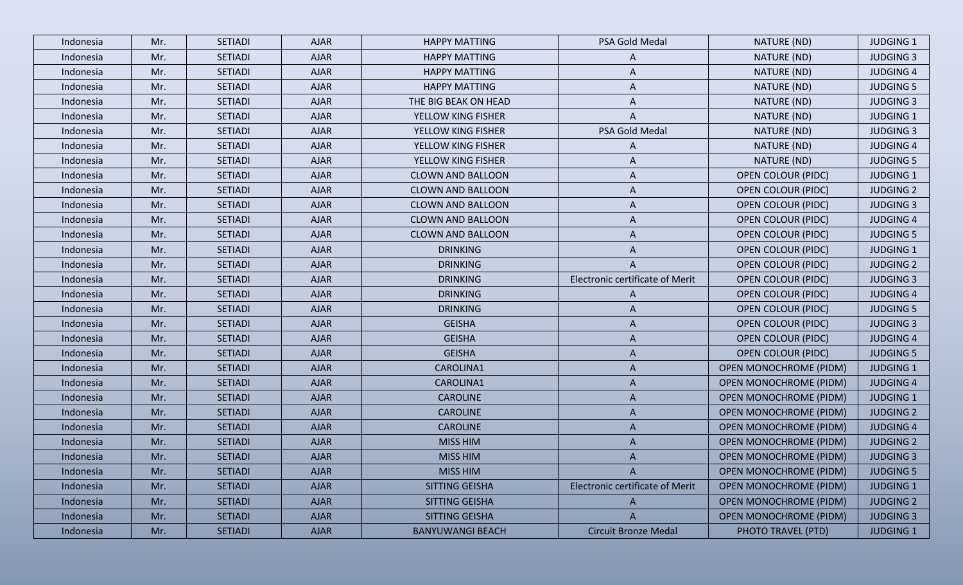| Indonesia | Mr. | <b>SETIADI</b> | <b>AJAR</b> | <b>HAPPY MATTING</b>     | PSA Gold Medal                         | NATURE (ND)                   | <b>JUDGING 1</b> |
|-----------|-----|----------------|-------------|--------------------------|----------------------------------------|-------------------------------|------------------|
| Indonesia | Mr. | <b>SETIADI</b> | <b>AJAR</b> | <b>HAPPY MATTING</b>     | A                                      | NATURE (ND)                   | <b>JUDGING 3</b> |
| Indonesia | Mr. | <b>SETIADI</b> | <b>AJAR</b> | <b>HAPPY MATTING</b>     | A                                      | NATURE (ND)                   | <b>JUDGING 4</b> |
| Indonesia | Mr. | <b>SETIADI</b> | <b>AJAR</b> | <b>HAPPY MATTING</b>     | A                                      | NATURE (ND)                   | <b>JUDGING 5</b> |
| Indonesia | Mr. | <b>SETIADI</b> | <b>AJAR</b> | THE BIG BEAK ON HEAD     | A                                      | NATURE (ND)                   | <b>JUDGING 3</b> |
| Indonesia | Mr. | <b>SETIADI</b> | <b>AJAR</b> | YELLOW KING FISHER       | A                                      | NATURE (ND)                   | <b>JUDGING 1</b> |
| Indonesia | Mr. | <b>SETIADI</b> | <b>AJAR</b> | YELLOW KING FISHER       | PSA Gold Medal                         | NATURE (ND)                   | <b>JUDGING 3</b> |
| Indonesia | Mr. | <b>SETIADI</b> | <b>AJAR</b> | YELLOW KING FISHER       | A                                      | NATURE (ND)                   | <b>JUDGING 4</b> |
| Indonesia | Mr. | <b>SETIADI</b> | <b>AJAR</b> | YELLOW KING FISHER       | A                                      | NATURE (ND)                   | <b>JUDGING 5</b> |
| Indonesia | Mr. | <b>SETIADI</b> | <b>AJAR</b> | <b>CLOWN AND BALLOON</b> | A                                      | <b>OPEN COLOUR (PIDC)</b>     | <b>JUDGING 1</b> |
| Indonesia | Mr. | <b>SETIADI</b> | <b>AJAR</b> | <b>CLOWN AND BALLOON</b> | A                                      | <b>OPEN COLOUR (PIDC)</b>     | <b>JUDGING 2</b> |
| Indonesia | Mr. | <b>SETIADI</b> | <b>AJAR</b> | <b>CLOWN AND BALLOON</b> | A                                      | <b>OPEN COLOUR (PIDC)</b>     | <b>JUDGING 3</b> |
| Indonesia | Mr. | <b>SETIADI</b> | <b>AJAR</b> | <b>CLOWN AND BALLOON</b> | A                                      | <b>OPEN COLOUR (PIDC)</b>     | <b>JUDGING 4</b> |
| Indonesia | Mr. | <b>SETIADI</b> | <b>AJAR</b> | <b>CLOWN AND BALLOON</b> | A                                      | <b>OPEN COLOUR (PIDC)</b>     | <b>JUDGING 5</b> |
| Indonesia | Mr. | <b>SETIADI</b> | <b>AJAR</b> | <b>DRINKING</b>          | A                                      | <b>OPEN COLOUR (PIDC)</b>     | <b>JUDGING 1</b> |
| Indonesia | Mr. | <b>SETIADI</b> | <b>AJAR</b> | <b>DRINKING</b>          | A                                      | <b>OPEN COLOUR (PIDC)</b>     | <b>JUDGING 2</b> |
| Indonesia | Mr. | <b>SETIADI</b> | <b>AJAR</b> | <b>DRINKING</b>          | Electronic certificate of Merit        | <b>OPEN COLOUR (PIDC)</b>     | <b>JUDGING 3</b> |
| Indonesia | Mr. | <b>SETIADI</b> | <b>AJAR</b> | <b>DRINKING</b>          | A                                      | <b>OPEN COLOUR (PIDC)</b>     | <b>JUDGING 4</b> |
| Indonesia | Mr. | <b>SETIADI</b> | <b>AJAR</b> | <b>DRINKING</b>          | A                                      | <b>OPEN COLOUR (PIDC)</b>     | <b>JUDGING 5</b> |
| Indonesia | Mr. | <b>SETIADI</b> | <b>AJAR</b> | <b>GEISHA</b>            | A                                      | <b>OPEN COLOUR (PIDC)</b>     | <b>JUDGING 3</b> |
| Indonesia | Mr. | <b>SETIADI</b> | <b>AJAR</b> | <b>GEISHA</b>            | A                                      | <b>OPEN COLOUR (PIDC)</b>     | <b>JUDGING 4</b> |
| Indonesia | Mr. | <b>SETIADI</b> | <b>AJAR</b> | <b>GEISHA</b>            | A                                      | <b>OPEN COLOUR (PIDC)</b>     | <b>JUDGING 5</b> |
| Indonesia | Mr. | <b>SETIADI</b> | <b>AJAR</b> | CAROLINA1                | A                                      | <b>OPEN MONOCHROME (PIDM)</b> | <b>JUDGING 1</b> |
| Indonesia | Mr. | <b>SETIADI</b> | <b>AJAR</b> | CAROLINA1                | A                                      | <b>OPEN MONOCHROME (PIDM)</b> | <b>JUDGING 4</b> |
| Indonesia | Mr. | <b>SETIADI</b> | <b>AJAR</b> | <b>CAROLINE</b>          | A                                      | <b>OPEN MONOCHROME (PIDM)</b> | <b>JUDGING 1</b> |
| Indonesia | Mr. | <b>SETIADI</b> | <b>AJAR</b> | <b>CAROLINE</b>          | A                                      | <b>OPEN MONOCHROME (PIDM)</b> | <b>JUDGING 2</b> |
| Indonesia | Mr. | <b>SETIADI</b> | <b>AJAR</b> | <b>CAROLINE</b>          | A                                      | <b>OPEN MONOCHROME (PIDM)</b> | <b>JUDGING 4</b> |
| Indonesia | Mr. | <b>SETIADI</b> | <b>AJAR</b> | <b>MISS HIM</b>          | A                                      | <b>OPEN MONOCHROME (PIDM)</b> | <b>JUDGING 2</b> |
| Indonesia | Mr. | <b>SETIADI</b> | <b>AJAR</b> | <b>MISS HIM</b>          | A                                      | OPEN MONOCHROME (PIDM)        | <b>JUDGING 3</b> |
| Indonesia | Mr. | <b>SETIADI</b> | <b>AJAR</b> | MISS HIM                 | $\mathsf{A}$                           | <b>OPEN MONOCHROME (PIDM)</b> | <b>JUDGING 5</b> |
| Indonesia | Mr. | <b>SETIADI</b> | <b>AJAR</b> | SITTING GEISHA           | <b>Electronic certificate of Merit</b> | <b>OPEN MONOCHROME (PIDM)</b> | <b>JUDGING 1</b> |
| Indonesia | Mr. | <b>SETIADI</b> | <b>AJAR</b> | SITTING GEISHA           | A                                      | <b>OPEN MONOCHROME (PIDM)</b> | <b>JUDGING 2</b> |
| Indonesia | Mr. | <b>SETIADI</b> | <b>AJAR</b> | SITTING GEISHA           | $\mathsf{A}$                           | <b>OPEN MONOCHROME (PIDM)</b> | <b>JUDGING 3</b> |
| Indonesia | Mr. | <b>SETIADI</b> | <b>AJAR</b> | <b>BANYUWANGI BEACH</b>  | <b>Circuit Bronze Medal</b>            | PHOTO TRAVEL (PTD)            | <b>JUDGING 1</b> |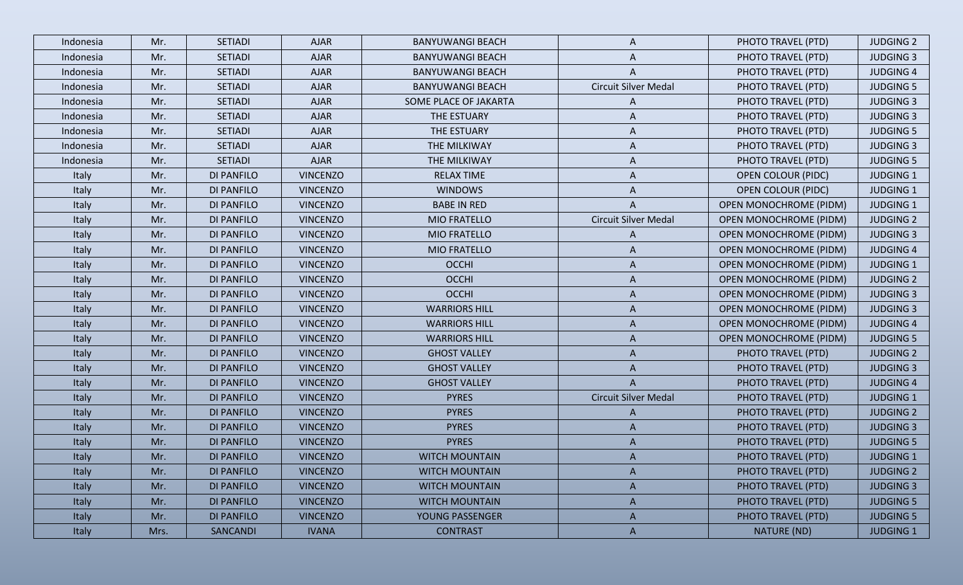| Indonesia | Mr.  | <b>SETIADI</b>    | <b>AJAR</b>     | <b>BANYUWANGI BEACH</b> | A                           | PHOTO TRAVEL (PTD)            | <b>JUDGING 2</b> |
|-----------|------|-------------------|-----------------|-------------------------|-----------------------------|-------------------------------|------------------|
| Indonesia | Mr.  | <b>SETIADI</b>    | <b>AJAR</b>     | <b>BANYUWANGI BEACH</b> | A                           | PHOTO TRAVEL (PTD)            | <b>JUDGING 3</b> |
| Indonesia | Mr.  | <b>SETIADI</b>    | <b>AJAR</b>     | <b>BANYUWANGI BEACH</b> | A                           | PHOTO TRAVEL (PTD)            | <b>JUDGING 4</b> |
| Indonesia | Mr.  | <b>SETIADI</b>    | <b>AJAR</b>     | <b>BANYUWANGI BEACH</b> | <b>Circuit Silver Medal</b> | PHOTO TRAVEL (PTD)            | <b>JUDGING 5</b> |
| Indonesia | Mr.  | <b>SETIADI</b>    | <b>AJAR</b>     | SOME PLACE OF JAKARTA   | A                           | PHOTO TRAVEL (PTD)            | <b>JUDGING 3</b> |
| Indonesia | Mr.  | <b>SETIADI</b>    | <b>AJAR</b>     | THE ESTUARY             | A                           | PHOTO TRAVEL (PTD)            | <b>JUDGING 3</b> |
| Indonesia | Mr.  | <b>SETIADI</b>    | <b>AJAR</b>     | THE ESTUARY             | A                           | PHOTO TRAVEL (PTD)            | <b>JUDGING 5</b> |
| Indonesia | Mr.  | <b>SETIADI</b>    | <b>AJAR</b>     | THE MILKIWAY            | A                           | PHOTO TRAVEL (PTD)            | <b>JUDGING 3</b> |
| Indonesia | Mr.  | <b>SETIADI</b>    | <b>AJAR</b>     | THE MILKIWAY            | A                           | PHOTO TRAVEL (PTD)            | <b>JUDGING 5</b> |
| Italy     | Mr.  | <b>DI PANFILO</b> | <b>VINCENZO</b> | <b>RELAX TIME</b>       | A                           | <b>OPEN COLOUR (PIDC)</b>     | <b>JUDGING 1</b> |
| Italy     | Mr.  | <b>DI PANFILO</b> | <b>VINCENZO</b> | <b>WINDOWS</b>          | A                           | <b>OPEN COLOUR (PIDC)</b>     | <b>JUDGING 1</b> |
| Italy     | Mr.  | <b>DI PANFILO</b> | <b>VINCENZO</b> | <b>BABE IN RED</b>      |                             | <b>OPEN MONOCHROME (PIDM)</b> | <b>JUDGING 1</b> |
| Italy     | Mr.  | <b>DI PANFILO</b> | <b>VINCENZO</b> | MIO FRATELLO            | <b>Circuit Silver Medal</b> | <b>OPEN MONOCHROME (PIDM)</b> | <b>JUDGING 2</b> |
| Italy     | Mr.  | <b>DI PANFILO</b> | <b>VINCENZO</b> | <b>MIO FRATELLO</b>     | A                           | <b>OPEN MONOCHROME (PIDM)</b> | <b>JUDGING 3</b> |
| Italy     | Mr.  | <b>DI PANFILO</b> | <b>VINCENZO</b> | <b>MIO FRATELLO</b>     | A                           | <b>OPEN MONOCHROME (PIDM)</b> | <b>JUDGING 4</b> |
| Italy     | Mr.  | DI PANFILO        | <b>VINCENZO</b> | <b>OCCHI</b>            | A                           | <b>OPEN MONOCHROME (PIDM)</b> | <b>JUDGING 1</b> |
| Italy     | Mr.  | <b>DI PANFILO</b> | <b>VINCENZO</b> | <b>OCCHI</b>            | A                           | <b>OPEN MONOCHROME (PIDM)</b> | <b>JUDGING 2</b> |
| Italy     | Mr.  | <b>DI PANFILO</b> | <b>VINCENZO</b> | <b>OCCHI</b>            | A                           | <b>OPEN MONOCHROME (PIDM)</b> | <b>JUDGING 3</b> |
| Italy     | Mr.  | <b>DI PANFILO</b> | <b>VINCENZO</b> | <b>WARRIORS HILL</b>    | A                           | <b>OPEN MONOCHROME (PIDM)</b> | <b>JUDGING 3</b> |
| Italy     | Mr.  | <b>DI PANFILO</b> | <b>VINCENZO</b> | <b>WARRIORS HILL</b>    | A                           | <b>OPEN MONOCHROME (PIDM)</b> | <b>JUDGING 4</b> |
| Italy     | Mr.  | <b>DI PANFILO</b> | <b>VINCENZO</b> | <b>WARRIORS HILL</b>    | A                           | <b>OPEN MONOCHROME (PIDM)</b> | <b>JUDGING 5</b> |
| Italy     | Mr.  | <b>DI PANFILO</b> | <b>VINCENZO</b> | <b>GHOST VALLEY</b>     | A                           | PHOTO TRAVEL (PTD)            | <b>JUDGING 2</b> |
| Italy     | Mr.  | <b>DI PANFILO</b> | <b>VINCENZO</b> | <b>GHOST VALLEY</b>     | A                           | PHOTO TRAVEL (PTD)            | <b>JUDGING 3</b> |
| Italy     | Mr.  | <b>DI PANFILO</b> | <b>VINCENZO</b> | <b>GHOST VALLEY</b>     |                             | PHOTO TRAVEL (PTD)            | <b>JUDGING 4</b> |
| Italy     | Mr.  | <b>DI PANFILO</b> | <b>VINCENZO</b> | <b>PYRES</b>            | <b>Circuit Silver Medal</b> | PHOTO TRAVEL (PTD)            | <b>JUDGING 1</b> |
| Italy     | Mr.  | <b>DI PANFILO</b> | <b>VINCENZO</b> | <b>PYRES</b>            | A                           | PHOTO TRAVEL (PTD)            | <b>JUDGING 2</b> |
| Italy     | Mr.  | <b>DI PANFILO</b> | <b>VINCENZO</b> | <b>PYRES</b>            | A                           | PHOTO TRAVEL (PTD)            | <b>JUDGING 3</b> |
| Italy     | Mr.  | <b>DI PANFILO</b> | <b>VINCENZO</b> | <b>PYRES</b>            | A                           | PHOTO TRAVEL (PTD)            | <b>JUDGING 5</b> |
| Italy     | Mr.  | <b>DI PANFILO</b> | <b>VINCENZO</b> | <b>WITCH MOUNTAIN</b>   | A                           | PHOTO TRAVEL (PTD)            | <b>JUDGING 1</b> |
| Italy     | Mr.  | <b>DI PANFILO</b> | <b>VINCENZO</b> | <b>WITCH MOUNTAIN</b>   | A                           | PHOTO TRAVEL (PTD)            | <b>JUDGING 2</b> |
| Italy     | Mr.  | <b>DI PANFILO</b> | <b>VINCENZO</b> | <b>WITCH MOUNTAIN</b>   | A                           | PHOTO TRAVEL (PTD)            | <b>JUDGING 3</b> |
| Italy     | Mr.  | <b>DI PANFILO</b> | <b>VINCENZO</b> | <b>WITCH MOUNTAIN</b>   | A                           | PHOTO TRAVEL (PTD)            | <b>JUDGING 5</b> |
| Italy     | Mr.  | DI PANFILO        | <b>VINCENZO</b> | YOUNG PASSENGER         | $\mathsf{A}$                | PHOTO TRAVEL (PTD)            | <b>JUDGING 5</b> |
| Italy     | Mrs. | SANCANDI          | <b>IVANA</b>    | <b>CONTRAST</b>         | $\mathsf{A}$                | NATURE (ND)                   | <b>JUDGING 1</b> |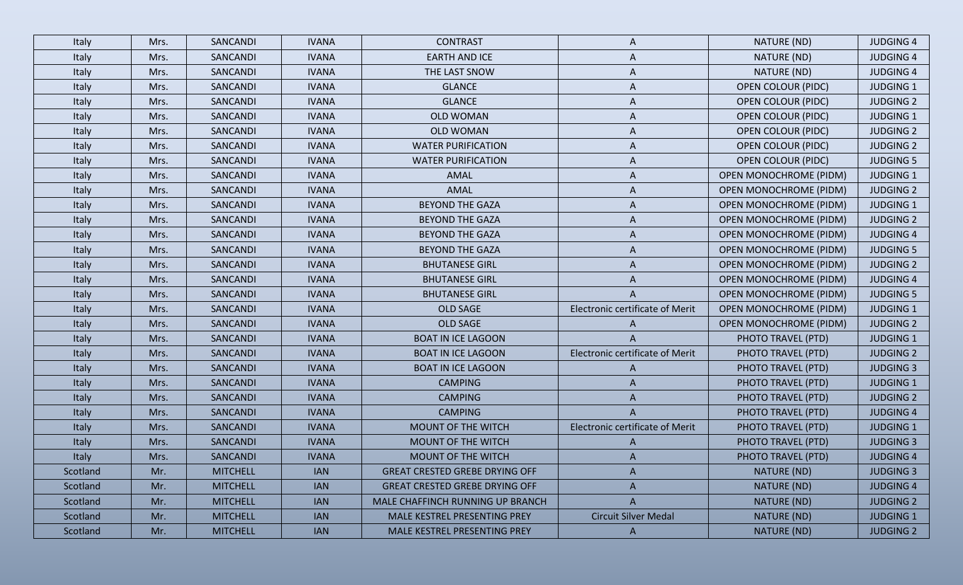| Italy    | Mrs. | SANCANDI        | <b>IVANA</b> | <b>CONTRAST</b>                       | A                               | NATURE (ND)                   | <b>JUDGING 4</b> |
|----------|------|-----------------|--------------|---------------------------------------|---------------------------------|-------------------------------|------------------|
| Italy    | Mrs. | SANCANDI        | <b>IVANA</b> | <b>EARTH AND ICE</b>                  | A                               | NATURE (ND)                   | <b>JUDGING 4</b> |
| Italy    | Mrs. | SANCANDI        | <b>IVANA</b> | THE LAST SNOW                         | A                               | NATURE (ND)                   | <b>JUDGING 4</b> |
| Italy    | Mrs. | SANCANDI        | <b>IVANA</b> | <b>GLANCE</b>                         | A                               | <b>OPEN COLOUR (PIDC)</b>     | <b>JUDGING 1</b> |
| Italy    | Mrs. | SANCANDI        | <b>IVANA</b> | <b>GLANCE</b>                         | A                               | <b>OPEN COLOUR (PIDC)</b>     | <b>JUDGING 2</b> |
| Italy    | Mrs. | SANCANDI        | <b>IVANA</b> | <b>OLD WOMAN</b>                      | A                               | <b>OPEN COLOUR (PIDC)</b>     | <b>JUDGING 1</b> |
| Italy    | Mrs. | SANCANDI        | <b>IVANA</b> | <b>OLD WOMAN</b>                      | A                               | <b>OPEN COLOUR (PIDC)</b>     | <b>JUDGING 2</b> |
| Italy    | Mrs. | SANCANDI        | <b>IVANA</b> | <b>WATER PURIFICATION</b>             | A                               | <b>OPEN COLOUR (PIDC)</b>     | <b>JUDGING 2</b> |
| Italy    | Mrs. | SANCANDI        | <b>IVANA</b> | <b>WATER PURIFICATION</b>             | A                               | <b>OPEN COLOUR (PIDC)</b>     | <b>JUDGING 5</b> |
| Italy    | Mrs. | SANCANDI        | <b>IVANA</b> | AMAL                                  | A                               | <b>OPEN MONOCHROME (PIDM)</b> | <b>JUDGING 1</b> |
| Italy    | Mrs. | SANCANDI        | <b>IVANA</b> | AMAL                                  | A                               | <b>OPEN MONOCHROME (PIDM)</b> | <b>JUDGING 2</b> |
| Italy    | Mrs. | SANCANDI        | <b>IVANA</b> | <b>BEYOND THE GAZA</b>                | A                               | <b>OPEN MONOCHROME (PIDM)</b> | <b>JUDGING 1</b> |
| Italy    | Mrs. | SANCANDI        | <b>IVANA</b> | <b>BEYOND THE GAZA</b>                | A                               | <b>OPEN MONOCHROME (PIDM)</b> | <b>JUDGING 2</b> |
| Italy    | Mrs. | SANCANDI        | <b>IVANA</b> | <b>BEYOND THE GAZA</b>                | A                               | <b>OPEN MONOCHROME (PIDM)</b> | <b>JUDGING 4</b> |
| Italy    | Mrs. | SANCANDI        | <b>IVANA</b> | <b>BEYOND THE GAZA</b>                | A                               | <b>OPEN MONOCHROME (PIDM)</b> | <b>JUDGING 5</b> |
| Italy    | Mrs. | SANCANDI        | <b>IVANA</b> | <b>BHUTANESE GIRL</b>                 | A                               | <b>OPEN MONOCHROME (PIDM)</b> | <b>JUDGING 2</b> |
| Italy    | Mrs. | SANCANDI        | <b>IVANA</b> | <b>BHUTANESE GIRL</b>                 | A                               | <b>OPEN MONOCHROME (PIDM)</b> | <b>JUDGING 4</b> |
| Italy    | Mrs. | SANCANDI        | <b>IVANA</b> | <b>BHUTANESE GIRL</b>                 | A                               | <b>OPEN MONOCHROME (PIDM)</b> | <b>JUDGING 5</b> |
| Italy    | Mrs. | SANCANDI        | <b>IVANA</b> | <b>OLD SAGE</b>                       | Electronic certificate of Merit | <b>OPEN MONOCHROME (PIDM)</b> | <b>JUDGING 1</b> |
| Italy    | Mrs. | SANCANDI        | <b>IVANA</b> | <b>OLD SAGE</b>                       | A                               | <b>OPEN MONOCHROME (PIDM)</b> | <b>JUDGING 2</b> |
| Italy    | Mrs. | SANCANDI        | <b>IVANA</b> | <b>BOAT IN ICE LAGOON</b>             | A                               | PHOTO TRAVEL (PTD)            | <b>JUDGING 1</b> |
| Italy    | Mrs. | SANCANDI        | <b>IVANA</b> | <b>BOAT IN ICE LAGOON</b>             | Electronic certificate of Merit | PHOTO TRAVEL (PTD)            | <b>JUDGING 2</b> |
| Italy    | Mrs. | SANCANDI        | <b>IVANA</b> | <b>BOAT IN ICE LAGOON</b>             | A                               | PHOTO TRAVEL (PTD)            | <b>JUDGING 3</b> |
| Italy    | Mrs. | SANCANDI        | <b>IVANA</b> | <b>CAMPING</b>                        | A                               | PHOTO TRAVEL (PTD)            | <b>JUDGING 1</b> |
| Italy    | Mrs. | SANCANDI        | <b>IVANA</b> | <b>CAMPING</b>                        | A                               | PHOTO TRAVEL (PTD)            | <b>JUDGING 2</b> |
| Italy    | Mrs. | SANCANDI        | <b>IVANA</b> | <b>CAMPING</b>                        | A                               | PHOTO TRAVEL (PTD)            | <b>JUDGING 4</b> |
| Italy    | Mrs. | SANCANDI        | <b>IVANA</b> | MOUNT OF THE WITCH                    | Electronic certificate of Merit | PHOTO TRAVEL (PTD)            | <b>JUDGING 1</b> |
| Italy    | Mrs. | SANCANDI        | <b>IVANA</b> | MOUNT OF THE WITCH                    | A                               | PHOTO TRAVEL (PTD)            | <b>JUDGING 3</b> |
| Italy    | Mrs. | SANCANDI        | <b>IVANA</b> | <b>MOUNT OF THE WITCH</b>             |                                 | PHOTO TRAVEL (PTD)            | <b>JUDGING 4</b> |
| Scotland | Mr.  | <b>MITCHELL</b> | <b>IAN</b>   | <b>GREAT CRESTED GREBE DRYING OFF</b> | A                               | NATURE (ND)                   | <b>JUDGING 3</b> |
| Scotland | Mr.  | <b>MITCHELL</b> | <b>IAN</b>   | <b>GREAT CRESTED GREBE DRYING OFF</b> | A                               | NATURE (ND)                   | <b>JUDGING 4</b> |
| Scotland | Mr.  | <b>MITCHELL</b> | <b>IAN</b>   | MALE CHAFFINCH RUNNING UP BRANCH      | A                               | NATURE (ND)                   | <b>JUDGING 2</b> |
| Scotland | Mr.  | <b>MITCHELL</b> | <b>IAN</b>   | MALE KESTREL PRESENTING PREY          | <b>Circuit Silver Medal</b>     | NATURE (ND)                   | <b>JUDGING 1</b> |
| Scotland | Mr.  | <b>MITCHELL</b> | <b>IAN</b>   | MALE KESTREL PRESENTING PREY          | $\mathsf{A}$                    | NATURE (ND)                   | <b>JUDGING 2</b> |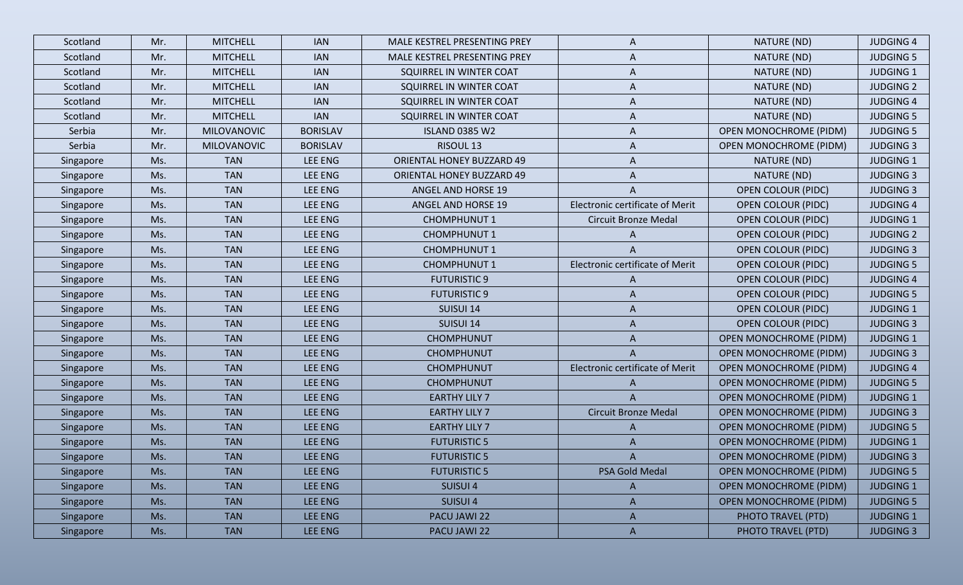| Scotland  | Mr. | <b>MITCHELL</b>    | <b>IAN</b>      | MALE KESTREL PRESENTING PREY     | A                               | NATURE (ND)                   | <b>JUDGING 4</b> |
|-----------|-----|--------------------|-----------------|----------------------------------|---------------------------------|-------------------------------|------------------|
| Scotland  | Mr. | <b>MITCHELL</b>    | <b>IAN</b>      | MALE KESTREL PRESENTING PREY     | A                               | NATURE (ND)                   | <b>JUDGING 5</b> |
| Scotland  | Mr. | <b>MITCHELL</b>    | <b>IAN</b>      | SQUIRREL IN WINTER COAT          | A                               | NATURE (ND)                   | <b>JUDGING 1</b> |
| Scotland  | Mr. | <b>MITCHELL</b>    | <b>IAN</b>      | SQUIRREL IN WINTER COAT          | A                               | NATURE (ND)                   | <b>JUDGING 2</b> |
| Scotland  | Mr. | <b>MITCHELL</b>    | <b>IAN</b>      | SQUIRREL IN WINTER COAT          | A                               | NATURE (ND)                   | <b>JUDGING 4</b> |
| Scotland  | Mr. | <b>MITCHELL</b>    | <b>IAN</b>      | SQUIRREL IN WINTER COAT          | A                               | NATURE (ND)                   | <b>JUDGING 5</b> |
| Serbia    | Mr. | <b>MILOVANOVIC</b> | <b>BORISLAV</b> | <b>ISLAND 0385 W2</b>            | A                               | <b>OPEN MONOCHROME (PIDM)</b> | <b>JUDGING 5</b> |
| Serbia    | Mr. | <b>MILOVANOVIC</b> | <b>BORISLAV</b> | RISOUL <sub>13</sub>             | A                               | <b>OPEN MONOCHROME (PIDM)</b> | <b>JUDGING 3</b> |
| Singapore | Ms. | <b>TAN</b>         | <b>LEE ENG</b>  | <b>ORIENTAL HONEY BUZZARD 49</b> | A                               | NATURE (ND)                   | <b>JUDGING 1</b> |
| Singapore | Ms. | <b>TAN</b>         | LEE ENG         | <b>ORIENTAL HONEY BUZZARD 49</b> | A                               | NATURE (ND)                   | <b>JUDGING 3</b> |
| Singapore | Ms. | <b>TAN</b>         | LEE ENG         | <b>ANGEL AND HORSE 19</b>        | A                               | <b>OPEN COLOUR (PIDC)</b>     | <b>JUDGING 3</b> |
| Singapore | Ms. | <b>TAN</b>         | <b>LEE ENG</b>  | <b>ANGEL AND HORSE 19</b>        | Electronic certificate of Merit | <b>OPEN COLOUR (PIDC)</b>     | <b>JUDGING 4</b> |
| Singapore | Ms. | <b>TAN</b>         | <b>LEE ENG</b>  | <b>CHOMPHUNUT 1</b>              | <b>Circuit Bronze Medal</b>     | <b>OPEN COLOUR (PIDC)</b>     | <b>JUDGING 1</b> |
| Singapore | Ms. | <b>TAN</b>         | <b>LEE ENG</b>  | <b>CHOMPHUNUT 1</b>              | A                               | <b>OPEN COLOUR (PIDC)</b>     | <b>JUDGING 2</b> |
| Singapore | Ms. | <b>TAN</b>         | <b>LEE ENG</b>  | <b>CHOMPHUNUT 1</b>              | A                               | <b>OPEN COLOUR (PIDC)</b>     | <b>JUDGING 3</b> |
| Singapore | Ms. | <b>TAN</b>         | <b>LEE ENG</b>  | <b>CHOMPHUNUT 1</b>              | Electronic certificate of Merit | <b>OPEN COLOUR (PIDC)</b>     | <b>JUDGING 5</b> |
| Singapore | Ms. | <b>TAN</b>         | <b>LEE ENG</b>  | <b>FUTURISTIC 9</b>              | A                               | <b>OPEN COLOUR (PIDC)</b>     | <b>JUDGING 4</b> |
| Singapore | Ms. | <b>TAN</b>         | LEE ENG         | <b>FUTURISTIC 9</b>              | A                               | <b>OPEN COLOUR (PIDC)</b>     | <b>JUDGING 5</b> |
| Singapore | Ms. | <b>TAN</b>         | <b>LEE ENG</b>  | SUISUI 14                        | A                               | <b>OPEN COLOUR (PIDC)</b>     | <b>JUDGING 1</b> |
| Singapore | Ms. | <b>TAN</b>         | <b>LEE ENG</b>  | SUISUI 14                        | A                               | <b>OPEN COLOUR (PIDC)</b>     | <b>JUDGING 3</b> |
| Singapore | Ms. | <b>TAN</b>         | <b>LEE ENG</b>  | <b>CHOMPHUNUT</b>                | A                               | <b>OPEN MONOCHROME (PIDM)</b> | <b>JUDGING 1</b> |
| Singapore | Ms. | <b>TAN</b>         | LEE ENG         | <b>CHOMPHUNUT</b>                | A                               | <b>OPEN MONOCHROME (PIDM)</b> | <b>JUDGING 3</b> |
| Singapore | Ms. | <b>TAN</b>         | <b>LEE ENG</b>  | <b>CHOMPHUNUT</b>                | Electronic certificate of Merit | <b>OPEN MONOCHROME (PIDM)</b> | <b>JUDGING 4</b> |
| Singapore | Ms. | <b>TAN</b>         | <b>LEE ENG</b>  | <b>CHOMPHUNUT</b>                | A                               | <b>OPEN MONOCHROME (PIDM)</b> | <b>JUDGING 5</b> |
| Singapore | Ms. | <b>TAN</b>         | LEE ENG         | <b>EARTHY LILY 7</b>             | A                               | <b>OPEN MONOCHROME (PIDM)</b> | <b>JUDGING 1</b> |
| Singapore | Ms. | <b>TAN</b>         | <b>LEE ENG</b>  | <b>EARTHY LILY 7</b>             | <b>Circuit Bronze Medal</b>     | <b>OPEN MONOCHROME (PIDM)</b> | <b>JUDGING 3</b> |
| Singapore | Ms. | <b>TAN</b>         | <b>LEE ENG</b>  | <b>EARTHY LILY 7</b>             | A                               | <b>OPEN MONOCHROME (PIDM)</b> | <b>JUDGING 5</b> |
| Singapore | Ms. | <b>TAN</b>         | LEE ENG         | <b>FUTURISTIC 5</b>              | A                               | <b>OPEN MONOCHROME (PIDM)</b> | <b>JUDGING 1</b> |
| Singapore | Ms. | <b>TAN</b>         | LEE ENG         | <b>FUTURISTIC 5</b>              | A                               | <b>OPEN MONOCHROME (PIDM)</b> | <b>JUDGING 3</b> |
| Singapore | Ms. | <b>TAN</b>         | LEE ENG         | <b>FUTURISTIC 5</b>              | <b>PSA Gold Medal</b>           | <b>OPEN MONOCHROME (PIDM)</b> | <b>JUDGING 5</b> |
| Singapore | Ms. | <b>TAN</b>         | LEE ENG         | SUISUI 4                         | A                               | <b>OPEN MONOCHROME (PIDM)</b> | <b>JUDGING 1</b> |
| Singapore | Ms. | <b>TAN</b>         | LEE ENG         | SUISUI 4                         | A                               | <b>OPEN MONOCHROME (PIDM)</b> | <b>JUDGING 5</b> |
| Singapore | Ms. | <b>TAN</b>         | LEE ENG         | PACU JAWI 22                     | $\mathsf{A}$                    | PHOTO TRAVEL (PTD)            | <b>JUDGING 1</b> |
| Singapore | Ms. | <b>TAN</b>         | LEE ENG         | PACU JAWI 22                     | $\mathsf{A}$                    | PHOTO TRAVEL (PTD)            | <b>JUDGING 3</b> |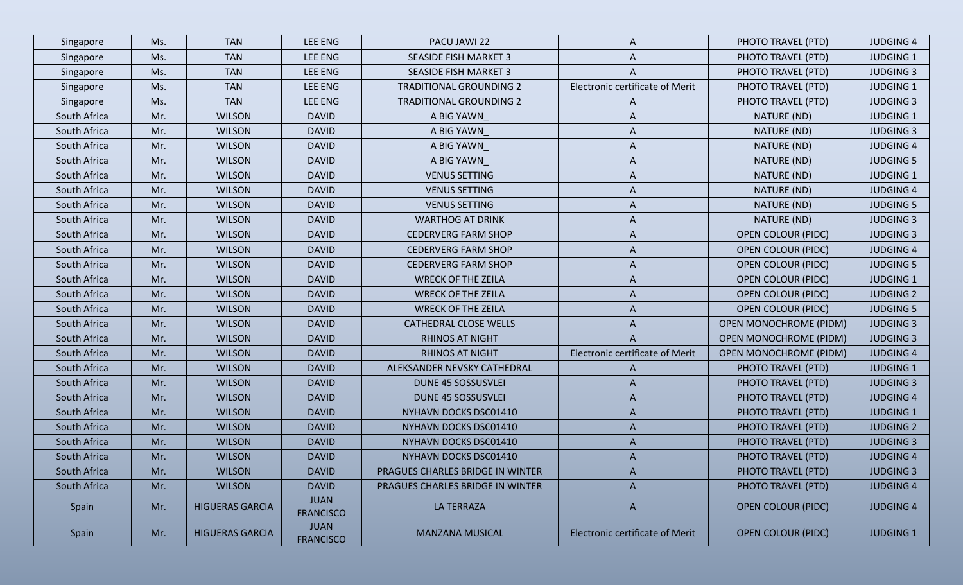| Singapore    | Ms. | <b>TAN</b>             | LEE ENG                         | PACU JAWI 22                     | A                               | PHOTO TRAVEL (PTD)            | <b>JUDGING 4</b> |
|--------------|-----|------------------------|---------------------------------|----------------------------------|---------------------------------|-------------------------------|------------------|
| Singapore    | Ms. | <b>TAN</b>             | LEE ENG                         | <b>SEASIDE FISH MARKET 3</b>     | A                               | PHOTO TRAVEL (PTD)            | <b>JUDGING 1</b> |
| Singapore    | Ms. | <b>TAN</b>             | LEE ENG                         | <b>SEASIDE FISH MARKET 3</b>     | A                               | PHOTO TRAVEL (PTD)            | <b>JUDGING 3</b> |
| Singapore    | Ms. | <b>TAN</b>             | <b>LEE ENG</b>                  | <b>TRADITIONAL GROUNDING 2</b>   | Electronic certificate of Merit | PHOTO TRAVEL (PTD)            | <b>JUDGING 1</b> |
| Singapore    | Ms. | <b>TAN</b>             | LEE ENG                         | <b>TRADITIONAL GROUNDING 2</b>   | A                               | PHOTO TRAVEL (PTD)            | <b>JUDGING 3</b> |
| South Africa | Mr. | <b>WILSON</b>          | <b>DAVID</b>                    | A BIG YAWN                       | A                               | NATURE (ND)                   | <b>JUDGING 1</b> |
| South Africa | Mr. | <b>WILSON</b>          | <b>DAVID</b>                    | A BIG YAWN                       | A                               | NATURE (ND)                   | <b>JUDGING 3</b> |
| South Africa | Mr. | <b>WILSON</b>          | <b>DAVID</b>                    | A BIG YAWN                       | A                               | NATURE (ND)                   | <b>JUDGING 4</b> |
| South Africa | Mr. | <b>WILSON</b>          | <b>DAVID</b>                    | A BIG YAWN                       | A                               | NATURE (ND)                   | <b>JUDGING 5</b> |
| South Africa | Mr. | <b>WILSON</b>          | <b>DAVID</b>                    | <b>VENUS SETTING</b>             | A                               | NATURE (ND)                   | <b>JUDGING 1</b> |
| South Africa | Mr. | <b>WILSON</b>          | <b>DAVID</b>                    | <b>VENUS SETTING</b>             | A                               | NATURE (ND)                   | <b>JUDGING 4</b> |
| South Africa | Mr. | <b>WILSON</b>          | <b>DAVID</b>                    | <b>VENUS SETTING</b>             | A                               | NATURE (ND)                   | <b>JUDGING 5</b> |
| South Africa | Mr. | <b>WILSON</b>          | <b>DAVID</b>                    | <b>WARTHOG AT DRINK</b>          | A                               | NATURE (ND)                   | <b>JUDGING 3</b> |
| South Africa | Mr. | <b>WILSON</b>          | <b>DAVID</b>                    | <b>CEDERVERG FARM SHOP</b>       | A                               | <b>OPEN COLOUR (PIDC)</b>     | <b>JUDGING 3</b> |
| South Africa | Mr. | <b>WILSON</b>          | <b>DAVID</b>                    | <b>CEDERVERG FARM SHOP</b>       | A                               | <b>OPEN COLOUR (PIDC)</b>     | <b>JUDGING 4</b> |
| South Africa | Mr. | <b>WILSON</b>          | <b>DAVID</b>                    | <b>CEDERVERG FARM SHOP</b>       | A                               | <b>OPEN COLOUR (PIDC)</b>     | <b>JUDGING 5</b> |
| South Africa | Mr. | <b>WILSON</b>          | <b>DAVID</b>                    | <b>WRECK OF THE ZEILA</b>        | A                               | <b>OPEN COLOUR (PIDC)</b>     | <b>JUDGING 1</b> |
| South Africa | Mr. | <b>WILSON</b>          | <b>DAVID</b>                    | <b>WRECK OF THE ZEILA</b>        | A                               | <b>OPEN COLOUR (PIDC)</b>     | <b>JUDGING 2</b> |
| South Africa | Mr. | <b>WILSON</b>          | <b>DAVID</b>                    | <b>WRECK OF THE ZEILA</b>        | A                               | <b>OPEN COLOUR (PIDC)</b>     | <b>JUDGING 5</b> |
| South Africa | Mr. | <b>WILSON</b>          | <b>DAVID</b>                    | <b>CATHEDRAL CLOSE WELLS</b>     | A                               | <b>OPEN MONOCHROME (PIDM)</b> | <b>JUDGING 3</b> |
| South Africa | Mr. | <b>WILSON</b>          | <b>DAVID</b>                    | <b>RHINOS AT NIGHT</b>           | A                               | <b>OPEN MONOCHROME (PIDM)</b> | <b>JUDGING 3</b> |
| South Africa | Mr. | <b>WILSON</b>          | <b>DAVID</b>                    | <b>RHINOS AT NIGHT</b>           | Electronic certificate of Merit | <b>OPEN MONOCHROME (PIDM)</b> | <b>JUDGING 4</b> |
| South Africa | Mr. | <b>WILSON</b>          | <b>DAVID</b>                    | ALEKSANDER NEVSKY CATHEDRAL      | A                               | PHOTO TRAVEL (PTD)            | <b>JUDGING 1</b> |
| South Africa | Mr. | <b>WILSON</b>          | <b>DAVID</b>                    | DUNE 45 SOSSUSVLEI               | A                               | PHOTO TRAVEL (PTD)            | <b>JUDGING 3</b> |
| South Africa | Mr. | <b>WILSON</b>          | <b>DAVID</b>                    | DUNE 45 SOSSUSVLEI               | A                               | PHOTO TRAVEL (PTD)            | <b>JUDGING 4</b> |
| South Africa | Mr. | <b>WILSON</b>          | <b>DAVID</b>                    | NYHAVN DOCKS DSC01410            | A                               | PHOTO TRAVEL (PTD)            | <b>JUDGING 1</b> |
| South Africa | Mr. | <b>WILSON</b>          | <b>DAVID</b>                    | NYHAVN DOCKS DSC01410            | A                               | PHOTO TRAVEL (PTD)            | <b>JUDGING 2</b> |
| South Africa | Mr. | <b>WILSON</b>          | <b>DAVID</b>                    | NYHAVN DOCKS DSC01410            | A                               | PHOTO TRAVEL (PTD)            | <b>JUDGING 3</b> |
| South Africa | Mr. | <b>WILSON</b>          | <b>DAVID</b>                    | NYHAVN DOCKS DSC01410            | A                               | PHOTO TRAVEL (PTD)            | <b>JUDGING 4</b> |
| South Africa | Mr. | <b>WILSON</b>          | <b>DAVID</b>                    | PRAGUES CHARLES BRIDGE IN WINTER | A                               | PHOTO TRAVEL (PTD)            | <b>JUDGING 3</b> |
| South Africa | Mr. | <b>WILSON</b>          | <b>DAVID</b>                    | PRAGUES CHARLES BRIDGE IN WINTER | $\mathsf{A}$                    | PHOTO TRAVEL (PTD)            | <b>JUDGING 4</b> |
| Spain        | Mr. | <b>HIGUERAS GARCIA</b> | <b>JUAN</b><br><b>FRANCISCO</b> | <b>LA TERRAZA</b>                | $\mathsf{A}$                    | <b>OPEN COLOUR (PIDC)</b>     | <b>JUDGING 4</b> |
| Spain        | Mr. | <b>HIGUERAS GARCIA</b> | <b>JUAN</b><br><b>FRANCISCO</b> | <b>MANZANA MUSICAL</b>           | Electronic certificate of Merit | <b>OPEN COLOUR (PIDC)</b>     | <b>JUDGING 1</b> |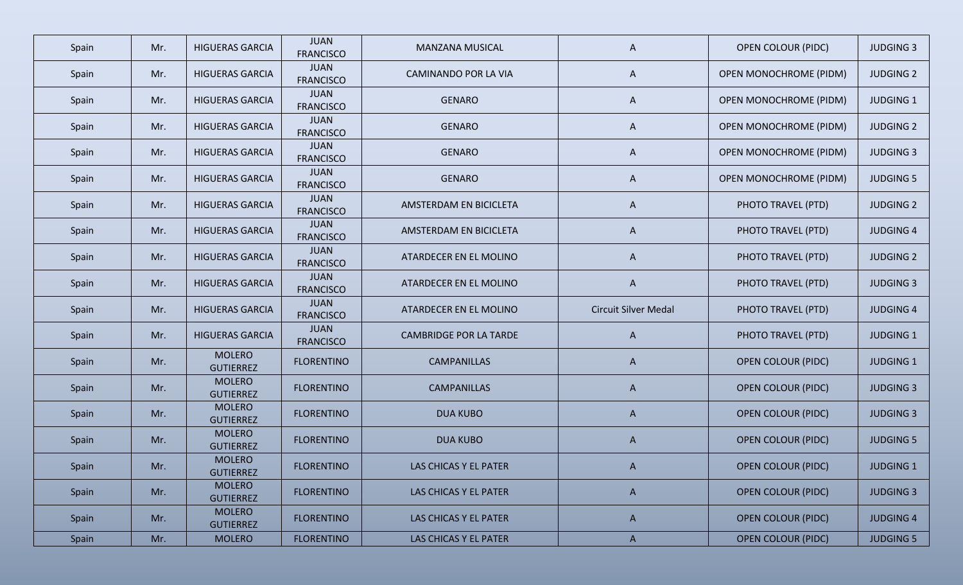| Spain | Mr. | <b>HIGUERAS GARCIA</b>            | <b>JUAN</b><br><b>FRANCISCO</b> | <b>MANZANA MUSICAL</b>        | A                           | <b>OPEN COLOUR (PIDC)</b>     | <b>JUDGING 3</b> |
|-------|-----|-----------------------------------|---------------------------------|-------------------------------|-----------------------------|-------------------------------|------------------|
| Spain | Mr. | <b>HIGUERAS GARCIA</b>            | <b>JUAN</b><br><b>FRANCISCO</b> | CAMINANDO POR LA VIA          | A                           | <b>OPEN MONOCHROME (PIDM)</b> | <b>JUDGING 2</b> |
| Spain | Mr. | <b>HIGUERAS GARCIA</b>            | <b>JUAN</b><br><b>FRANCISCO</b> | <b>GENARO</b>                 | A                           | <b>OPEN MONOCHROME (PIDM)</b> | <b>JUDGING 1</b> |
| Spain | Mr. | <b>HIGUERAS GARCIA</b>            | <b>JUAN</b><br><b>FRANCISCO</b> | <b>GENARO</b>                 | A                           | <b>OPEN MONOCHROME (PIDM)</b> | <b>JUDGING 2</b> |
| Spain | Mr. | <b>HIGUERAS GARCIA</b>            | <b>JUAN</b><br><b>FRANCISCO</b> | <b>GENARO</b>                 | $\mathsf{A}$                | <b>OPEN MONOCHROME (PIDM)</b> | <b>JUDGING 3</b> |
| Spain | Mr. | <b>HIGUERAS GARCIA</b>            | <b>JUAN</b><br><b>FRANCISCO</b> | <b>GENARO</b>                 | A                           | <b>OPEN MONOCHROME (PIDM)</b> | <b>JUDGING 5</b> |
| Spain | Mr. | <b>HIGUERAS GARCIA</b>            | <b>JUAN</b><br><b>FRANCISCO</b> | AMSTERDAM EN BICICLETA        | $\mathsf{A}$                | PHOTO TRAVEL (PTD)            | <b>JUDGING 2</b> |
| Spain | Mr. | <b>HIGUERAS GARCIA</b>            | <b>JUAN</b><br><b>FRANCISCO</b> | AMSTERDAM EN BICICLETA        | $\mathsf{A}$                | PHOTO TRAVEL (PTD)            | <b>JUDGING 4</b> |
| Spain | Mr. | <b>HIGUERAS GARCIA</b>            | <b>JUAN</b><br><b>FRANCISCO</b> | ATARDECER EN EL MOLINO        | $\mathsf{A}$                | PHOTO TRAVEL (PTD)            | <b>JUDGING 2</b> |
| Spain | Mr. | <b>HIGUERAS GARCIA</b>            | <b>JUAN</b><br><b>FRANCISCO</b> | ATARDECER EN EL MOLINO        | $\mathsf{A}$                | PHOTO TRAVEL (PTD)            | <b>JUDGING 3</b> |
| Spain | Mr. | <b>HIGUERAS GARCIA</b>            | <b>JUAN</b><br><b>FRANCISCO</b> | ATARDECER EN EL MOLINO        | <b>Circuit Silver Medal</b> | PHOTO TRAVEL (PTD)            | <b>JUDGING 4</b> |
| Spain | Mr. | <b>HIGUERAS GARCIA</b>            | <b>JUAN</b><br><b>FRANCISCO</b> | <b>CAMBRIDGE POR LA TARDE</b> | $\mathsf{A}$                | PHOTO TRAVEL (PTD)            | <b>JUDGING 1</b> |
| Spain | Mr. | <b>MOLERO</b><br><b>GUTIERREZ</b> | <b>FLORENTINO</b>               | <b>CAMPANILLAS</b>            | $\mathsf{A}$                | <b>OPEN COLOUR (PIDC)</b>     | <b>JUDGING 1</b> |
| Spain | Mr. | <b>MOLERO</b><br><b>GUTIERREZ</b> | <b>FLORENTINO</b>               | <b>CAMPANILLAS</b>            | $\mathsf{A}$                | <b>OPEN COLOUR (PIDC)</b>     | <b>JUDGING 3</b> |
| Spain | Mr. | <b>MOLERO</b><br><b>GUTIERREZ</b> | <b>FLORENTINO</b>               | <b>DUA KUBO</b>               | $\mathsf{A}$                | <b>OPEN COLOUR (PIDC)</b>     | <b>JUDGING 3</b> |
| Spain | Mr. | <b>MOLERO</b><br><b>GUTIERREZ</b> | <b>FLORENTINO</b>               | <b>DUA KUBO</b>               | A                           | <b>OPEN COLOUR (PIDC)</b>     | <b>JUDGING 5</b> |
| Spain | Mr. | <b>MOLERO</b><br><b>GUTIERREZ</b> | <b>FLORENTINO</b>               | LAS CHICAS Y EL PATER         | A                           | <b>OPEN COLOUR (PIDC)</b>     | <b>JUDGING 1</b> |
| Spain | Mr. | <b>MOLERO</b><br><b>GUTIERREZ</b> | <b>FLORENTINO</b>               | LAS CHICAS Y EL PATER         | $\mathsf{A}$                | <b>OPEN COLOUR (PIDC)</b>     | <b>JUDGING 3</b> |
| Spain | Mr. | <b>MOLERO</b><br><b>GUTIERREZ</b> | <b>FLORENTINO</b>               | LAS CHICAS Y EL PATER         | $\mathsf{A}$                | <b>OPEN COLOUR (PIDC)</b>     | <b>JUDGING 4</b> |
| Spain | Mr. | <b>MOLERO</b>                     | <b>FLORENTINO</b>               | LAS CHICAS Y EL PATER         | $\mathsf{A}$                | <b>OPEN COLOUR (PIDC)</b>     | <b>JUDGING 5</b> |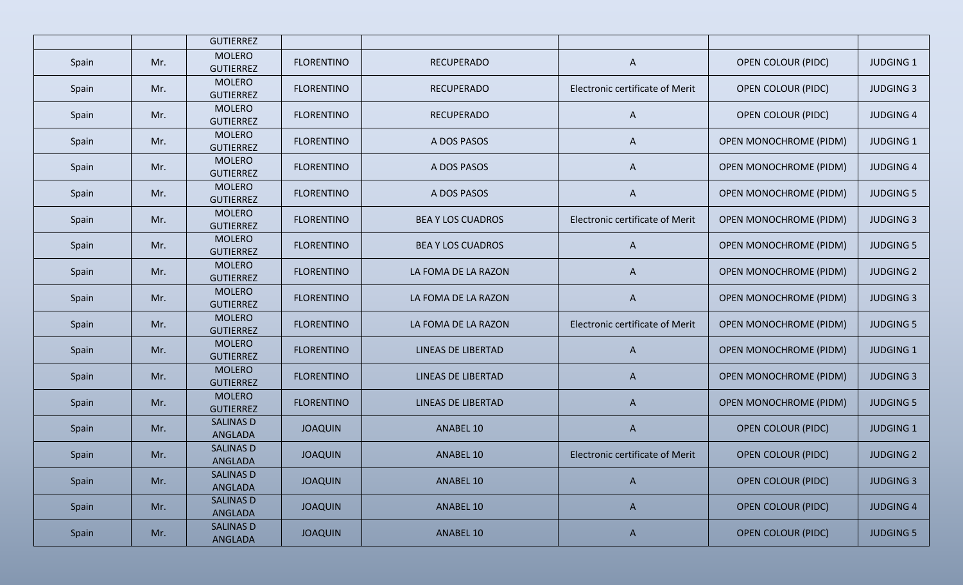|       |     | <b>GUTIERREZ</b>                  |                   |                           |                                 |                               |                  |
|-------|-----|-----------------------------------|-------------------|---------------------------|---------------------------------|-------------------------------|------------------|
| Spain | Mr. | <b>MOLERO</b><br><b>GUTIERREZ</b> | <b>FLORENTINO</b> | <b>RECUPERADO</b>         | A                               | <b>OPEN COLOUR (PIDC)</b>     | <b>JUDGING 1</b> |
| Spain | Mr. | <b>MOLERO</b><br><b>GUTIERREZ</b> | <b>FLORENTINO</b> | <b>RECUPERADO</b>         | Electronic certificate of Merit | <b>OPEN COLOUR (PIDC)</b>     | <b>JUDGING 3</b> |
| Spain | Mr. | <b>MOLERO</b><br><b>GUTIERREZ</b> | <b>FLORENTINO</b> | <b>RECUPERADO</b>         | A                               | <b>OPEN COLOUR (PIDC)</b>     | <b>JUDGING 4</b> |
| Spain | Mr. | <b>MOLERO</b><br><b>GUTIERREZ</b> | <b>FLORENTINO</b> | A DOS PASOS               | A                               | <b>OPEN MONOCHROME (PIDM)</b> | <b>JUDGING 1</b> |
| Spain | Mr. | <b>MOLERO</b><br><b>GUTIERREZ</b> | <b>FLORENTINO</b> | A DOS PASOS               | $\mathsf{A}$                    | <b>OPEN MONOCHROME (PIDM)</b> | <b>JUDGING 4</b> |
| Spain | Mr. | <b>MOLERO</b><br><b>GUTIERREZ</b> | <b>FLORENTINO</b> | A DOS PASOS               | $\mathsf{A}$                    | <b>OPEN MONOCHROME (PIDM)</b> | <b>JUDGING 5</b> |
| Spain | Mr. | <b>MOLERO</b><br><b>GUTIERREZ</b> | <b>FLORENTINO</b> | <b>BEA Y LOS CUADROS</b>  | Electronic certificate of Merit | <b>OPEN MONOCHROME (PIDM)</b> | <b>JUDGING 3</b> |
| Spain | Mr. | <b>MOLERO</b><br><b>GUTIERREZ</b> | <b>FLORENTINO</b> | <b>BEA Y LOS CUADROS</b>  | $\mathsf{A}$                    | <b>OPEN MONOCHROME (PIDM)</b> | <b>JUDGING 5</b> |
| Spain | Mr. | <b>MOLERO</b><br><b>GUTIERREZ</b> | <b>FLORENTINO</b> | LA FOMA DE LA RAZON       | $\mathsf{A}$                    | <b>OPEN MONOCHROME (PIDM)</b> | <b>JUDGING 2</b> |
| Spain | Mr. | <b>MOLERO</b><br><b>GUTIERREZ</b> | <b>FLORENTINO</b> | LA FOMA DE LA RAZON       | $\mathsf{A}$                    | <b>OPEN MONOCHROME (PIDM)</b> | <b>JUDGING 3</b> |
| Spain | Mr. | <b>MOLERO</b><br><b>GUTIERREZ</b> | <b>FLORENTINO</b> | LA FOMA DE LA RAZON       | Electronic certificate of Merit | <b>OPEN MONOCHROME (PIDM)</b> | <b>JUDGING 5</b> |
| Spain | Mr. | <b>MOLERO</b><br><b>GUTIERREZ</b> | <b>FLORENTINO</b> | <b>LINEAS DE LIBERTAD</b> | $\mathsf{A}$                    | <b>OPEN MONOCHROME (PIDM)</b> | <b>JUDGING 1</b> |
| Spain | Mr. | <b>MOLERO</b><br><b>GUTIERREZ</b> | <b>FLORENTINO</b> | <b>LINEAS DE LIBERTAD</b> | $\mathsf{A}$                    | <b>OPEN MONOCHROME (PIDM)</b> | <b>JUDGING 3</b> |
| Spain | Mr. | <b>MOLERO</b><br><b>GUTIERREZ</b> | <b>FLORENTINO</b> | LINEAS DE LIBERTAD        | $\mathsf{A}$                    | <b>OPEN MONOCHROME (PIDM)</b> | <b>JUDGING 5</b> |
| Spain | Mr. | <b>SALINAS D</b><br>ANGLADA       | <b>JOAQUIN</b>    | ANABEL 10                 | $\mathsf{A}$                    | <b>OPEN COLOUR (PIDC)</b>     | <b>JUDGING 1</b> |
| Spain | Mr. | <b>SALINAS D</b><br>ANGLADA       | <b>JOAQUIN</b>    | ANABEL 10                 | Electronic certificate of Merit | <b>OPEN COLOUR (PIDC)</b>     | <b>JUDGING 2</b> |
| Spain | Mr. | <b>SALINAS D</b><br>ANGLADA       | <b>JOAQUIN</b>    | ANABEL 10                 | $\mathsf{A}$                    | <b>OPEN COLOUR (PIDC)</b>     | <b>JUDGING 3</b> |
| Spain | Mr. | <b>SALINAS D</b><br>ANGLADA       | <b>JOAQUIN</b>    | ANABEL 10                 | $\mathsf{A}$                    | <b>OPEN COLOUR (PIDC)</b>     | <b>JUDGING 4</b> |
| Spain | Mr. | <b>SALINAS D</b><br>ANGLADA       | <b>JOAQUIN</b>    | ANABEL 10                 | $\mathsf{A}$                    | <b>OPEN COLOUR (PIDC)</b>     | <b>JUDGING 5</b> |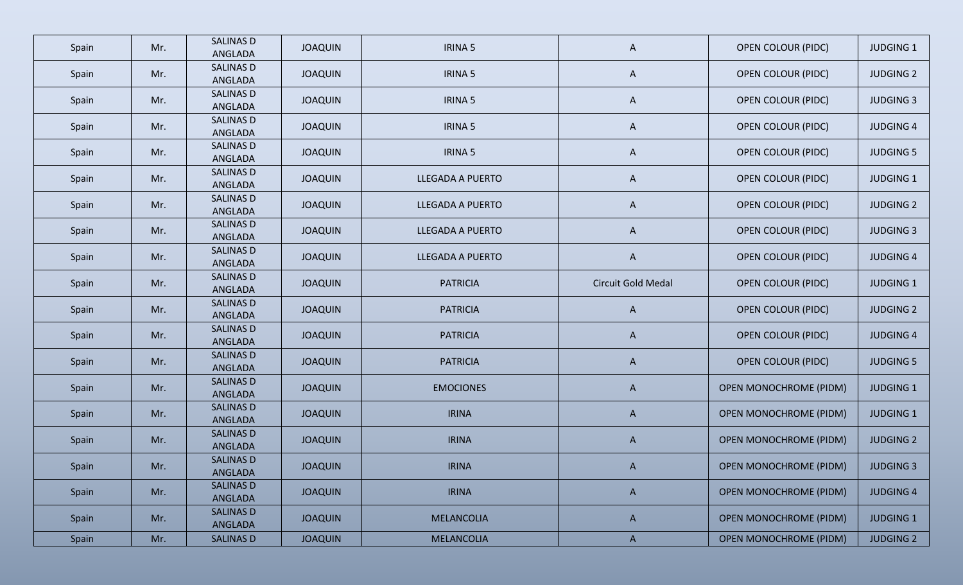| Spain | Mr. | <b>SALINAS D</b><br>ANGLADA | <b>JOAQUIN</b> | <b>IRINA 5</b>    | $\mathsf{A}$       | <b>OPEN COLOUR (PIDC)</b>     | <b>JUDGING 1</b> |
|-------|-----|-----------------------------|----------------|-------------------|--------------------|-------------------------------|------------------|
| Spain | Mr. | <b>SALINAS D</b><br>ANGLADA | <b>JOAQUIN</b> | <b>IRINA 5</b>    | $\mathsf{A}$       | <b>OPEN COLOUR (PIDC)</b>     | <b>JUDGING 2</b> |
| Spain | Mr. | <b>SALINAS D</b><br>ANGLADA | <b>JOAQUIN</b> | <b>IRINA 5</b>    | $\mathsf{A}$       | <b>OPEN COLOUR (PIDC)</b>     | <b>JUDGING 3</b> |
| Spain | Mr. | <b>SALINAS D</b><br>ANGLADA | <b>JOAQUIN</b> | <b>IRINA 5</b>    | $\mathsf{A}$       | <b>OPEN COLOUR (PIDC)</b>     | <b>JUDGING 4</b> |
| Spain | Mr. | <b>SALINAS D</b><br>ANGLADA | <b>JOAQUIN</b> | <b>IRINA 5</b>    | $\mathsf{A}$       | <b>OPEN COLOUR (PIDC)</b>     | <b>JUDGING 5</b> |
| Spain | Mr. | <b>SALINAS D</b><br>ANGLADA | <b>JOAQUIN</b> | LLEGADA A PUERTO  | $\mathsf{A}$       | <b>OPEN COLOUR (PIDC)</b>     | <b>JUDGING 1</b> |
| Spain | Mr. | <b>SALINAS D</b><br>ANGLADA | <b>JOAQUIN</b> | LLEGADA A PUERTO  | $\mathsf{A}$       | <b>OPEN COLOUR (PIDC)</b>     | <b>JUDGING 2</b> |
| Spain | Mr. | <b>SALINAS D</b><br>ANGLADA | <b>JOAQUIN</b> | LLEGADA A PUERTO  | $\mathsf{A}$       | <b>OPEN COLOUR (PIDC)</b>     | <b>JUDGING 3</b> |
| Spain | Mr. | <b>SALINAS D</b><br>ANGLADA | <b>JOAQUIN</b> | LLEGADA A PUERTO  | $\mathsf{A}$       | <b>OPEN COLOUR (PIDC)</b>     | <b>JUDGING 4</b> |
| Spain | Mr. | <b>SALINAS D</b><br>ANGLADA | <b>JOAQUIN</b> | <b>PATRICIA</b>   | Circuit Gold Medal | <b>OPEN COLOUR (PIDC)</b>     | <b>JUDGING 1</b> |
| Spain | Mr. | <b>SALINAS D</b><br>ANGLADA | <b>JOAQUIN</b> | <b>PATRICIA</b>   | $\mathsf{A}$       | <b>OPEN COLOUR (PIDC)</b>     | <b>JUDGING 2</b> |
| Spain | Mr. | <b>SALINAS D</b><br>ANGLADA | <b>JOAQUIN</b> | <b>PATRICIA</b>   | $\mathsf{A}$       | <b>OPEN COLOUR (PIDC)</b>     | <b>JUDGING 4</b> |
| Spain | Mr. | <b>SALINAS D</b><br>ANGLADA | <b>JOAQUIN</b> | <b>PATRICIA</b>   | $\mathsf{A}$       | <b>OPEN COLOUR (PIDC)</b>     | <b>JUDGING 5</b> |
| Spain | Mr. | <b>SALINAS D</b><br>ANGLADA | <b>JOAQUIN</b> | <b>EMOCIONES</b>  | $\mathsf{A}$       | <b>OPEN MONOCHROME (PIDM)</b> | <b>JUDGING 1</b> |
| Spain | Mr. | <b>SALINAS D</b><br>ANGLADA | <b>JOAQUIN</b> | <b>IRINA</b>      | $\mathsf{A}$       | <b>OPEN MONOCHROME (PIDM)</b> | <b>JUDGING 1</b> |
| Spain | Mr. | <b>SALINAS D</b><br>ANGLADA | <b>JOAQUIN</b> | <b>IRINA</b>      | $\mathsf{A}$       | <b>OPEN MONOCHROME (PIDM)</b> | <b>JUDGING 2</b> |
| Spain | Mr. | SALINAS D<br>ANGLADA        | <b>JOAQUIN</b> | <b>IRINA</b>      | $\mathsf{A}$       | <b>OPEN MONOCHROME (PIDM)</b> | <b>JUDGING 3</b> |
| Spain | Mr. | <b>SALINAS D</b><br>ANGLADA | <b>JOAQUIN</b> | <b>IRINA</b>      | $\mathsf{A}$       | <b>OPEN MONOCHROME (PIDM)</b> | <b>JUDGING 4</b> |
| Spain | Mr. | <b>SALINAS D</b><br>ANGLADA | <b>JOAQUIN</b> | <b>MELANCOLIA</b> | $\mathsf{A}$       | <b>OPEN MONOCHROME (PIDM)</b> | <b>JUDGING 1</b> |
| Spain | Mr. | <b>SALINAS D</b>            | <b>JOAQUIN</b> | <b>MELANCOLIA</b> | $\mathsf{A}$       | <b>OPEN MONOCHROME (PIDM)</b> | <b>JUDGING 2</b> |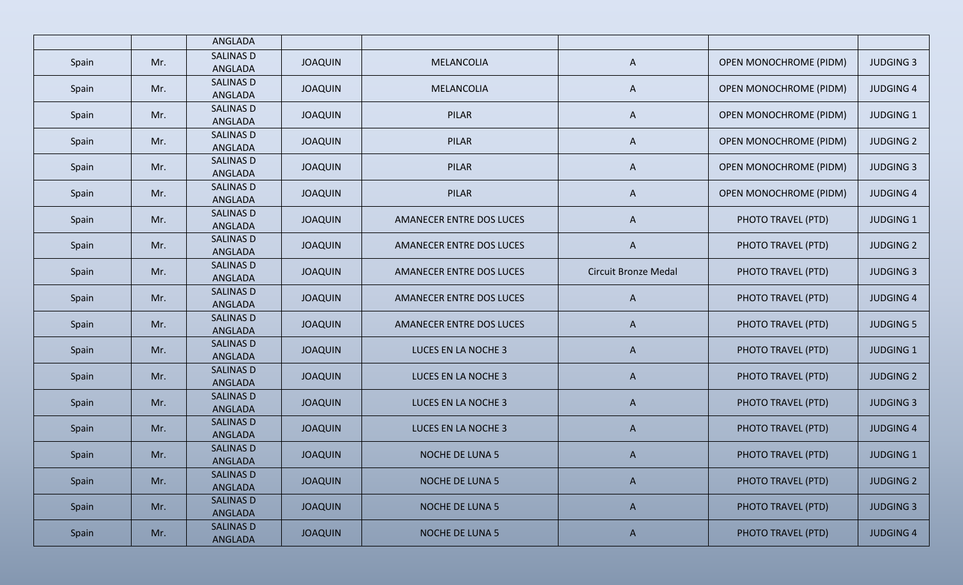|       |     | ANGLADA                     |                |                          |                             |                               |                  |
|-------|-----|-----------------------------|----------------|--------------------------|-----------------------------|-------------------------------|------------------|
| Spain | Mr. | <b>SALINAS D</b><br>ANGLADA | <b>JOAQUIN</b> | MELANCOLIA               | $\mathsf{A}$                | <b>OPEN MONOCHROME (PIDM)</b> | <b>JUDGING 3</b> |
| Spain | Mr. | <b>SALINAS D</b><br>ANGLADA | <b>JOAQUIN</b> | MELANCOLIA               | A                           | <b>OPEN MONOCHROME (PIDM)</b> | <b>JUDGING 4</b> |
| Spain | Mr. | SALINAS D<br>ANGLADA        | <b>JOAQUIN</b> | PILAR                    | A                           | <b>OPEN MONOCHROME (PIDM)</b> | <b>JUDGING 1</b> |
| Spain | Mr. | <b>SALINAS D</b><br>ANGLADA | <b>JOAQUIN</b> | PILAR                    | $\mathsf{A}$                | <b>OPEN MONOCHROME (PIDM)</b> | <b>JUDGING 2</b> |
| Spain | Mr. | <b>SALINAS D</b><br>ANGLADA | <b>JOAQUIN</b> | PILAR                    | $\mathsf{A}$                | <b>OPEN MONOCHROME (PIDM)</b> | <b>JUDGING 3</b> |
| Spain | Mr. | <b>SALINAS D</b><br>ANGLADA | <b>JOAQUIN</b> | PILAR                    | $\mathsf{A}$                | <b>OPEN MONOCHROME (PIDM)</b> | <b>JUDGING 4</b> |
| Spain | Mr. | <b>SALINAS D</b><br>ANGLADA | <b>JOAQUIN</b> | AMANECER ENTRE DOS LUCES | $\mathsf{A}$                | PHOTO TRAVEL (PTD)            | <b>JUDGING 1</b> |
| Spain | Mr. | <b>SALINAS D</b><br>ANGLADA | <b>JOAQUIN</b> | AMANECER ENTRE DOS LUCES | $\mathsf{A}$                | PHOTO TRAVEL (PTD)            | <b>JUDGING 2</b> |
| Spain | Mr. | <b>SALINAS D</b><br>ANGLADA | <b>JOAQUIN</b> | AMANECER ENTRE DOS LUCES | <b>Circuit Bronze Medal</b> | PHOTO TRAVEL (PTD)            | <b>JUDGING 3</b> |
| Spain | Mr. | <b>SALINAS D</b><br>ANGLADA | <b>JOAQUIN</b> | AMANECER ENTRE DOS LUCES | $\mathsf{A}$                | PHOTO TRAVEL (PTD)            | <b>JUDGING 4</b> |
| Spain | Mr. | <b>SALINAS D</b><br>ANGLADA | <b>JOAQUIN</b> | AMANECER ENTRE DOS LUCES | $\mathsf{A}$                | PHOTO TRAVEL (PTD)            | <b>JUDGING 5</b> |
| Spain | Mr. | <b>SALINAS D</b><br>ANGLADA | <b>JOAQUIN</b> | LUCES EN LA NOCHE 3      | $\mathsf{A}$                | PHOTO TRAVEL (PTD)            | <b>JUDGING 1</b> |
| Spain | Mr. | <b>SALINAS D</b><br>ANGLADA | <b>JOAQUIN</b> | LUCES EN LA NOCHE 3      | $\mathsf{A}$                | PHOTO TRAVEL (PTD)            | <b>JUDGING 2</b> |
| Spain | Mr. | <b>SALINAS D</b><br>ANGLADA | <b>JOAQUIN</b> | LUCES EN LA NOCHE 3      | $\mathsf{A}$                | PHOTO TRAVEL (PTD)            | <b>JUDGING 3</b> |
| Spain | Mr. | <b>SALINAS D</b><br>ANGLADA | <b>JOAQUIN</b> | LUCES EN LA NOCHE 3      | $\mathsf{A}$                | PHOTO TRAVEL (PTD)            | <b>JUDGING 4</b> |
| Spain | Mr. | <b>SALINAS D</b><br>ANGLADA | <b>JOAQUIN</b> | <b>NOCHE DE LUNA 5</b>   | $\mathsf{A}$                | PHOTO TRAVEL (PTD)            | <b>JUDGING 1</b> |
| Spain | Mr. | <b>SALINAS D</b><br>ANGLADA | <b>JOAQUIN</b> | <b>NOCHE DE LUNA 5</b>   | $\mathsf{A}$                | PHOTO TRAVEL (PTD)            | <b>JUDGING 2</b> |
| Spain | Mr. | <b>SALINAS D</b><br>ANGLADA | <b>JOAQUIN</b> | <b>NOCHE DE LUNA 5</b>   | $\mathsf{A}$                | PHOTO TRAVEL (PTD)            | <b>JUDGING 3</b> |
| Spain | Mr. | <b>SALINAS D</b><br>ANGLADA | <b>JOAQUIN</b> | <b>NOCHE DE LUNA 5</b>   | $\mathsf{A}$                | PHOTO TRAVEL (PTD)            | <b>JUDGING 4</b> |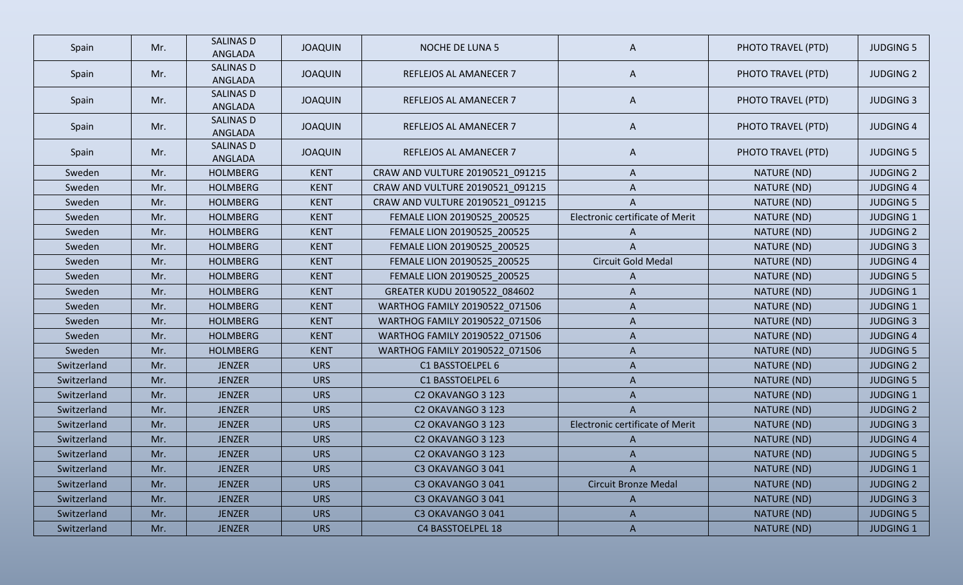| Spain       | Mr. | <b>SALINAS D</b><br>ANGLADA | <b>JOAQUIN</b> | <b>NOCHE DE LUNA 5</b>           | A                               | PHOTO TRAVEL (PTD) | <b>JUDGING 5</b> |
|-------------|-----|-----------------------------|----------------|----------------------------------|---------------------------------|--------------------|------------------|
| Spain       | Mr. | SALINAS D<br>ANGLADA        | <b>JOAQUIN</b> | REFLEJOS AL AMANECER 7           | A                               | PHOTO TRAVEL (PTD) | <b>JUDGING 2</b> |
| Spain       | Mr. | <b>SALINAS D</b><br>ANGLADA | <b>JOAQUIN</b> | REFLEJOS AL AMANECER 7           | A                               | PHOTO TRAVEL (PTD) | <b>JUDGING 3</b> |
| Spain       | Mr. | <b>SALINAS D</b><br>ANGLADA | <b>JOAQUIN</b> | REFLEJOS AL AMANECER 7           | A                               | PHOTO TRAVEL (PTD) | <b>JUDGING 4</b> |
| Spain       | Mr. | <b>SALINAS D</b><br>ANGLADA | <b>JOAQUIN</b> | <b>REFLEJOS AL AMANECER 7</b>    | A                               | PHOTO TRAVEL (PTD) | <b>JUDGING 5</b> |
| Sweden      | Mr. | <b>HOLMBERG</b>             | <b>KENT</b>    | CRAW AND VULTURE 20190521_091215 | A                               | NATURE (ND)        | <b>JUDGING 2</b> |
| Sweden      | Mr. | <b>HOLMBERG</b>             | <b>KENT</b>    | CRAW AND VULTURE 20190521_091215 | A                               | NATURE (ND)        | <b>JUDGING 4</b> |
| Sweden      | Mr. | <b>HOLMBERG</b>             | <b>KENT</b>    | CRAW AND VULTURE 20190521_091215 | A                               | NATURE (ND)        | <b>JUDGING 5</b> |
| Sweden      | Mr. | <b>HOLMBERG</b>             | <b>KENT</b>    | FEMALE LION 20190525_200525      | Electronic certificate of Merit | NATURE (ND)        | <b>JUDGING 1</b> |
| Sweden      | Mr. | <b>HOLMBERG</b>             | <b>KENT</b>    | FEMALE LION 20190525_200525      | A                               | NATURE (ND)        | <b>JUDGING 2</b> |
| Sweden      | Mr. | <b>HOLMBERG</b>             | <b>KENT</b>    | FEMALE LION 20190525 200525      | A                               | NATURE (ND)        | <b>JUDGING 3</b> |
| Sweden      | Mr. | <b>HOLMBERG</b>             | <b>KENT</b>    | FEMALE LION 20190525_200525      | Circuit Gold Medal              | NATURE (ND)        | <b>JUDGING 4</b> |
| Sweden      | Mr. | <b>HOLMBERG</b>             | <b>KENT</b>    | FEMALE LION 20190525_200525      | A                               | NATURE (ND)        | <b>JUDGING 5</b> |
| Sweden      | Mr. | <b>HOLMBERG</b>             | <b>KENT</b>    | GREATER KUDU 20190522_084602     | A                               | NATURE (ND)        | <b>JUDGING 1</b> |
| Sweden      | Mr. | <b>HOLMBERG</b>             | <b>KENT</b>    | WARTHOG FAMILY 20190522 071506   | A                               | NATURE (ND)        | <b>JUDGING 1</b> |
| Sweden      | Mr. | <b>HOLMBERG</b>             | <b>KENT</b>    | WARTHOG FAMILY 20190522_071506   | A                               | NATURE (ND)        | <b>JUDGING 3</b> |
| Sweden      | Mr. | <b>HOLMBERG</b>             | <b>KENT</b>    | WARTHOG FAMILY 20190522_071506   | A                               | NATURE (ND)        | <b>JUDGING 4</b> |
| Sweden      | Mr. | <b>HOLMBERG</b>             | <b>KENT</b>    | WARTHOG FAMILY 20190522_071506   | A                               | NATURE (ND)        | <b>JUDGING 5</b> |
| Switzerland | Mr. | <b>JENZER</b>               | <b>URS</b>     | C1 BASSTOELPEL 6                 | A                               | NATURE (ND)        | <b>JUDGING 2</b> |
| Switzerland | Mr. | <b>JENZER</b>               | <b>URS</b>     | C1 BASSTOELPEL 6                 | A                               | NATURE (ND)        | <b>JUDGING 5</b> |
| Switzerland | Mr. | <b>JENZER</b>               | <b>URS</b>     | C2 OKAVANGO 3 123                | A                               | NATURE (ND)        | <b>JUDGING 1</b> |
| Switzerland | Mr. | <b>JENZER</b>               | <b>URS</b>     | C2 OKAVANGO 3 123                | A                               | NATURE (ND)        | <b>JUDGING 2</b> |
| Switzerland | Mr. | <b>JENZER</b>               | <b>URS</b>     | C2 OKAVANGO 3 123                | Electronic certificate of Merit | NATURE (ND)        | <b>JUDGING 3</b> |
| Switzerland | Mr. | <b>JENZER</b>               | <b>URS</b>     | C2 OKAVANGO 3 123                | A                               | NATURE (ND)        | <b>JUDGING 4</b> |
| Switzerland | Mr. | <b>JENZER</b>               | <b>URS</b>     | C2 OKAVANGO 3 123                | A                               | NATURE (ND)        | <b>JUDGING 5</b> |
| Switzerland | Mr. | <b>JENZER</b>               | <b>URS</b>     | C3 OKAVANGO 3 041                | $\mathsf{A}$                    | NATURE (ND)        | <b>JUDGING 1</b> |
| Switzerland | Mr. | <b>JENZER</b>               | <b>URS</b>     | C3 OKAVANGO 3041                 | <b>Circuit Bronze Medal</b>     | NATURE (ND)        | <b>JUDGING 2</b> |
| Switzerland | Mr. | <b>JENZER</b>               | <b>URS</b>     | C3 OKAVANGO 3041                 | $\mathsf{A}$                    | NATURE (ND)        | <b>JUDGING 3</b> |
| Switzerland | Mr. | <b>JENZER</b>               | <b>URS</b>     | C3 OKAVANGO 3041                 | $\mathsf{A}$                    | NATURE (ND)        | <b>JUDGING 5</b> |
| Switzerland | Mr. | <b>JENZER</b>               | <b>URS</b>     | C4 BASSTOELPEL 18                | $\mathsf{A}$                    | NATURE (ND)        | <b>JUDGING 1</b> |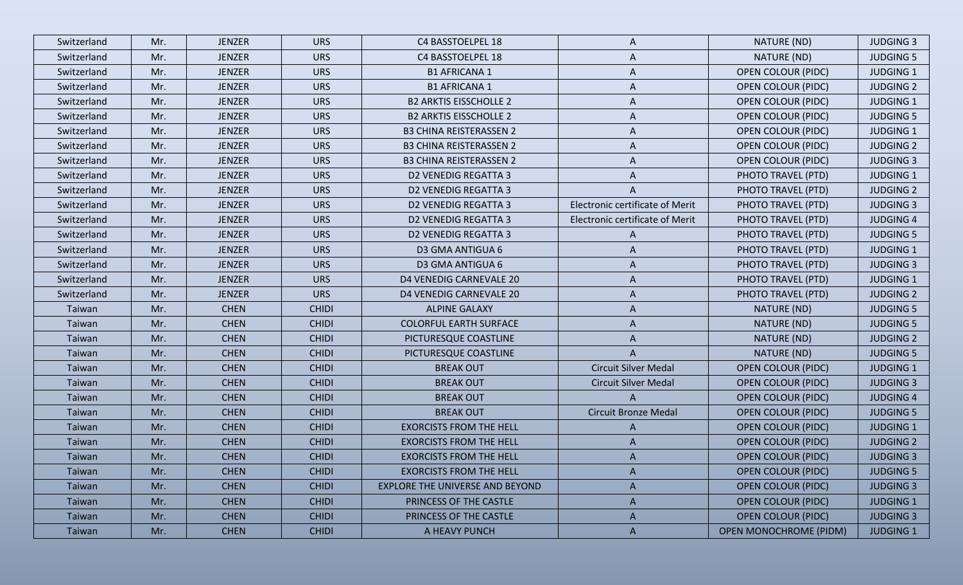| Switzerland | Mr. | <b>JENZER</b> | <b>URS</b>   | C4 BASSTOELPEL 18               | A                                      | NATURE (ND)                   | <b>JUDGING 3</b> |
|-------------|-----|---------------|--------------|---------------------------------|----------------------------------------|-------------------------------|------------------|
| Switzerland | Mr. | <b>JENZER</b> | <b>URS</b>   | C4 BASSTOELPEL 18               | A                                      | NATURE (ND)                   | <b>JUDGING 5</b> |
| Switzerland | Mr. | <b>JENZER</b> | <b>URS</b>   | <b>B1 AFRICANA 1</b>            | A                                      | <b>OPEN COLOUR (PIDC)</b>     | <b>JUDGING 1</b> |
| Switzerland | Mr. | <b>JENZER</b> | <b>URS</b>   | <b>B1 AFRICANA 1</b>            | A                                      | <b>OPEN COLOUR (PIDC)</b>     | <b>JUDGING 2</b> |
| Switzerland | Mr. | <b>JENZER</b> | <b>URS</b>   | <b>B2 ARKTIS EISSCHOLLE 2</b>   | A                                      | <b>OPEN COLOUR (PIDC)</b>     | <b>JUDGING 1</b> |
| Switzerland | Mr. | <b>JENZER</b> | <b>URS</b>   | <b>B2 ARKTIS EISSCHOLLE 2</b>   | A                                      | <b>OPEN COLOUR (PIDC)</b>     | <b>JUDGING 5</b> |
| Switzerland | Mr. | <b>JENZER</b> | <b>URS</b>   | <b>B3 CHINA REISTERASSEN 2</b>  | A                                      | <b>OPEN COLOUR (PIDC)</b>     | <b>JUDGING 1</b> |
| Switzerland | Mr. | <b>JENZER</b> | <b>URS</b>   | <b>B3 CHINA REISTERASSEN 2</b>  | A                                      | <b>OPEN COLOUR (PIDC)</b>     | <b>JUDGING 2</b> |
| Switzerland | Mr. | <b>JENZER</b> | <b>URS</b>   | <b>B3 CHINA REISTERASSEN 2</b>  | A                                      | <b>OPEN COLOUR (PIDC)</b>     | <b>JUDGING 3</b> |
| Switzerland | Mr. | <b>JENZER</b> | <b>URS</b>   | <b>D2 VENEDIG REGATTA 3</b>     | A                                      | PHOTO TRAVEL (PTD)            | <b>JUDGING 1</b> |
| Switzerland | Mr. | <b>JENZER</b> | <b>URS</b>   | <b>D2 VENEDIG REGATTA 3</b>     | A                                      | PHOTO TRAVEL (PTD)            | <b>JUDGING 2</b> |
| Switzerland | Mr. | <b>JENZER</b> | <b>URS</b>   | <b>D2 VENEDIG REGATTA 3</b>     | Electronic certificate of Merit        | PHOTO TRAVEL (PTD)            | <b>JUDGING 3</b> |
| Switzerland | Mr. | <b>JENZER</b> | <b>URS</b>   | <b>D2 VENEDIG REGATTA 3</b>     | <b>Electronic certificate of Merit</b> | PHOTO TRAVEL (PTD)            | <b>JUDGING 4</b> |
| Switzerland | Mr. | <b>JENZER</b> | <b>URS</b>   | <b>D2 VENEDIG REGATTA 3</b>     | A                                      | PHOTO TRAVEL (PTD)            | <b>JUDGING 5</b> |
| Switzerland | Mr. | <b>JENZER</b> | <b>URS</b>   | D3 GMA ANTIGUA 6                | A                                      | PHOTO TRAVEL (PTD)            | <b>JUDGING 1</b> |
| Switzerland | Mr. | <b>JENZER</b> | <b>URS</b>   | D3 GMA ANTIGUA 6                | A                                      | PHOTO TRAVEL (PTD)            | <b>JUDGING 3</b> |
| Switzerland | Mr. | <b>JENZER</b> | <b>URS</b>   | D4 VENEDIG CARNEVALE 20         | A                                      | PHOTO TRAVEL (PTD)            | <b>JUDGING 1</b> |
| Switzerland | Mr. | <b>JENZER</b> | <b>URS</b>   | D4 VENEDIG CARNEVALE 20         | A                                      | PHOTO TRAVEL (PTD)            | <b>JUDGING 2</b> |
| Taiwan      | Mr. | <b>CHEN</b>   | <b>CHIDI</b> | <b>ALPINE GALAXY</b>            | A                                      | NATURE (ND)                   | <b>JUDGING 5</b> |
| Taiwan      | Mr. | <b>CHEN</b>   | <b>CHIDI</b> | <b>COLORFUL EARTH SURFACE</b>   | A                                      | NATURE (ND)                   | <b>JUDGING 5</b> |
| Taiwan      | Mr. | <b>CHEN</b>   | <b>CHIDI</b> | PICTURESQUE COASTLINE           | A                                      | NATURE (ND)                   | <b>JUDGING 2</b> |
| Taiwan      | Mr. | <b>CHEN</b>   | <b>CHIDI</b> | PICTURESQUE COASTLINE           | A                                      | NATURE (ND)                   | <b>JUDGING 5</b> |
| Taiwan      | Mr. | <b>CHEN</b>   | <b>CHIDI</b> | <b>BREAK OUT</b>                | <b>Circuit Silver Medal</b>            | <b>OPEN COLOUR (PIDC)</b>     | <b>JUDGING 1</b> |
| Taiwan      | Mr. | <b>CHEN</b>   | <b>CHIDI</b> | <b>BREAK OUT</b>                | <b>Circuit Silver Medal</b>            | <b>OPEN COLOUR (PIDC)</b>     | <b>JUDGING 3</b> |
| Taiwan      | Mr. | <b>CHEN</b>   | <b>CHIDI</b> | <b>BREAK OUT</b>                | $\mathsf{A}$                           | <b>OPEN COLOUR (PIDC)</b>     | <b>JUDGING 4</b> |
| Taiwan      | Mr. | <b>CHEN</b>   | <b>CHIDI</b> | <b>BREAK OUT</b>                | <b>Circuit Bronze Medal</b>            | <b>OPEN COLOUR (PIDC)</b>     | <b>JUDGING 5</b> |
| Taiwan      | Mr. | <b>CHEN</b>   | <b>CHIDI</b> | <b>EXORCISTS FROM THE HELL</b>  | A                                      | <b>OPEN COLOUR (PIDC)</b>     | <b>JUDGING 1</b> |
| Taiwan      | Mr. | <b>CHEN</b>   | <b>CHIDI</b> | <b>EXORCISTS FROM THE HELL</b>  | A                                      | <b>OPEN COLOUR (PIDC)</b>     | <b>JUDGING 2</b> |
| Taiwan      | Mr. | <b>CHEN</b>   | <b>CHIDI</b> | <b>EXORCISTS FROM THE HELL</b>  | A                                      | <b>OPEN COLOUR (PIDC)</b>     | <b>JUDGING 3</b> |
| Taiwan      | Mr. | <b>CHEN</b>   | <b>CHIDI</b> | <b>EXORCISTS FROM THE HELL</b>  | A                                      | <b>OPEN COLOUR (PIDC)</b>     | <b>JUDGING 5</b> |
| Taiwan      | Mr. | <b>CHEN</b>   | <b>CHIDI</b> | EXPLORE THE UNIVERSE AND BEYOND | A                                      | <b>OPEN COLOUR (PIDC)</b>     | <b>JUDGING 3</b> |
| Taiwan      | Mr. | <b>CHEN</b>   | <b>CHIDI</b> | PRINCESS OF THE CASTLE          | A                                      | <b>OPEN COLOUR (PIDC)</b>     | <b>JUDGING 1</b> |
| Taiwan      | Mr. | <b>CHEN</b>   | <b>CHIDI</b> | PRINCESS OF THE CASTLE          | $\mathsf{A}$                           | <b>OPEN COLOUR (PIDC)</b>     | <b>JUDGING 3</b> |
| Taiwan      | Mr. | <b>CHEN</b>   | <b>CHIDI</b> | A HEAVY PUNCH                   | $\mathsf{A}$                           | <b>OPEN MONOCHROME (PIDM)</b> | <b>JUDGING 1</b> |
|             |     |               |              |                                 |                                        |                               |                  |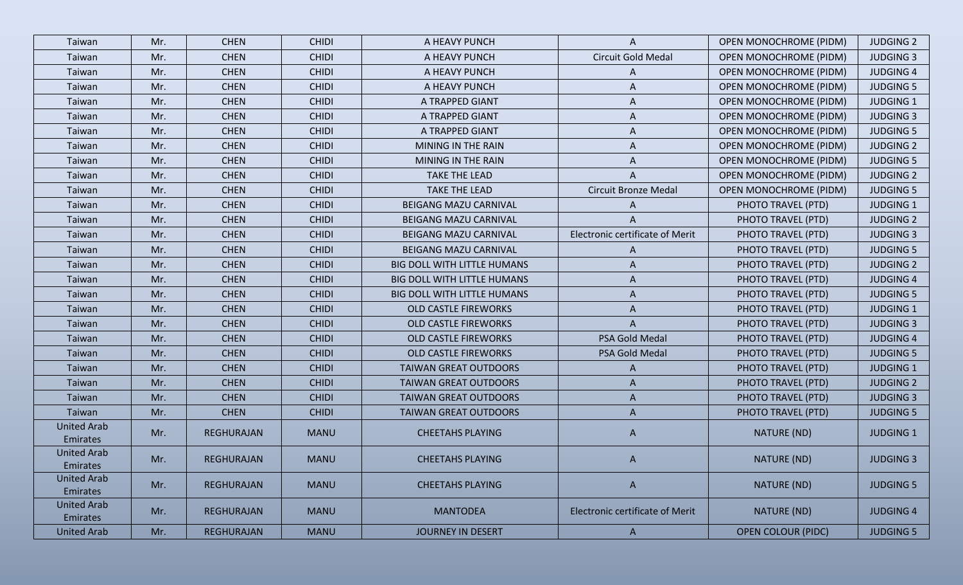| Taiwan                         | Mr. | <b>CHEN</b>       | <b>CHIDI</b> | A HEAVY PUNCH                      | A                                      | <b>OPEN MONOCHROME (PIDM)</b> | <b>JUDGING 2</b> |
|--------------------------------|-----|-------------------|--------------|------------------------------------|----------------------------------------|-------------------------------|------------------|
| Taiwan                         | Mr. | <b>CHEN</b>       | <b>CHIDI</b> | A HEAVY PUNCH                      | Circuit Gold Medal                     | <b>OPEN MONOCHROME (PIDM)</b> | <b>JUDGING 3</b> |
| Taiwan                         | Mr. | <b>CHEN</b>       | <b>CHIDI</b> | A HEAVY PUNCH                      | A                                      | <b>OPEN MONOCHROME (PIDM)</b> | <b>JUDGING 4</b> |
| Taiwan                         | Mr. | <b>CHEN</b>       | <b>CHIDI</b> | A HEAVY PUNCH                      | A                                      | <b>OPEN MONOCHROME (PIDM)</b> | <b>JUDGING 5</b> |
| Taiwan                         | Mr. | <b>CHEN</b>       | <b>CHIDI</b> | A TRAPPED GIANT                    | A                                      | <b>OPEN MONOCHROME (PIDM)</b> | <b>JUDGING 1</b> |
| Taiwan                         | Mr. | <b>CHEN</b>       | <b>CHIDI</b> | A TRAPPED GIANT                    | A                                      | <b>OPEN MONOCHROME (PIDM)</b> | <b>JUDGING 3</b> |
| Taiwan                         | Mr. | <b>CHEN</b>       | <b>CHIDI</b> | A TRAPPED GIANT                    | A                                      | <b>OPEN MONOCHROME (PIDM)</b> | <b>JUDGING 5</b> |
| Taiwan                         | Mr. | <b>CHEN</b>       | <b>CHIDI</b> | MINING IN THE RAIN                 | A                                      | <b>OPEN MONOCHROME (PIDM)</b> | <b>JUDGING 2</b> |
| Taiwan                         | Mr. | <b>CHEN</b>       | <b>CHIDI</b> | MINING IN THE RAIN                 | A                                      | <b>OPEN MONOCHROME (PIDM)</b> | <b>JUDGING 5</b> |
| Taiwan                         | Mr. | <b>CHEN</b>       | <b>CHIDI</b> | <b>TAKE THE LEAD</b>               | A                                      | <b>OPEN MONOCHROME (PIDM)</b> | <b>JUDGING 2</b> |
| Taiwan                         | Mr. | <b>CHEN</b>       | <b>CHIDI</b> | <b>TAKE THE LEAD</b>               | Circuit Bronze Medal                   | <b>OPEN MONOCHROME (PIDM)</b> | <b>JUDGING 5</b> |
| Taiwan                         | Mr. | <b>CHEN</b>       | <b>CHIDI</b> | BEIGANG MAZU CARNIVAL              | A                                      | PHOTO TRAVEL (PTD)            | <b>JUDGING 1</b> |
| Taiwan                         | Mr. | <b>CHEN</b>       | <b>CHIDI</b> | BEIGANG MAZU CARNIVAL              | A                                      | PHOTO TRAVEL (PTD)            | <b>JUDGING 2</b> |
| Taiwan                         | Mr. | <b>CHEN</b>       | <b>CHIDI</b> | <b>BEIGANG MAZU CARNIVAL</b>       | Electronic certificate of Merit        | PHOTO TRAVEL (PTD)            | <b>JUDGING 3</b> |
| Taiwan                         | Mr. | <b>CHEN</b>       | <b>CHIDI</b> | BEIGANG MAZU CARNIVAL              | A                                      | PHOTO TRAVEL (PTD)            | <b>JUDGING 5</b> |
| Taiwan                         | Mr. | <b>CHEN</b>       | <b>CHIDI</b> | <b>BIG DOLL WITH LITTLE HUMANS</b> | A                                      | PHOTO TRAVEL (PTD)            | <b>JUDGING 2</b> |
| Taiwan                         | Mr. | <b>CHEN</b>       | <b>CHIDI</b> | <b>BIG DOLL WITH LITTLE HUMANS</b> | A                                      | PHOTO TRAVEL (PTD)            | <b>JUDGING 4</b> |
| Taiwan                         | Mr. | <b>CHEN</b>       | <b>CHIDI</b> | <b>BIG DOLL WITH LITTLE HUMANS</b> | A                                      | PHOTO TRAVEL (PTD)            | <b>JUDGING 5</b> |
| Taiwan                         | Mr. | <b>CHEN</b>       | <b>CHIDI</b> | <b>OLD CASTLE FIREWORKS</b>        | $\mathsf{A}$                           | PHOTO TRAVEL (PTD)            | <b>JUDGING 1</b> |
| Taiwan                         | Mr. | <b>CHEN</b>       | <b>CHIDI</b> | <b>OLD CASTLE FIREWORKS</b>        | $\mathsf{A}$                           | PHOTO TRAVEL (PTD)            | <b>JUDGING 3</b> |
| Taiwan                         | Mr. | <b>CHEN</b>       | <b>CHIDI</b> | <b>OLD CASTLE FIREWORKS</b>        | PSA Gold Medal                         | PHOTO TRAVEL (PTD)            | <b>JUDGING 4</b> |
| Taiwan                         | Mr. | <b>CHEN</b>       | <b>CHIDI</b> | <b>OLD CASTLE FIREWORKS</b>        | PSA Gold Medal                         | PHOTO TRAVEL (PTD)            | <b>JUDGING 5</b> |
| Taiwan                         | Mr. | <b>CHEN</b>       | <b>CHIDI</b> | <b>TAIWAN GREAT OUTDOORS</b>       | $\mathsf{A}$                           | PHOTO TRAVEL (PTD)            | <b>JUDGING 1</b> |
| Taiwan                         | Mr. | <b>CHEN</b>       | <b>CHIDI</b> | <b>TAIWAN GREAT OUTDOORS</b>       | A                                      | PHOTO TRAVEL (PTD)            | <b>JUDGING 2</b> |
| Taiwan                         | Mr. | <b>CHEN</b>       | <b>CHIDI</b> | <b>TAIWAN GREAT OUTDOORS</b>       | A                                      | PHOTO TRAVEL (PTD)            | <b>JUDGING 3</b> |
| Taiwan                         | Mr. | <b>CHEN</b>       | <b>CHIDI</b> | <b>TAIWAN GREAT OUTDOORS</b>       | A                                      | PHOTO TRAVEL (PTD)            | <b>JUDGING 5</b> |
| <b>United Arab</b><br>Emirates | Mr. | REGHURAJAN        | <b>MANU</b>  | <b>CHEETAHS PLAYING</b>            | $\mathsf{A}$                           | NATURE (ND)                   | <b>JUDGING 1</b> |
| <b>United Arab</b><br>Emirates | Mr. | REGHURAJAN        | <b>MANU</b>  | <b>CHEETAHS PLAYING</b>            | A                                      | NATURE (ND)                   | <b>JUDGING 3</b> |
| <b>United Arab</b><br>Emirates | Mr. | REGHURAJAN        | <b>MANU</b>  | <b>CHEETAHS PLAYING</b>            | $\mathsf{A}$                           | NATURE (ND)                   | <b>JUDGING 5</b> |
| <b>United Arab</b><br>Emirates | Mr. | <b>REGHURAJAN</b> | <b>MANU</b>  | <b>MANTODEA</b>                    | <b>Electronic certificate of Merit</b> | NATURE (ND)                   | <b>JUDGING 4</b> |
| <b>United Arab</b>             | Mr. | <b>REGHURAJAN</b> | <b>MANU</b>  | <b>JOURNEY IN DESERT</b>           | $\mathsf{A}$                           | <b>OPEN COLOUR (PIDC)</b>     | <b>JUDGING 5</b> |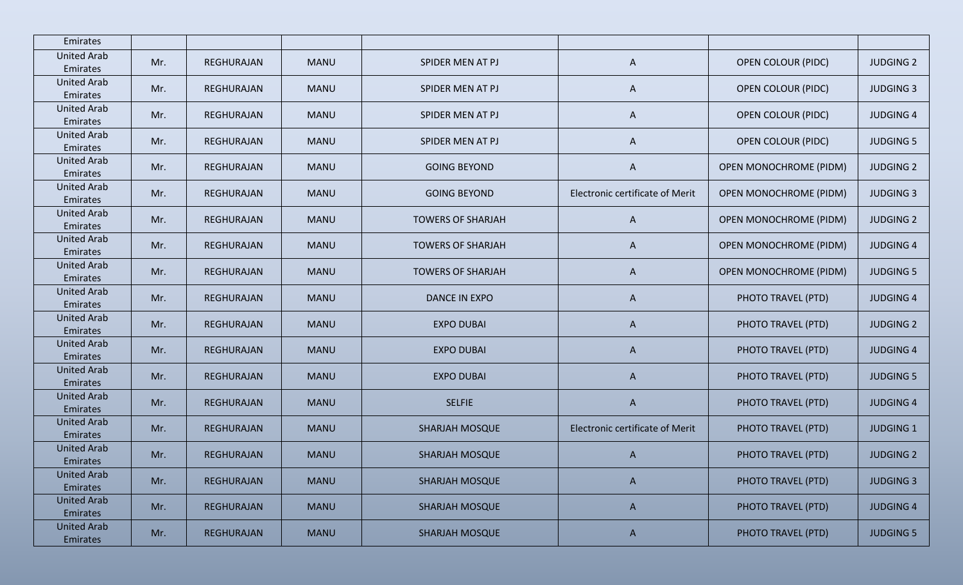| Emirates                       |     |                   |             |                          |                                 |                               |                  |
|--------------------------------|-----|-------------------|-------------|--------------------------|---------------------------------|-------------------------------|------------------|
| <b>United Arab</b><br>Emirates | Mr. | REGHURAJAN        | <b>MANU</b> | SPIDER MEN AT PJ         | A                               | <b>OPEN COLOUR (PIDC)</b>     | <b>JUDGING 2</b> |
| <b>United Arab</b><br>Emirates | Mr. | REGHURAJAN        | <b>MANU</b> | SPIDER MEN AT PJ         | A                               | <b>OPEN COLOUR (PIDC)</b>     | <b>JUDGING 3</b> |
| <b>United Arab</b><br>Emirates | Mr. | REGHURAJAN        | <b>MANU</b> | SPIDER MEN AT PJ         | A                               | <b>OPEN COLOUR (PIDC)</b>     | <b>JUDGING 4</b> |
| <b>United Arab</b><br>Emirates | Mr. | REGHURAJAN        | <b>MANU</b> | SPIDER MEN AT PJ         | A                               | <b>OPEN COLOUR (PIDC)</b>     | <b>JUDGING 5</b> |
| <b>United Arab</b><br>Emirates | Mr. | REGHURAJAN        | <b>MANU</b> | <b>GOING BEYOND</b>      | A                               | <b>OPEN MONOCHROME (PIDM)</b> | <b>JUDGING 2</b> |
| <b>United Arab</b><br>Emirates | Mr. | REGHURAJAN        | <b>MANU</b> | <b>GOING BEYOND</b>      | Electronic certificate of Merit | OPEN MONOCHROME (PIDM)        | <b>JUDGING 3</b> |
| <b>United Arab</b><br>Emirates | Mr. | REGHURAJAN        | <b>MANU</b> | <b>TOWERS OF SHARJAH</b> | $\mathsf{A}$                    | <b>OPEN MONOCHROME (PIDM)</b> | <b>JUDGING 2</b> |
| <b>United Arab</b><br>Emirates | Mr. | REGHURAJAN        | <b>MANU</b> | <b>TOWERS OF SHARJAH</b> | A                               | <b>OPEN MONOCHROME (PIDM)</b> | <b>JUDGING 4</b> |
| <b>United Arab</b><br>Emirates | Mr. | REGHURAJAN        | <b>MANU</b> | <b>TOWERS OF SHARJAH</b> | A                               | <b>OPEN MONOCHROME (PIDM)</b> | <b>JUDGING 5</b> |
| <b>United Arab</b><br>Emirates | Mr. | REGHURAJAN        | <b>MANU</b> | DANCE IN EXPO            | A                               | PHOTO TRAVEL (PTD)            | <b>JUDGING 4</b> |
| <b>United Arab</b><br>Emirates | Mr. | REGHURAJAN        | <b>MANU</b> | <b>EXPO DUBAI</b>        | A                               | PHOTO TRAVEL (PTD)            | <b>JUDGING 2</b> |
| <b>United Arab</b><br>Emirates | Mr. | REGHURAJAN        | <b>MANU</b> | <b>EXPO DUBAI</b>        | A                               | PHOTO TRAVEL (PTD)            | <b>JUDGING 4</b> |
| <b>United Arab</b><br>Emirates | Mr. | REGHURAJAN        | <b>MANU</b> | <b>EXPO DUBAI</b>        | A                               | PHOTO TRAVEL (PTD)            | <b>JUDGING 5</b> |
| <b>United Arab</b><br>Emirates | Mr. | REGHURAJAN        | <b>MANU</b> | <b>SELFIE</b>            | A                               | PHOTO TRAVEL (PTD)            | <b>JUDGING 4</b> |
| <b>United Arab</b><br>Emirates | Mr. | REGHURAJAN        | <b>MANU</b> | <b>SHARJAH MOSQUE</b>    | Electronic certificate of Merit | PHOTO TRAVEL (PTD)            | <b>JUDGING 1</b> |
| <b>United Arab</b><br>Emirates | Mr. | REGHURAJAN        | <b>MANU</b> | <b>SHARJAH MOSQUE</b>    | A                               | PHOTO TRAVEL (PTD)            | <b>JUDGING 2</b> |
| <b>United Arab</b><br>Emirates | Mr. | REGHURAJAN        | <b>MANU</b> | <b>SHARJAH MOSQUE</b>    | $\mathsf{A}$                    | PHOTO TRAVEL (PTD)            | <b>JUDGING 3</b> |
| <b>United Arab</b><br>Emirates | Mr. | <b>REGHURAJAN</b> | <b>MANU</b> | <b>SHARJAH MOSQUE</b>    | $\mathsf{A}$                    | PHOTO TRAVEL (PTD)            | <b>JUDGING 4</b> |
| <b>United Arab</b><br>Emirates | Mr. | <b>REGHURAJAN</b> | <b>MANU</b> | <b>SHARJAH MOSQUE</b>    | A                               | PHOTO TRAVEL (PTD)            | <b>JUDGING 5</b> |
|                                |     |                   |             |                          |                                 |                               |                  |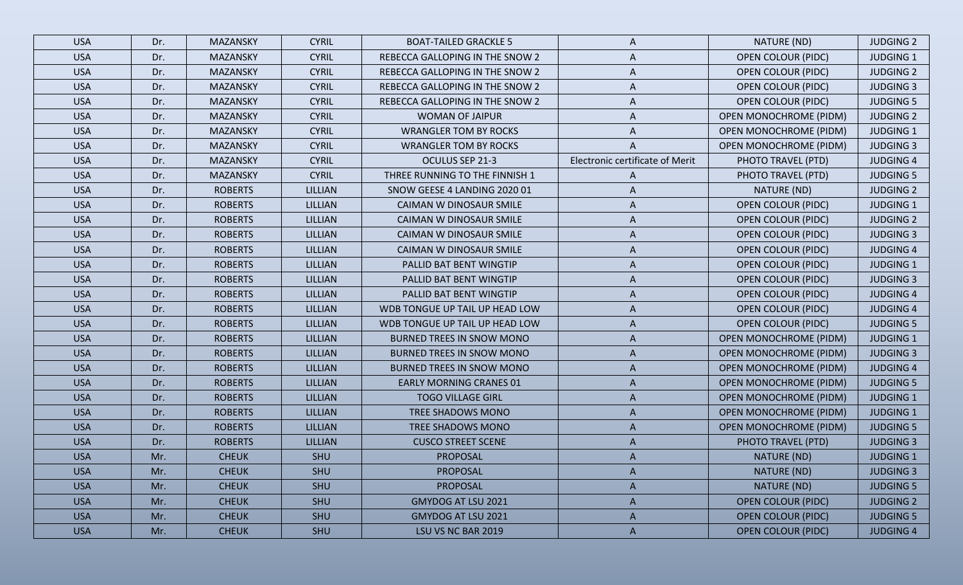| <b>USA</b> | Dr. | <b>MAZANSKY</b> | <b>CYRIL</b>   | <b>BOAT-TAILED GRACKLE 5</b>    | A                               | NATURE (ND)                   | <b>JUDGING 2</b> |
|------------|-----|-----------------|----------------|---------------------------------|---------------------------------|-------------------------------|------------------|
| <b>USA</b> | Dr. | <b>MAZANSKY</b> | <b>CYRIL</b>   | REBECCA GALLOPING IN THE SNOW 2 | A                               | <b>OPEN COLOUR (PIDC)</b>     | <b>JUDGING 1</b> |
| <b>USA</b> | Dr. | <b>MAZANSKY</b> | <b>CYRIL</b>   | REBECCA GALLOPING IN THE SNOW 2 | A                               | <b>OPEN COLOUR (PIDC)</b>     | <b>JUDGING 2</b> |
| <b>USA</b> | Dr. | <b>MAZANSKY</b> | <b>CYRIL</b>   | REBECCA GALLOPING IN THE SNOW 2 | A                               | <b>OPEN COLOUR (PIDC)</b>     | <b>JUDGING 3</b> |
| <b>USA</b> | Dr. | <b>MAZANSKY</b> | <b>CYRIL</b>   | REBECCA GALLOPING IN THE SNOW 2 | A                               | <b>OPEN COLOUR (PIDC)</b>     | <b>JUDGING 5</b> |
| <b>USA</b> | Dr. | <b>MAZANSKY</b> | <b>CYRIL</b>   | <b>WOMAN OF JAIPUR</b>          | A                               | <b>OPEN MONOCHROME (PIDM)</b> | <b>JUDGING 2</b> |
| <b>USA</b> | Dr. | <b>MAZANSKY</b> | <b>CYRIL</b>   | <b>WRANGLER TOM BY ROCKS</b>    | A                               | <b>OPEN MONOCHROME (PIDM)</b> | <b>JUDGING 1</b> |
| <b>USA</b> | Dr. | <b>MAZANSKY</b> | <b>CYRIL</b>   | <b>WRANGLER TOM BY ROCKS</b>    | A                               | <b>OPEN MONOCHROME (PIDM)</b> | <b>JUDGING 3</b> |
| <b>USA</b> | Dr. | <b>MAZANSKY</b> | <b>CYRIL</b>   | OCULUS SEP 21-3                 | Electronic certificate of Merit | PHOTO TRAVEL (PTD)            | <b>JUDGING 4</b> |
| <b>USA</b> | Dr. | <b>MAZANSKY</b> | <b>CYRIL</b>   | THREE RUNNING TO THE FINNISH 1  | A                               | PHOTO TRAVEL (PTD)            | <b>JUDGING 5</b> |
| <b>USA</b> | Dr. | <b>ROBERTS</b>  | LILLIAN        | SNOW GEESE 4 LANDING 2020 01    | A                               | NATURE (ND)                   | <b>JUDGING 2</b> |
| <b>USA</b> | Dr. | <b>ROBERTS</b>  | LILLIAN        | CAIMAN W DINOSAUR SMILE         | A                               | <b>OPEN COLOUR (PIDC)</b>     | <b>JUDGING 1</b> |
| <b>USA</b> | Dr. | <b>ROBERTS</b>  | LILLIAN        | CAIMAN W DINOSAUR SMILE         | A                               | <b>OPEN COLOUR (PIDC)</b>     | <b>JUDGING 2</b> |
| <b>USA</b> | Dr. | <b>ROBERTS</b>  | LILLIAN        | CAIMAN W DINOSAUR SMILE         | A                               | <b>OPEN COLOUR (PIDC)</b>     | <b>JUDGING 3</b> |
| <b>USA</b> | Dr. | <b>ROBERTS</b>  | LILLIAN        | CAIMAN W DINOSAUR SMILE         | A                               | <b>OPEN COLOUR (PIDC)</b>     | <b>JUDGING 4</b> |
| <b>USA</b> | Dr. | <b>ROBERTS</b>  | <b>LILLIAN</b> | PALLID BAT BENT WINGTIP         | A                               | <b>OPEN COLOUR (PIDC)</b>     | <b>JUDGING 1</b> |
| <b>USA</b> | Dr. | <b>ROBERTS</b>  | <b>LILLIAN</b> | PALLID BAT BENT WINGTIP         | A                               | <b>OPEN COLOUR (PIDC)</b>     | <b>JUDGING 3</b> |
| <b>USA</b> | Dr. | <b>ROBERTS</b>  | LILLIAN        | PALLID BAT BENT WINGTIP         | A                               | <b>OPEN COLOUR (PIDC)</b>     | <b>JUDGING 4</b> |
| <b>USA</b> | Dr. | <b>ROBERTS</b>  | <b>LILLIAN</b> | WDB TONGUE UP TAIL UP HEAD LOW  | A                               | <b>OPEN COLOUR (PIDC)</b>     | <b>JUDGING 4</b> |
| <b>USA</b> | Dr. | <b>ROBERTS</b>  | LILLIAN        | WDB TONGUE UP TAIL UP HEAD LOW  | A                               | <b>OPEN COLOUR (PIDC)</b>     | <b>JUDGING 5</b> |
| <b>USA</b> | Dr. | <b>ROBERTS</b>  | LILLIAN        | BURNED TREES IN SNOW MONO       | A                               | <b>OPEN MONOCHROME (PIDM)</b> | <b>JUDGING 1</b> |
| <b>USA</b> | Dr. | <b>ROBERTS</b>  | LILLIAN        | BURNED TREES IN SNOW MONO       | A                               | <b>OPEN MONOCHROME (PIDM)</b> | <b>JUDGING 3</b> |
| <b>USA</b> | Dr. | <b>ROBERTS</b>  | <b>LILLIAN</b> | BURNED TREES IN SNOW MONO       | A                               | <b>OPEN MONOCHROME (PIDM)</b> | <b>JUDGING 4</b> |
| <b>USA</b> | Dr. | <b>ROBERTS</b>  | <b>LILLIAN</b> | <b>EARLY MORNING CRANES 01</b>  | A                               | <b>OPEN MONOCHROME (PIDM)</b> | <b>JUDGING 5</b> |
| <b>USA</b> | Dr. | <b>ROBERTS</b>  | LILLIAN        | <b>TOGO VILLAGE GIRL</b>        | A                               | <b>OPEN MONOCHROME (PIDM)</b> | <b>JUDGING 1</b> |
| <b>USA</b> | Dr. | <b>ROBERTS</b>  | LILLIAN        | TREE SHADOWS MONO               | A                               | <b>OPEN MONOCHROME (PIDM)</b> | <b>JUDGING 1</b> |
| <b>USA</b> | Dr. | <b>ROBERTS</b>  | LILLIAN        | TREE SHADOWS MONO               | A                               | <b>OPEN MONOCHROME (PIDM)</b> | <b>JUDGING 5</b> |
| <b>USA</b> | Dr. | <b>ROBERTS</b>  | LILLIAN        | <b>CUSCO STREET SCENE</b>       | A                               | PHOTO TRAVEL (PTD)            | <b>JUDGING 3</b> |
| <b>USA</b> | Mr. | <b>CHEUK</b>    | SHU            | <b>PROPOSAL</b>                 |                                 | NATURE (ND)                   | <b>JUDGING 1</b> |
| <b>USA</b> | Mr. | <b>CHEUK</b>    | SHU            | PROPOSAL                        | A                               | NATURE (ND)                   | <b>JUDGING 3</b> |
| <b>USA</b> | Mr. | <b>CHEUK</b>    | SHU            | <b>PROPOSAL</b>                 | A                               | NATURE (ND)                   | <b>JUDGING 5</b> |
| <b>USA</b> | Mr. | <b>CHEUK</b>    | SHU            | GMYDOG AT LSU 2021              | A                               | <b>OPEN COLOUR (PIDC)</b>     | <b>JUDGING 2</b> |
| <b>USA</b> | Mr. | <b>CHEUK</b>    | SHU            | GMYDOG AT LSU 2021              | A                               | <b>OPEN COLOUR (PIDC)</b>     | <b>JUDGING 5</b> |
| <b>USA</b> | Mr. | <b>CHEUK</b>    | SHU            | LSU VS NC BAR 2019              | A                               | <b>OPEN COLOUR (PIDC)</b>     | <b>JUDGING 4</b> |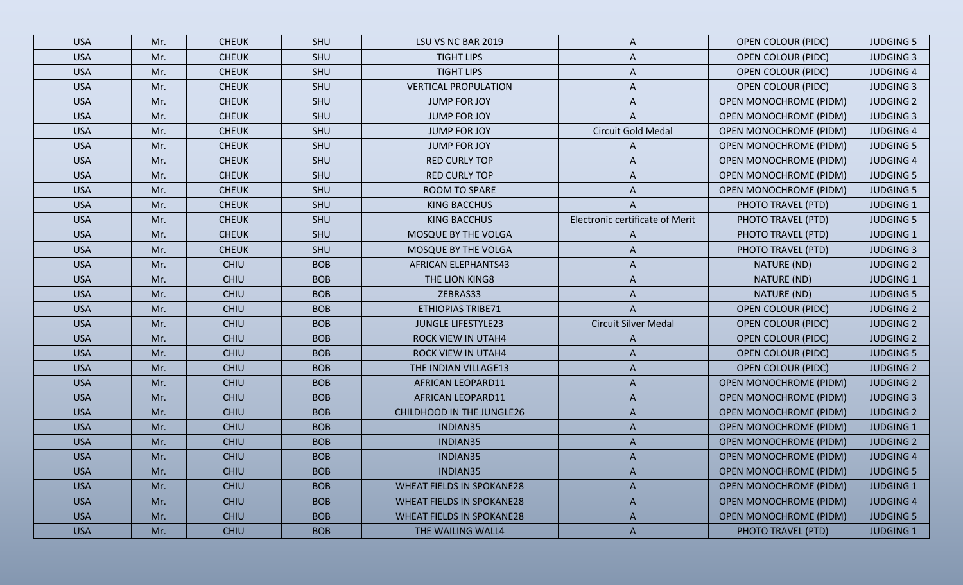| <b>USA</b> | Mr. | <b>CHEUK</b> | SHU        | LSU VS NC BAR 2019               | A                               | <b>OPEN COLOUR (PIDC)</b>     | <b>JUDGING 5</b> |
|------------|-----|--------------|------------|----------------------------------|---------------------------------|-------------------------------|------------------|
| <b>USA</b> | Mr. | <b>CHEUK</b> | SHU        | <b>TIGHT LIPS</b>                | A                               | <b>OPEN COLOUR (PIDC)</b>     | <b>JUDGING 3</b> |
| <b>USA</b> | Mr. | <b>CHEUK</b> | SHU        | <b>TIGHT LIPS</b>                | A                               | <b>OPEN COLOUR (PIDC)</b>     | <b>JUDGING 4</b> |
| <b>USA</b> | Mr. | <b>CHEUK</b> | SHU        | <b>VERTICAL PROPULATION</b>      | A                               | <b>OPEN COLOUR (PIDC)</b>     | <b>JUDGING 3</b> |
| <b>USA</b> | Mr. | <b>CHEUK</b> | SHU        | <b>JUMP FOR JOY</b>              | A                               | <b>OPEN MONOCHROME (PIDM)</b> | <b>JUDGING 2</b> |
| <b>USA</b> | Mr. | <b>CHEUK</b> | SHU        | JUMP FOR JOY                     | A                               | <b>OPEN MONOCHROME (PIDM)</b> | <b>JUDGING 3</b> |
| <b>USA</b> | Mr. | <b>CHEUK</b> | SHU        | <b>JUMP FOR JOY</b>              | Circuit Gold Medal              | <b>OPEN MONOCHROME (PIDM)</b> | <b>JUDGING 4</b> |
| <b>USA</b> | Mr. | <b>CHEUK</b> | SHU        | <b>JUMP FOR JOY</b>              | A                               | <b>OPEN MONOCHROME (PIDM)</b> | <b>JUDGING 5</b> |
| <b>USA</b> | Mr. | <b>CHEUK</b> | SHU        | <b>RED CURLY TOP</b>             | A                               | <b>OPEN MONOCHROME (PIDM)</b> | <b>JUDGING 4</b> |
| <b>USA</b> | Mr. | <b>CHEUK</b> | SHU        | <b>RED CURLY TOP</b>             | A                               | <b>OPEN MONOCHROME (PIDM)</b> | <b>JUDGING 5</b> |
| <b>USA</b> | Mr. | <b>CHEUK</b> | SHU        | ROOM TO SPARE                    | A                               | <b>OPEN MONOCHROME (PIDM)</b> | <b>JUDGING 5</b> |
| <b>USA</b> | Mr. | <b>CHEUK</b> | SHU        | KING BACCHUS                     |                                 | PHOTO TRAVEL (PTD)            | <b>JUDGING 1</b> |
| <b>USA</b> | Mr. | <b>CHEUK</b> | SHU        | KING BACCHUS                     | Electronic certificate of Merit | PHOTO TRAVEL (PTD)            | <b>JUDGING 5</b> |
| <b>USA</b> | Mr. | <b>CHEUK</b> | SHU        | MOSQUE BY THE VOLGA              | A                               | PHOTO TRAVEL (PTD)            | <b>JUDGING 1</b> |
| <b>USA</b> | Mr. | <b>CHEUK</b> | SHU        | MOSQUE BY THE VOLGA              | A                               | PHOTO TRAVEL (PTD)            | <b>JUDGING 3</b> |
| <b>USA</b> | Mr. | <b>CHIU</b>  | <b>BOB</b> | AFRICAN ELEPHANTS43              | A                               | NATURE (ND)                   | <b>JUDGING 2</b> |
| <b>USA</b> | Mr. | CHIU         | <b>BOB</b> | THE LION KING8                   | A                               | NATURE (ND)                   | <b>JUDGING 1</b> |
| <b>USA</b> | Mr. | <b>CHIU</b>  | <b>BOB</b> | ZEBRAS33                         | A                               | NATURE (ND)                   | <b>JUDGING 5</b> |
| <b>USA</b> | Mr. | <b>CHIU</b>  | <b>BOB</b> | <b>ETHIOPIAS TRIBE71</b>         | A                               | <b>OPEN COLOUR (PIDC)</b>     | <b>JUDGING 2</b> |
| <b>USA</b> | Mr. | <b>CHIU</b>  | <b>BOB</b> | <b>JUNGLE LIFESTYLE23</b>        | <b>Circuit Silver Medal</b>     | <b>OPEN COLOUR (PIDC)</b>     | <b>JUDGING 2</b> |
| <b>USA</b> | Mr. | CHIU         | <b>BOB</b> | <b>ROCK VIEW IN UTAH4</b>        | A                               | <b>OPEN COLOUR (PIDC)</b>     | <b>JUDGING 2</b> |
| <b>USA</b> | Mr. | <b>CHIU</b>  | <b>BOB</b> | <b>ROCK VIEW IN UTAH4</b>        | A                               | <b>OPEN COLOUR (PIDC)</b>     | <b>JUDGING 5</b> |
| <b>USA</b> | Mr. | <b>CHIU</b>  | <b>BOB</b> | THE INDIAN VILLAGE13             | A                               | <b>OPEN COLOUR (PIDC)</b>     | <b>JUDGING 2</b> |
| <b>USA</b> | Mr. | <b>CHIU</b>  | <b>BOB</b> | AFRICAN LEOPARD11                | A                               | <b>OPEN MONOCHROME (PIDM)</b> | <b>JUDGING 2</b> |
| <b>USA</b> | Mr. | <b>CHIU</b>  | <b>BOB</b> | <b>AFRICAN LEOPARD11</b>         | A                               | <b>OPEN MONOCHROME (PIDM)</b> | <b>JUDGING 3</b> |
| <b>USA</b> | Mr. | <b>CHIU</b>  | <b>BOB</b> | CHILDHOOD IN THE JUNGLE26        | A                               | <b>OPEN MONOCHROME (PIDM)</b> | <b>JUDGING 2</b> |
| <b>USA</b> | Mr. | <b>CHIU</b>  | <b>BOB</b> | INDIAN35                         | $\overline{A}$                  | <b>OPEN MONOCHROME (PIDM)</b> | <b>JUDGING 1</b> |
| <b>USA</b> | Mr. | <b>CHIU</b>  | <b>BOB</b> | INDIAN35                         | A                               | <b>OPEN MONOCHROME (PIDM)</b> | <b>JUDGING 2</b> |
| <b>USA</b> | Mr. | <b>CHIU</b>  | <b>BOB</b> | INDIAN35                         |                                 | <b>OPEN MONOCHROME (PIDM)</b> | <b>JUDGING 4</b> |
| <b>USA</b> | Mr. | <b>CHIU</b>  | <b>BOB</b> | INDIAN35                         | $\mathsf{A}$                    | <b>OPEN MONOCHROME (PIDM)</b> | <b>JUDGING 5</b> |
| <b>USA</b> | Mr. | <b>CHIU</b>  | <b>BOB</b> | <b>WHEAT FIELDS IN SPOKANE28</b> | A                               | <b>OPEN MONOCHROME (PIDM)</b> | <b>JUDGING 1</b> |
| <b>USA</b> | Mr. | <b>CHIU</b>  | <b>BOB</b> | <b>WHEAT FIELDS IN SPOKANE28</b> | $\mathsf{A}$                    | <b>OPEN MONOCHROME (PIDM)</b> | <b>JUDGING 4</b> |
| <b>USA</b> | Mr. | <b>CHIU</b>  | <b>BOB</b> | <b>WHEAT FIELDS IN SPOKANE28</b> | $\mathsf{A}$                    | <b>OPEN MONOCHROME (PIDM)</b> | <b>JUDGING 5</b> |
| <b>USA</b> | Mr. | <b>CHIU</b>  | <b>BOB</b> | THE WAILING WALL4                | $\mathsf{A}$                    | PHOTO TRAVEL (PTD)            | <b>JUDGING 1</b> |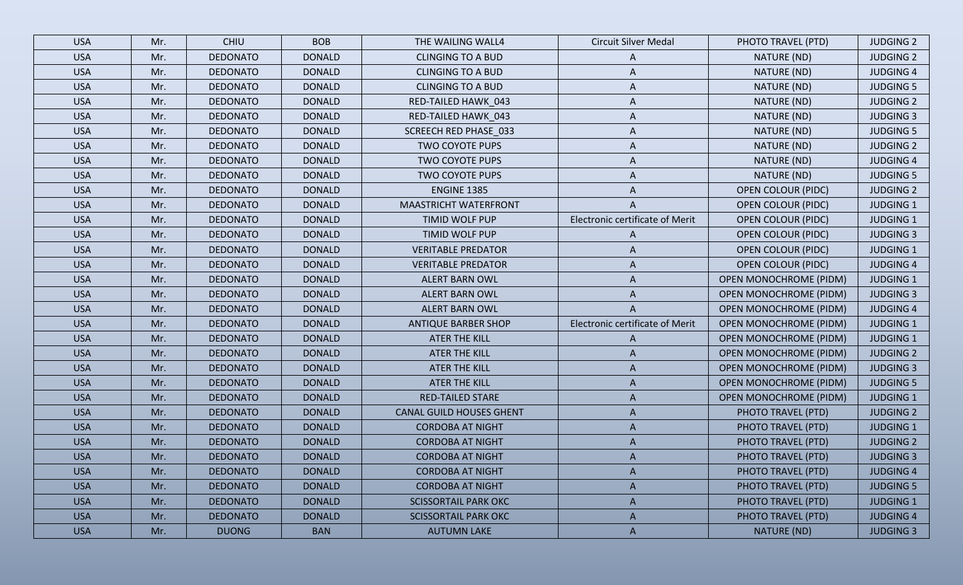| <b>USA</b> | Mr. | <b>CHIU</b>     | <b>BOB</b>    | THE WAILING WALL4               | <b>Circuit Silver Medal</b>     | PHOTO TRAVEL (PTD)            | <b>JUDGING 2</b> |
|------------|-----|-----------------|---------------|---------------------------------|---------------------------------|-------------------------------|------------------|
| <b>USA</b> | Mr. | <b>DEDONATO</b> | <b>DONALD</b> | <b>CLINGING TO A BUD</b>        | A                               | NATURE (ND)                   | <b>JUDGING 2</b> |
| <b>USA</b> | Mr. | <b>DEDONATO</b> | <b>DONALD</b> | <b>CLINGING TO A BUD</b>        | A                               | NATURE (ND)                   | <b>JUDGING 4</b> |
| <b>USA</b> | Mr. | <b>DEDONATO</b> | <b>DONALD</b> | <b>CLINGING TO A BUD</b>        | A                               | NATURE (ND)                   | <b>JUDGING 5</b> |
| <b>USA</b> | Mr. | <b>DEDONATO</b> | <b>DONALD</b> | RED-TAILED HAWK_043             | A                               | NATURE (ND)                   | <b>JUDGING 2</b> |
| <b>USA</b> | Mr. | <b>DEDONATO</b> | <b>DONALD</b> | RED-TAILED HAWK_043             | A                               | NATURE (ND)                   | <b>JUDGING 3</b> |
| <b>USA</b> | Mr. | <b>DEDONATO</b> | <b>DONALD</b> | <b>SCREECH RED PHASE_033</b>    | A                               | NATURE (ND)                   | <b>JUDGING 5</b> |
| <b>USA</b> | Mr. | <b>DEDONATO</b> | <b>DONALD</b> | <b>TWO COYOTE PUPS</b>          | A                               | NATURE (ND)                   | <b>JUDGING 2</b> |
| <b>USA</b> | Mr. | <b>DEDONATO</b> | <b>DONALD</b> | <b>TWO COYOTE PUPS</b>          | A                               | NATURE (ND)                   | <b>JUDGING 4</b> |
| <b>USA</b> | Mr. | <b>DEDONATO</b> | <b>DONALD</b> | <b>TWO COYOTE PUPS</b>          | A                               | NATURE (ND)                   | <b>JUDGING 5</b> |
| <b>USA</b> | Mr. | <b>DEDONATO</b> | <b>DONALD</b> | <b>ENGINE 1385</b>              | A                               | <b>OPEN COLOUR (PIDC)</b>     | <b>JUDGING 2</b> |
| <b>USA</b> | Mr. | <b>DEDONATO</b> | <b>DONALD</b> | <b>MAASTRICHT WATERFRONT</b>    |                                 | <b>OPEN COLOUR (PIDC)</b>     | <b>JUDGING 1</b> |
| <b>USA</b> | Mr. | <b>DEDONATO</b> | <b>DONALD</b> | TIMID WOLF PUP                  | Electronic certificate of Merit | <b>OPEN COLOUR (PIDC)</b>     | <b>JUDGING 1</b> |
| <b>USA</b> | Mr. | <b>DEDONATO</b> | <b>DONALD</b> | <b>TIMID WOLF PUP</b>           | A                               | <b>OPEN COLOUR (PIDC)</b>     | <b>JUDGING 3</b> |
| <b>USA</b> | Mr. | <b>DEDONATO</b> | <b>DONALD</b> | <b>VERITABLE PREDATOR</b>       | A                               | <b>OPEN COLOUR (PIDC)</b>     | <b>JUDGING 1</b> |
| <b>USA</b> | Mr. | <b>DEDONATO</b> | <b>DONALD</b> | <b>VERITABLE PREDATOR</b>       | A                               | <b>OPEN COLOUR (PIDC)</b>     | <b>JUDGING 4</b> |
| <b>USA</b> | Mr. | <b>DEDONATO</b> | <b>DONALD</b> | <b>ALERT BARN OWL</b>           | A                               | <b>OPEN MONOCHROME (PIDM)</b> | <b>JUDGING 1</b> |
| <b>USA</b> | Mr. | <b>DEDONATO</b> | <b>DONALD</b> | <b>ALERT BARN OWL</b>           | A                               | <b>OPEN MONOCHROME (PIDM)</b> | <b>JUDGING 3</b> |
| <b>USA</b> | Mr. | <b>DEDONATO</b> | <b>DONALD</b> | <b>ALERT BARN OWL</b>           |                                 | <b>OPEN MONOCHROME (PIDM)</b> | <b>JUDGING 4</b> |
| <b>USA</b> | Mr. | <b>DEDONATO</b> | <b>DONALD</b> | <b>ANTIQUE BARBER SHOP</b>      | Electronic certificate of Merit | <b>OPEN MONOCHROME (PIDM)</b> | <b>JUDGING 1</b> |
| <b>USA</b> | Mr. | <b>DEDONATO</b> | <b>DONALD</b> | <b>ATER THE KILL</b>            | A                               | <b>OPEN MONOCHROME (PIDM)</b> | <b>JUDGING 1</b> |
| <b>USA</b> | Mr. | <b>DEDONATO</b> | <b>DONALD</b> | ATER THE KILL                   | A                               | <b>OPEN MONOCHROME (PIDM)</b> | <b>JUDGING 2</b> |
| <b>USA</b> | Mr. | <b>DEDONATO</b> | <b>DONALD</b> | ATER THE KILL                   | A                               | <b>OPEN MONOCHROME (PIDM)</b> | <b>JUDGING 3</b> |
| <b>USA</b> | Mr. | <b>DEDONATO</b> | <b>DONALD</b> | <b>ATER THE KILL</b>            | A                               | <b>OPEN MONOCHROME (PIDM)</b> | <b>JUDGING 5</b> |
| <b>USA</b> | Mr. | <b>DEDONATO</b> | <b>DONALD</b> | <b>RED-TAILED STARE</b>         | A                               | <b>OPEN MONOCHROME (PIDM)</b> | <b>JUDGING 1</b> |
| <b>USA</b> | Mr. | <b>DEDONATO</b> | <b>DONALD</b> | <b>CANAL GUILD HOUSES GHENT</b> | A                               | PHOTO TRAVEL (PTD)            | <b>JUDGING 2</b> |
| <b>USA</b> | Mr. | <b>DEDONATO</b> | <b>DONALD</b> | <b>CORDOBA AT NIGHT</b>         | A                               | PHOTO TRAVEL (PTD)            | <b>JUDGING 1</b> |
| <b>USA</b> | Mr. | <b>DEDONATO</b> | <b>DONALD</b> | <b>CORDOBA AT NIGHT</b>         | A                               | PHOTO TRAVEL (PTD)            | <b>JUDGING 2</b> |
| <b>USA</b> | Mr. | <b>DEDONATO</b> | <b>DONALD</b> | <b>CORDOBA AT NIGHT</b>         |                                 | PHOTO TRAVEL (PTD)            | <b>JUDGING 3</b> |
| <b>USA</b> | Mr. | <b>DEDONATO</b> | <b>DONALD</b> | <b>CORDOBA AT NIGHT</b>         | A                               | PHOTO TRAVEL (PTD)            | <b>JUDGING 4</b> |
| <b>USA</b> | Mr. | <b>DEDONATO</b> | <b>DONALD</b> | <b>CORDOBA AT NIGHT</b>         | A                               | PHOTO TRAVEL (PTD)            | <b>JUDGING 5</b> |
| <b>USA</b> | Mr. | <b>DEDONATO</b> | <b>DONALD</b> | <b>SCISSORTAIL PARK OKC</b>     | A                               | PHOTO TRAVEL (PTD)            | <b>JUDGING 1</b> |
| <b>USA</b> | Mr. | <b>DEDONATO</b> | <b>DONALD</b> | <b>SCISSORTAIL PARK OKC</b>     | $\mathsf{A}$                    | PHOTO TRAVEL (PTD)            | <b>JUDGING 4</b> |
| <b>USA</b> | Mr. | <b>DUONG</b>    | <b>BAN</b>    | <b>AUTUMN LAKE</b>              | $\mathsf{A}$                    | NATURE (ND)                   | <b>JUDGING 3</b> |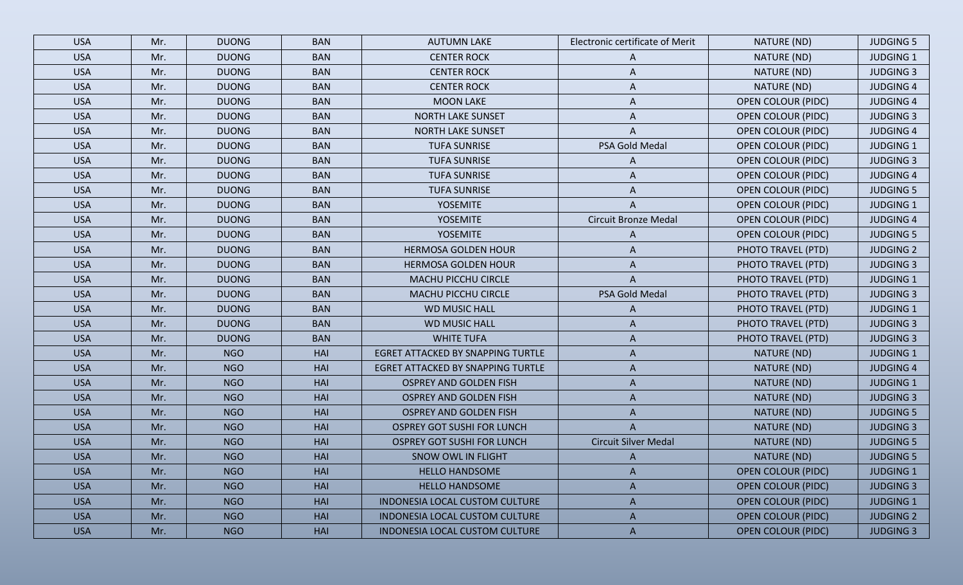| <b>USA</b> | Mr. | <b>DUONG</b> | <b>BAN</b> | <b>AUTUMN LAKE</b>                    | Electronic certificate of Merit | NATURE (ND)               | <b>JUDGING 5</b> |
|------------|-----|--------------|------------|---------------------------------------|---------------------------------|---------------------------|------------------|
| <b>USA</b> | Mr. | <b>DUONG</b> | <b>BAN</b> | <b>CENTER ROCK</b>                    | A                               | NATURE (ND)               | <b>JUDGING 1</b> |
| <b>USA</b> | Mr. | <b>DUONG</b> | <b>BAN</b> | <b>CENTER ROCK</b>                    | A                               | NATURE (ND)               | <b>JUDGING 3</b> |
| <b>USA</b> | Mr. | <b>DUONG</b> | <b>BAN</b> | <b>CENTER ROCK</b>                    | A                               | NATURE (ND)               | <b>JUDGING 4</b> |
| <b>USA</b> | Mr. | <b>DUONG</b> | <b>BAN</b> | <b>MOON LAKE</b>                      | A                               | <b>OPEN COLOUR (PIDC)</b> | <b>JUDGING 4</b> |
| <b>USA</b> | Mr. | <b>DUONG</b> | <b>BAN</b> | <b>NORTH LAKE SUNSET</b>              | Α                               | <b>OPEN COLOUR (PIDC)</b> | <b>JUDGING 3</b> |
| <b>USA</b> | Mr. | <b>DUONG</b> | <b>BAN</b> | <b>NORTH LAKE SUNSET</b>              |                                 | <b>OPEN COLOUR (PIDC)</b> | <b>JUDGING 4</b> |
| <b>USA</b> | Mr. | <b>DUONG</b> | <b>BAN</b> | <b>TUFA SUNRISE</b>                   | PSA Gold Medal                  | <b>OPEN COLOUR (PIDC)</b> | <b>JUDGING 1</b> |
| <b>USA</b> | Mr. | <b>DUONG</b> | <b>BAN</b> | <b>TUFA SUNRISE</b>                   | A                               | <b>OPEN COLOUR (PIDC)</b> | <b>JUDGING 3</b> |
| <b>USA</b> | Mr. | <b>DUONG</b> | <b>BAN</b> | <b>TUFA SUNRISE</b>                   | A                               | <b>OPEN COLOUR (PIDC)</b> | <b>JUDGING 4</b> |
| <b>USA</b> | Mr. | <b>DUONG</b> | <b>BAN</b> | <b>TUFA SUNRISE</b>                   | A                               | <b>OPEN COLOUR (PIDC)</b> | <b>JUDGING 5</b> |
| <b>USA</b> | Mr. | <b>DUONG</b> | <b>BAN</b> | <b>YOSEMITE</b>                       |                                 | <b>OPEN COLOUR (PIDC)</b> | <b>JUDGING 1</b> |
| <b>USA</b> | Mr. | <b>DUONG</b> | <b>BAN</b> | <b>YOSEMITE</b>                       | <b>Circuit Bronze Medal</b>     | <b>OPEN COLOUR (PIDC)</b> | <b>JUDGING 4</b> |
| <b>USA</b> | Mr. | <b>DUONG</b> | <b>BAN</b> | <b>YOSEMITE</b>                       | A                               | <b>OPEN COLOUR (PIDC)</b> | <b>JUDGING 5</b> |
| <b>USA</b> | Mr. | <b>DUONG</b> | <b>BAN</b> | <b>HERMOSA GOLDEN HOUR</b>            | A                               | PHOTO TRAVEL (PTD)        | <b>JUDGING 2</b> |
| <b>USA</b> | Mr. | <b>DUONG</b> | <b>BAN</b> | <b>HERMOSA GOLDEN HOUR</b>            | A                               | PHOTO TRAVEL (PTD)        | <b>JUDGING 3</b> |
| <b>USA</b> | Mr. | <b>DUONG</b> | <b>BAN</b> | <b>MACHU PICCHU CIRCLE</b>            | A                               | PHOTO TRAVEL (PTD)        | <b>JUDGING 1</b> |
| <b>USA</b> | Mr. | <b>DUONG</b> | <b>BAN</b> | MACHU PICCHU CIRCLE                   | PSA Gold Medal                  | PHOTO TRAVEL (PTD)        | <b>JUDGING 3</b> |
| <b>USA</b> | Mr. | <b>DUONG</b> | <b>BAN</b> | <b>WD MUSIC HALL</b>                  | A                               | PHOTO TRAVEL (PTD)        | <b>JUDGING 1</b> |
| <b>USA</b> | Mr. | <b>DUONG</b> | <b>BAN</b> | <b>WD MUSIC HALL</b>                  | A                               | PHOTO TRAVEL (PTD)        | <b>JUDGING 3</b> |
| <b>USA</b> | Mr. | <b>DUONG</b> | <b>BAN</b> | <b>WHITE TUFA</b>                     | A                               | PHOTO TRAVEL (PTD)        | <b>JUDGING 3</b> |
| <b>USA</b> | Mr. | <b>NGO</b>   | HAI        | EGRET ATTACKED BY SNAPPING TURTLE     | $\mathsf{A}$                    | NATURE (ND)               | <b>JUDGING 1</b> |
| <b>USA</b> | Mr. | <b>NGO</b>   | HAI        | EGRET ATTACKED BY SNAPPING TURTLE     | A                               | NATURE (ND)               | <b>JUDGING 4</b> |
| <b>USA</b> | Mr. | <b>NGO</b>   | HAI        | <b>OSPREY AND GOLDEN FISH</b>         | A                               | NATURE (ND)               | <b>JUDGING 1</b> |
| <b>USA</b> | Mr. | <b>NGO</b>   | <b>HAI</b> | <b>OSPREY AND GOLDEN FISH</b>         | $\mathsf{A}$                    | NATURE (ND)               | <b>JUDGING 3</b> |
| <b>USA</b> | Mr. | <b>NGO</b>   | <b>HAI</b> | <b>OSPREY AND GOLDEN FISH</b>         | A                               | NATURE (ND)               | <b>JUDGING 5</b> |
| <b>USA</b> | Mr. | <b>NGO</b>   | <b>HAI</b> | <b>OSPREY GOT SUSHI FOR LUNCH</b>     | $\mathsf{A}$                    | NATURE (ND)               | <b>JUDGING 3</b> |
| <b>USA</b> | Mr. | <b>NGO</b>   | <b>HAI</b> | <b>OSPREY GOT SUSHI FOR LUNCH</b>     | <b>Circuit Silver Medal</b>     | NATURE (ND)               | <b>JUDGING 5</b> |
| <b>USA</b> | Mr. | <b>NGO</b>   | <b>HAI</b> | SNOW OWL IN FLIGHT                    |                                 | NATURE (ND)               | <b>JUDGING 5</b> |
| <b>USA</b> | Mr. | <b>NGO</b>   | HAI        | <b>HELLO HANDSOME</b>                 | $\mathsf{A}$                    | <b>OPEN COLOUR (PIDC)</b> | <b>JUDGING 1</b> |
| <b>USA</b> | Mr. | <b>NGO</b>   | HAI        | <b>HELLO HANDSOME</b>                 | $\mathsf{A}$                    | <b>OPEN COLOUR (PIDC)</b> | <b>JUDGING 3</b> |
| <b>USA</b> | Mr. | <b>NGO</b>   | <b>HAI</b> | INDONESIA LOCAL CUSTOM CULTURE        | $\mathsf{A}$                    | <b>OPEN COLOUR (PIDC)</b> | <b>JUDGING 1</b> |
| <b>USA</b> | Mr. | <b>NGO</b>   | HAI        | <b>INDONESIA LOCAL CUSTOM CULTURE</b> | A                               | <b>OPEN COLOUR (PIDC)</b> | <b>JUDGING 2</b> |
| <b>USA</b> | Mr. | <b>NGO</b>   | HAI        | INDONESIA LOCAL CUSTOM CULTURE        | $\mathsf{A}$                    | <b>OPEN COLOUR (PIDC)</b> | <b>JUDGING 3</b> |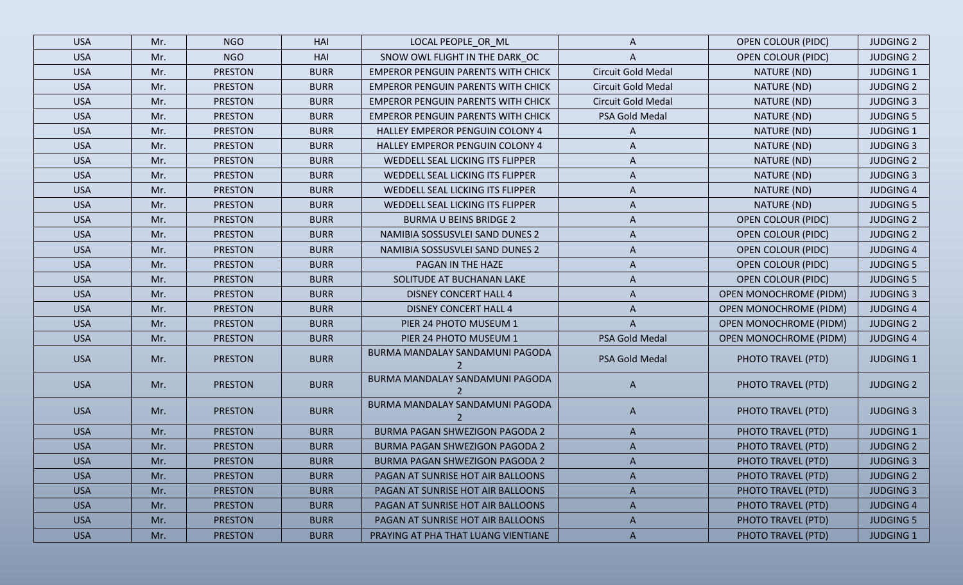| <b>USA</b> | Mr. | <b>NGO</b>     | HAI         | LOCAL PEOPLE_OR_ML                        | $\mathsf{A}$              | <b>OPEN COLOUR (PIDC)</b>     | <b>JUDGING 2</b> |
|------------|-----|----------------|-------------|-------------------------------------------|---------------------------|-------------------------------|------------------|
| <b>USA</b> | Mr. | <b>NGO</b>     | HAI         | SNOW OWL FLIGHT IN THE DARK OC            | A                         | <b>OPEN COLOUR (PIDC)</b>     | <b>JUDGING 2</b> |
| <b>USA</b> | Mr. | <b>PRESTON</b> | <b>BURR</b> | <b>EMPEROR PENGUIN PARENTS WITH CHICK</b> | Circuit Gold Medal        | NATURE (ND)                   | <b>JUDGING 1</b> |
| <b>USA</b> | Mr. | <b>PRESTON</b> | <b>BURR</b> | <b>EMPEROR PENGUIN PARENTS WITH CHICK</b> | Circuit Gold Medal        | NATURE (ND)                   | <b>JUDGING 2</b> |
| <b>USA</b> | Mr. | <b>PRESTON</b> | <b>BURR</b> | <b>EMPEROR PENGUIN PARENTS WITH CHICK</b> | <b>Circuit Gold Medal</b> | NATURE (ND)                   | <b>JUDGING 3</b> |
| <b>USA</b> | Mr. | <b>PRESTON</b> | <b>BURR</b> | <b>EMPEROR PENGUIN PARENTS WITH CHICK</b> | PSA Gold Medal            | NATURE (ND)                   | <b>JUDGING 5</b> |
| <b>USA</b> | Mr. | <b>PRESTON</b> | <b>BURR</b> | HALLEY EMPEROR PENGUIN COLONY 4           | A                         | NATURE (ND)                   | <b>JUDGING 1</b> |
| <b>USA</b> | Mr. | <b>PRESTON</b> | <b>BURR</b> | HALLEY EMPEROR PENGUIN COLONY 4           | A                         | NATURE (ND)                   | <b>JUDGING 3</b> |
| <b>USA</b> | Mr. | <b>PRESTON</b> | <b>BURR</b> | WEDDELL SEAL LICKING ITS FLIPPER          | A                         | NATURE (ND)                   | <b>JUDGING 2</b> |
| <b>USA</b> | Mr. | <b>PRESTON</b> | <b>BURR</b> | WEDDELL SEAL LICKING ITS FLIPPER          | A                         | NATURE (ND)                   | <b>JUDGING 3</b> |
| <b>USA</b> | Mr. | <b>PRESTON</b> | <b>BURR</b> | WEDDELL SEAL LICKING ITS FLIPPER          | A                         | NATURE (ND)                   | <b>JUDGING 4</b> |
| <b>USA</b> | Mr. | <b>PRESTON</b> | <b>BURR</b> | WEDDELL SEAL LICKING ITS FLIPPER          | A                         | NATURE (ND)                   | <b>JUDGING 5</b> |
| <b>USA</b> | Mr. | <b>PRESTON</b> | <b>BURR</b> | <b>BURMA U BEINS BRIDGE 2</b>             | A                         | <b>OPEN COLOUR (PIDC)</b>     | <b>JUDGING 2</b> |
| <b>USA</b> | Mr. | <b>PRESTON</b> | <b>BURR</b> | NAMIBIA SOSSUSVLEI SAND DUNES 2           | A                         | <b>OPEN COLOUR (PIDC)</b>     | <b>JUDGING 2</b> |
| <b>USA</b> | Mr. | <b>PRESTON</b> | <b>BURR</b> | NAMIBIA SOSSUSVLEI SAND DUNES 2           | A                         | <b>OPEN COLOUR (PIDC)</b>     | <b>JUDGING 4</b> |
| <b>USA</b> | Mr. | <b>PRESTON</b> | <b>BURR</b> | PAGAN IN THE HAZE                         | A                         | <b>OPEN COLOUR (PIDC)</b>     | <b>JUDGING 5</b> |
| <b>USA</b> | Mr. | <b>PRESTON</b> | <b>BURR</b> | SOLITUDE AT BUCHANAN LAKE                 | A                         | <b>OPEN COLOUR (PIDC)</b>     | <b>JUDGING 5</b> |
| <b>USA</b> | Mr. | <b>PRESTON</b> | <b>BURR</b> | <b>DISNEY CONCERT HALL 4</b>              | A                         | <b>OPEN MONOCHROME (PIDM)</b> | <b>JUDGING 3</b> |
| <b>USA</b> | Mr. | <b>PRESTON</b> | <b>BURR</b> | <b>DISNEY CONCERT HALL 4</b>              | A                         | <b>OPEN MONOCHROME (PIDM)</b> | <b>JUDGING 4</b> |
| <b>USA</b> | Mr. | <b>PRESTON</b> | <b>BURR</b> | PIER 24 PHOTO MUSEUM 1                    | $\mathsf{A}$              | <b>OPEN MONOCHROME (PIDM)</b> | <b>JUDGING 2</b> |
| <b>USA</b> | Mr. | <b>PRESTON</b> | <b>BURR</b> | PIER 24 PHOTO MUSEUM 1                    | PSA Gold Medal            | <b>OPEN MONOCHROME (PIDM)</b> | <b>JUDGING 4</b> |
| <b>USA</b> | Mr. | <b>PRESTON</b> | <b>BURR</b> | BURMA MANDALAY SANDAMUNI PAGODA           | PSA Gold Medal            | PHOTO TRAVEL (PTD)            | <b>JUDGING 1</b> |
| <b>USA</b> | Mr. | <b>PRESTON</b> | <b>BURR</b> | BURMA MANDALAY SANDAMUNI PAGODA           | A                         | PHOTO TRAVEL (PTD)            | <b>JUDGING 2</b> |
| <b>USA</b> | Mr. | <b>PRESTON</b> | <b>BURR</b> | BURMA MANDALAY SANDAMUNI PAGODA           | $\mathsf{A}$              | PHOTO TRAVEL (PTD)            | <b>JUDGING 3</b> |
| <b>USA</b> | Mr. | <b>PRESTON</b> | <b>BURR</b> | BURMA PAGAN SHWEZIGON PAGODA 2            | $\mathsf{A}$              | PHOTO TRAVEL (PTD)            | <b>JUDGING 1</b> |
| <b>USA</b> | Mr. | <b>PRESTON</b> | <b>BURR</b> | <b>BURMA PAGAN SHWEZIGON PAGODA 2</b>     | $\mathsf{A}$              | PHOTO TRAVEL (PTD)            | <b>JUDGING 2</b> |
| <b>USA</b> | Mr. | <b>PRESTON</b> | <b>BURR</b> | BURMA PAGAN SHWEZIGON PAGODA 2            | $\mathsf{A}$              | PHOTO TRAVEL (PTD)            | <b>JUDGING 3</b> |
| <b>USA</b> | Mr. | <b>PRESTON</b> | <b>BURR</b> | PAGAN AT SUNRISE HOT AIR BALLOONS         | A                         | PHOTO TRAVEL (PTD)            | <b>JUDGING 2</b> |
| <b>USA</b> | Mr. | <b>PRESTON</b> | <b>BURR</b> | PAGAN AT SUNRISE HOT AIR BALLOONS         | A                         | PHOTO TRAVEL (PTD)            | <b>JUDGING 3</b> |
| <b>USA</b> | Mr. | <b>PRESTON</b> | <b>BURR</b> | PAGAN AT SUNRISE HOT AIR BALLOONS         | $\mathsf{A}$              | PHOTO TRAVEL (PTD)            | <b>JUDGING 4</b> |
| <b>USA</b> | Mr. | <b>PRESTON</b> | <b>BURR</b> | PAGAN AT SUNRISE HOT AIR BALLOONS         | $\mathsf{A}$              | PHOTO TRAVEL (PTD)            | <b>JUDGING 5</b> |
| <b>USA</b> | Mr. | <b>PRESTON</b> | <b>BURR</b> | PRAYING AT PHA THAT LUANG VIENTIANE       | $\mathsf{A}$              | PHOTO TRAVEL (PTD)            | <b>JUDGING 1</b> |
|            |     |                |             |                                           |                           |                               |                  |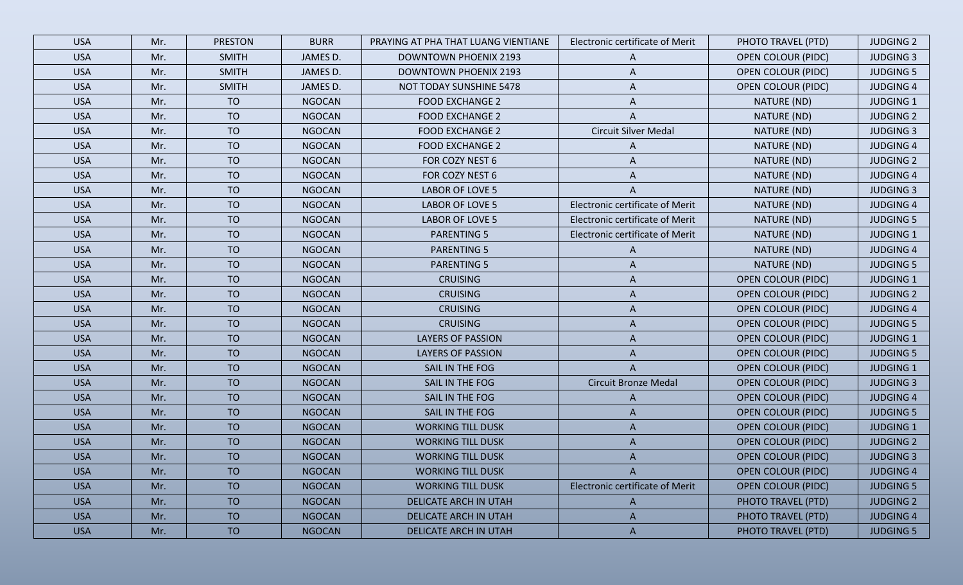| <b>USA</b> | Mr. | <b>PRESTON</b> | <b>BURR</b>   | PRAYING AT PHA THAT LUANG VIENTIANE | Electronic certificate of Merit        | PHOTO TRAVEL (PTD)        | <b>JUDGING 2</b> |
|------------|-----|----------------|---------------|-------------------------------------|----------------------------------------|---------------------------|------------------|
| <b>USA</b> | Mr. | <b>SMITH</b>   | JAMES D.      | <b>DOWNTOWN PHOENIX 2193</b>        | A                                      | <b>OPEN COLOUR (PIDC)</b> | <b>JUDGING 3</b> |
| <b>USA</b> | Mr. | <b>SMITH</b>   | JAMES D.      | <b>DOWNTOWN PHOENIX 2193</b>        | A                                      | <b>OPEN COLOUR (PIDC)</b> | <b>JUDGING 5</b> |
| <b>USA</b> | Mr. | <b>SMITH</b>   | JAMES D.      | NOT TODAY SUNSHINE 5478             | A                                      | <b>OPEN COLOUR (PIDC)</b> | <b>JUDGING 4</b> |
| <b>USA</b> | Mr. | <b>TO</b>      | <b>NGOCAN</b> | <b>FOOD EXCHANGE 2</b>              | A                                      | NATURE (ND)               | <b>JUDGING 1</b> |
| <b>USA</b> | Mr. | <b>TO</b>      | <b>NGOCAN</b> | <b>FOOD EXCHANGE 2</b>              | A                                      | NATURE (ND)               | <b>JUDGING 2</b> |
| <b>USA</b> | Mr. | <b>TO</b>      | <b>NGOCAN</b> | <b>FOOD EXCHANGE 2</b>              | <b>Circuit Silver Medal</b>            | NATURE (ND)               | <b>JUDGING 3</b> |
| <b>USA</b> | Mr. | <b>TO</b>      | <b>NGOCAN</b> | <b>FOOD EXCHANGE 2</b>              | A                                      | NATURE (ND)               | <b>JUDGING 4</b> |
| <b>USA</b> | Mr. | <b>TO</b>      | <b>NGOCAN</b> | FOR COZY NEST 6                     | A                                      | NATURE (ND)               | <b>JUDGING 2</b> |
| <b>USA</b> | Mr. | <b>TO</b>      | <b>NGOCAN</b> | FOR COZY NEST 6                     | A                                      | NATURE (ND)               | <b>JUDGING 4</b> |
| <b>USA</b> | Mr. | <b>TO</b>      | <b>NGOCAN</b> | LABOR OF LOVE 5                     | A                                      | NATURE (ND)               | <b>JUDGING 3</b> |
| <b>USA</b> | Mr. | <b>TO</b>      | <b>NGOCAN</b> | LABOR OF LOVE 5                     | Electronic certificate of Merit        | NATURE (ND)               | <b>JUDGING 4</b> |
| <b>USA</b> | Mr. | TO             | <b>NGOCAN</b> | LABOR OF LOVE 5                     | Electronic certificate of Merit        | NATURE (ND)               | <b>JUDGING 5</b> |
| <b>USA</b> | Mr. | <b>TO</b>      | <b>NGOCAN</b> | <b>PARENTING 5</b>                  | Electronic certificate of Merit        | NATURE (ND)               | <b>JUDGING 1</b> |
| <b>USA</b> | Mr. | <b>TO</b>      | <b>NGOCAN</b> | <b>PARENTING 5</b>                  | A                                      | NATURE (ND)               | <b>JUDGING 4</b> |
| <b>USA</b> | Mr. | <b>TO</b>      | <b>NGOCAN</b> | <b>PARENTING 5</b>                  | A                                      | NATURE (ND)               | <b>JUDGING 5</b> |
| <b>USA</b> | Mr. | <b>TO</b>      | <b>NGOCAN</b> | <b>CRUISING</b>                     | A                                      | <b>OPEN COLOUR (PIDC)</b> | <b>JUDGING 1</b> |
| <b>USA</b> | Mr. | TO             | <b>NGOCAN</b> | <b>CRUISING</b>                     | A                                      | <b>OPEN COLOUR (PIDC)</b> | <b>JUDGING 2</b> |
| <b>USA</b> | Mr. | <b>TO</b>      | <b>NGOCAN</b> | <b>CRUISING</b>                     | A                                      | <b>OPEN COLOUR (PIDC)</b> | <b>JUDGING 4</b> |
| <b>USA</b> | Mr. | <b>TO</b>      | <b>NGOCAN</b> | <b>CRUISING</b>                     | A                                      | <b>OPEN COLOUR (PIDC)</b> | <b>JUDGING 5</b> |
| <b>USA</b> | Mr. | <b>TO</b>      | <b>NGOCAN</b> | <b>LAYERS OF PASSION</b>            | A                                      | <b>OPEN COLOUR (PIDC)</b> | <b>JUDGING 1</b> |
| <b>USA</b> | Mr. | <b>TO</b>      | <b>NGOCAN</b> | <b>LAYERS OF PASSION</b>            | A                                      | <b>OPEN COLOUR (PIDC)</b> | <b>JUDGING 5</b> |
| <b>USA</b> | Mr. | <b>TO</b>      | <b>NGOCAN</b> | SAIL IN THE FOG                     | A                                      | <b>OPEN COLOUR (PIDC)</b> | <b>JUDGING 1</b> |
| <b>USA</b> | Mr. | <b>TO</b>      | <b>NGOCAN</b> | SAIL IN THE FOG                     | <b>Circuit Bronze Medal</b>            | <b>OPEN COLOUR (PIDC)</b> | <b>JUDGING 3</b> |
| <b>USA</b> | Mr. | <b>TO</b>      | <b>NGOCAN</b> | SAIL IN THE FOG                     | A                                      | <b>OPEN COLOUR (PIDC)</b> | <b>JUDGING 4</b> |
| <b>USA</b> | Mr. | <b>TO</b>      | <b>NGOCAN</b> | SAIL IN THE FOG                     | A                                      | <b>OPEN COLOUR (PIDC)</b> | <b>JUDGING 5</b> |
| <b>USA</b> | Mr. | <b>TO</b>      | <b>NGOCAN</b> | <b>WORKING TILL DUSK</b>            | A                                      | <b>OPEN COLOUR (PIDC)</b> | <b>JUDGING 1</b> |
| <b>USA</b> | Mr. | <b>TO</b>      | <b>NGOCAN</b> | <b>WORKING TILL DUSK</b>            | A                                      | <b>OPEN COLOUR (PIDC)</b> | <b>JUDGING 2</b> |
| <b>USA</b> | Mr. | <b>TO</b>      | <b>NGOCAN</b> | <b>WORKING TILL DUSK</b>            |                                        | <b>OPEN COLOUR (PIDC)</b> | <b>JUDGING 3</b> |
| <b>USA</b> | Mr. | <b>TO</b>      | <b>NGOCAN</b> | <b>WORKING TILL DUSK</b>            | A                                      | <b>OPEN COLOUR (PIDC)</b> | <b>JUDGING 4</b> |
| <b>USA</b> | Mr. | <b>TO</b>      | <b>NGOCAN</b> | <b>WORKING TILL DUSK</b>            | <b>Electronic certificate of Merit</b> | <b>OPEN COLOUR (PIDC)</b> | <b>JUDGING 5</b> |
| <b>USA</b> | Mr. | <b>TO</b>      | <b>NGOCAN</b> | DELICATE ARCH IN UTAH               | A                                      | PHOTO TRAVEL (PTD)        | <b>JUDGING 2</b> |
| <b>USA</b> | Mr. | TO             | <b>NGOCAN</b> | <b>DELICATE ARCH IN UTAH</b>        | A                                      | PHOTO TRAVEL (PTD)        | <b>JUDGING 4</b> |
| <b>USA</b> | Mr. | <b>TO</b>      | <b>NGOCAN</b> | DELICATE ARCH IN UTAH               | A                                      | PHOTO TRAVEL (PTD)        | <b>JUDGING 5</b> |